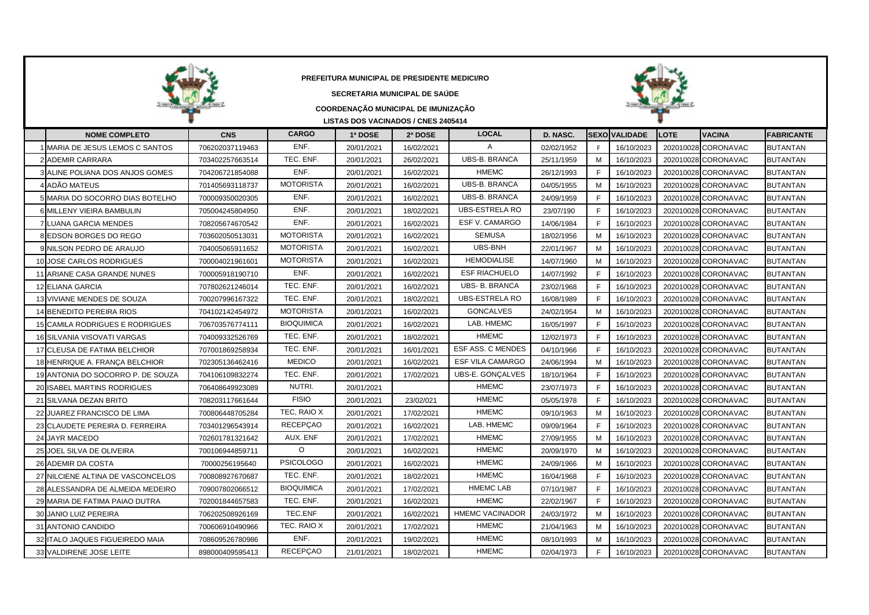|                                   | PREFEITURA MUNICIPAL DE PRESIDENTE MEDICI/RO<br>SECRETARIA MUNICIPAL DE SAÚDE<br>COORDENAÇÃO MUNICIPAL DE IMUNIZAÇÃO<br>LISTAS DOS VACINADOS / CNES 2405414<br><b>CARGO</b><br><b>LOCAL</b><br>SEXOİVALIDADE<br><b>VACINA</b><br><b>NOME COMPLETO</b><br>1ª DOSE<br>2ª DOSE<br>D. NASC.<br><b>LOTE</b><br><b>FABRICANTE</b><br><b>CNS</b> |                   |            |            |                          |            |              |            |           |                     |                 |  |  |  |  |
|-----------------------------------|-------------------------------------------------------------------------------------------------------------------------------------------------------------------------------------------------------------------------------------------------------------------------------------------------------------------------------------------|-------------------|------------|------------|--------------------------|------------|--------------|------------|-----------|---------------------|-----------------|--|--|--|--|
|                                   |                                                                                                                                                                                                                                                                                                                                           |                   |            |            |                          |            |              |            |           |                     |                 |  |  |  |  |
| MARIA DE JESUS LEMOS C SANTOS     | 706202037119463                                                                                                                                                                                                                                                                                                                           | ENF.              | 20/01/2021 | 16/02/2021 | A                        | 02/02/1952 | F.           | 16/10/2023 | 202010028 | CORONAVAC           | <b>BUTANTAN</b> |  |  |  |  |
| 2 ADEMIR CARRARA                  | 703402257663514                                                                                                                                                                                                                                                                                                                           | TEC. ENF.         | 20/01/2021 | 26/02/2021 | <b>UBS-B. BRANCA</b>     | 25/11/1959 | M            | 16/10/2023 |           | 202010028 CORONAVAC | <b>BUTANTAN</b> |  |  |  |  |
| ALINE POLIANA DOS ANJOS GOMES     | 704206721854088                                                                                                                                                                                                                                                                                                                           | ENF.              | 20/01/2021 | 16/02/2021 | <b>HMEMC</b>             | 26/12/1993 | E            | 16/10/2023 |           | 202010028 CORONAVAC | BUTANTAN        |  |  |  |  |
| ADÃO MATEUS                       | 701405693118737                                                                                                                                                                                                                                                                                                                           | <b>MOTORISTA</b>  | 20/01/2021 | 16/02/2021 | <b>UBS-B. BRANCA</b>     | 04/05/1955 | M            | 16/10/2023 |           | 202010028 CORONAVAC | <b>BUTANTAN</b> |  |  |  |  |
| MARIA DO SOCORRO DIAS BOTELHO     | 700009350020305                                                                                                                                                                                                                                                                                                                           | ENF.              | 20/01/2021 | 16/02/2021 | <b>UBS-B. BRANCA</b>     | 24/09/1959 | F            | 16/10/2023 |           | 202010028 CORONAVAC | <b>BUTANTAN</b> |  |  |  |  |
| 6 MILLENY VIEIRA BAMBULIN         | 705004245804950                                                                                                                                                                                                                                                                                                                           | ENF.              | 20/01/2021 | 18/02/2021 | <b>UBS-ESTRELA RO</b>    | 23/07/190  | F.           | 16/10/2023 |           | 202010028 CORONAVAC | <b>BUTANTAN</b> |  |  |  |  |
| <b>7 LUANA GARCIA MENDES</b>      | 708205674670542                                                                                                                                                                                                                                                                                                                           | ENF.              | 20/01/2021 | 16/02/2021 | ESF V. CAMARGO           | 14/06/1984 | $\mathsf{F}$ | 16/10/2023 |           | 202010028 CORONAVAC | <b>BUTANTAN</b> |  |  |  |  |
| <b>EDSON BORGES DO REGO</b>       | 703602050513031                                                                                                                                                                                                                                                                                                                           | <b>MOTORISTA</b>  | 20/01/2021 | 16/02/2021 | <b>SEMUSA</b>            | 18/02/1956 | M            | 16/10/2023 | 202010028 | <b>CORONAVAC</b>    | <b>BUTANTAN</b> |  |  |  |  |
| NILSON PEDRO DE ARAUJO            | 704005065911652                                                                                                                                                                                                                                                                                                                           | <b>MOTORISTA</b>  | 20/01/2021 | 16/02/2021 | <b>UBS-BNH</b>           | 22/01/1967 | M            | 16/10/2023 |           | 202010028 CORONAVAC | <b>BUTANTAN</b> |  |  |  |  |
| JOSE CARLOS RODRIGUES<br>10       | 700004021961601                                                                                                                                                                                                                                                                                                                           | <b>MOTORISTA</b>  | 20/01/2021 | 16/02/2021 | <b>HEMODIALISE</b>       | 14/07/1960 | M            | 16/10/2023 |           | 202010028 CORONAVAC | <b>BUTANTAN</b> |  |  |  |  |
| 11<br>ARIANE CASA GRANDE NUNES    | 700005918190710                                                                                                                                                                                                                                                                                                                           | ENF.              | 20/01/2021 | 16/02/2021 | <b>ESF RIACHUELO</b>     | 14/07/1992 | F            | 16/10/2023 |           | 202010028 CORONAVAC | BUTANTAN        |  |  |  |  |
| 12 ELIANA GARCIA                  | 707802621246014                                                                                                                                                                                                                                                                                                                           | TEC. ENF.         | 20/01/2021 | 16/02/2021 | <b>UBS- B. BRANCA</b>    | 23/02/1968 | $\mathsf{F}$ | 16/10/2023 |           | 202010028 CORONAVAC | <b>BUTANTAN</b> |  |  |  |  |
| 13 VIVIANE MENDES DE SOUZA        | 700207996167322                                                                                                                                                                                                                                                                                                                           | TEC. ENF.         | 20/01/2021 | 18/02/2021 | <b>UBS-ESTRELA RO</b>    | 16/08/1989 | F            | 16/10/2023 |           | 202010028 CORONAVAC | <b>BUTANTAN</b> |  |  |  |  |
| 14 BENEDITO PEREIRA RIOS          | 704102142454972                                                                                                                                                                                                                                                                                                                           | <b>MOTORISTA</b>  | 20/01/2021 | 16/02/2021 | <b>GONCALVES</b>         | 24/02/1954 | M            | 16/10/2023 |           | 202010028 CORONAVAC | <b>BUTANTAN</b> |  |  |  |  |
| 15 CAMILA RODRIGUES E RODRIGUES   | 706703576774111                                                                                                                                                                                                                                                                                                                           | <b>BIOQUIMICA</b> | 20/01/2021 | 16/02/2021 | LAB. HMEMC               | 16/05/1997 | F.           | 16/10/2023 | 202010028 | <b>CORONAVAC</b>    | BUTANTAN        |  |  |  |  |
| 16 SILVANIA VISOVATI VARGAS       | 704009332526769                                                                                                                                                                                                                                                                                                                           | TEC. ENF.         | 20/01/2021 | 18/02/2021 | <b>HMEMC</b>             | 12/02/1973 | F            | 16/10/2023 |           | 202010028 CORONAVAC | <b>BUTANTAN</b> |  |  |  |  |
| 17 CLEUSA DE FATIMA BELCHIOR      | 707001869258934                                                                                                                                                                                                                                                                                                                           | TEC. ENF.         | 20/01/2021 | 16/01/2021 | <b>ESF ASS. C MENDES</b> | 04/10/1966 | F            | 16/10/2023 |           | 202010028 CORONAVAC | <b>BUTANTAN</b> |  |  |  |  |
| 18 HENRIQUE A. FRANÇA BELCHIOR    | 702305136462416                                                                                                                                                                                                                                                                                                                           | <b>MEDICO</b>     | 20/01/2021 | 16/02/2021 | ESF VILA CAMARGO         | 24/06/1994 | M            | 16/10/2023 |           | 202010028 CORONAVAC | <b>BUTANTAN</b> |  |  |  |  |
| 19 ANTONIA DO SOCORRO P. DE SOUZA | 704106109832274                                                                                                                                                                                                                                                                                                                           | TEC. ENF.         | 20/01/2021 | 17/02/2021 | UBS-E. GONÇALVES         | 18/10/1964 | E            | 16/10/2023 |           | 202010028 CORONAVAC | BUTANTAN        |  |  |  |  |
| 20 ISABEL MARTINS RODRIGUES       | 706408649923089                                                                                                                                                                                                                                                                                                                           | NUTRI.            | 20/01/2021 |            | <b>HMEMC</b>             | 23/07/1973 | F            | 16/10/2023 |           | 202010028 CORONAVAC | <b>BUTANTAN</b> |  |  |  |  |
| 21 SILVANA DEZAN BRITO            | 708203117661644                                                                                                                                                                                                                                                                                                                           | <b>FISIO</b>      | 20/01/2021 | 23/02/021  | <b>HMEMC</b>             | 05/05/1978 | $\mathsf{F}$ | 16/10/2023 |           | 202010028 CORONAVAC | <b>BUTANTAN</b> |  |  |  |  |
| 22 JUAREZ FRANCISCO DE LIMA       | 700806448705284                                                                                                                                                                                                                                                                                                                           | TEC, RAIO X       | 20/01/2021 | 17/02/2021 | <b>HMEMC</b>             | 09/10/1963 | M            | 16/10/2023 |           | 202010028 CORONAVAC | <b>BUTANTAN</b> |  |  |  |  |
| 23 CLAUDETE PEREIRA D. FERREIRA   | 703401296543914                                                                                                                                                                                                                                                                                                                           | <b>RECEPÇAO</b>   | 20/01/2021 | 16/02/2021 | LAB. HMEMC               | 09/09/1964 | F            | 16/10/2023 |           | 202010028 CORONAVAC | BUTANTAN        |  |  |  |  |
| 24 JAYR MACEDO                    | 702601781321642                                                                                                                                                                                                                                                                                                                           | AUX. ENF          | 20/01/2021 | 17/02/2021 | <b>HMEMC</b>             | 27/09/1955 | M            | 16/10/2023 |           | 202010028 CORONAVAC | <b>BUTANTAN</b> |  |  |  |  |
| JOEL SILVA DE OLIVEIRA<br>25      | 700106944859711                                                                                                                                                                                                                                                                                                                           | O                 | 20/01/2021 | 16/02/2021 | <b>HMEMC</b>             | 20/09/1970 | M            | 16/10/2023 | 202010028 | <b>CORONAVAC</b>    | <b>BUTANTAN</b> |  |  |  |  |
| 26 ADEMIR DA COSTA                | 70000256195640                                                                                                                                                                                                                                                                                                                            | <b>PSICOLOGO</b>  | 20/01/2021 | 16/02/2021 | <b>HMEMC</b>             | 24/09/1966 | M            | 16/10/2023 |           | 202010028 CORONAVAC | <b>BUTANTAN</b> |  |  |  |  |
| 27 NILCIENE ALTINA DE VASCONCELOS | 700808927670687                                                                                                                                                                                                                                                                                                                           | TEC. ENF.         | 20/01/2021 | 18/02/2021 | <b>HMEMC</b>             | 16/04/1968 | E            | 16/10/2023 |           | 202010028 CORONAVAC | <b>BUTANTAN</b> |  |  |  |  |
| 28 ALESSANDRA DE ALMEIDA MEDEIRO  | 709007802066512                                                                                                                                                                                                                                                                                                                           | <b>BIOQUIMICA</b> | 20/01/2021 | 17/02/2021 | <b>HMEMC LAB</b>         | 07/10/1987 | E            | 16/10/2023 |           | 202010028 CORONAVAC | <b>BUTANTAN</b> |  |  |  |  |
| MARIA DE FATIMA PAIAO DUTRA<br>29 | 702001844657583                                                                                                                                                                                                                                                                                                                           | TEC. ENF.         | 20/01/2021 | 16/02/2021 | <b>HMEMC</b>             | 22/02/1967 | $\mathsf{F}$ | 16/10/2023 |           | 202010028 CORONAVAC | <b>BUTANTAN</b> |  |  |  |  |
| 30 JANIO LUIZ PEREIRA             | 706202508926169                                                                                                                                                                                                                                                                                                                           | TEC.ENF           | 20/01/2021 | 16/02/2021 | <b>HMEMC VACINADOR</b>   | 24/03/1972 | M            | 16/10/2023 |           | 202010028 CORONAVAC | <b>BUTANTAN</b> |  |  |  |  |
| 31 ANTONIO CANDIDO                | 700606910490966                                                                                                                                                                                                                                                                                                                           | TEC. RAIO X       | 20/01/2021 | 17/02/2021 | <b>HMEMC</b>             | 21/04/1963 | м            | 16/10/2023 |           | 202010028 CORONAVAC | BUTANTAN        |  |  |  |  |
| 32 ITALO JAQUES FIGUEIREDO MAIA   | 708609526780986                                                                                                                                                                                                                                                                                                                           | ENF.              | 20/01/2021 | 19/02/2021 | <b>HMEMC</b>             | 08/10/1993 | M            | 16/10/2023 |           | 202010028 CORONAVAC | <b>BUTANTAN</b> |  |  |  |  |
| 33 VALDIRENE JOSE LEITE           | 898000409595413                                                                                                                                                                                                                                                                                                                           | <b>RECEPÇAO</b>   | 21/01/2021 | 18/02/2021 | <b>HMEMC</b>             | 02/04/1973 | F            | 16/10/2023 |           | 202010028 CORONAVAC | <b>BUTANTAN</b> |  |  |  |  |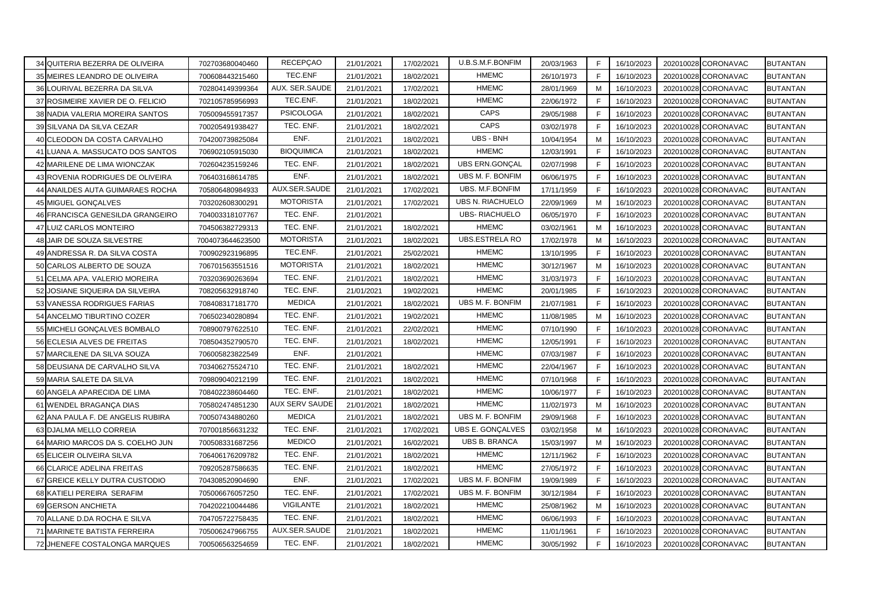|    | 34 QUITERIA BEZERRA DE OLIVEIRA   | 702703680040460  | RECEPÇAO              | 21/01/2021 | 17/02/2021 | U.B.S.M.F.BONFIM        | 20/03/1963 | F | 16/10/2023 | 202010028 CORONAVAC           | <b>BUTANTAN</b> |
|----|-----------------------------------|------------------|-----------------------|------------|------------|-------------------------|------------|---|------------|-------------------------------|-----------------|
|    | 35 MEIRES LEANDRO DE OLIVEIRA     | 700608443215460  | TEC.ENF               | 21/01/2021 | 18/02/2021 | <b>HMEMC</b>            | 26/10/1973 | F | 16/10/2023 | 202010028<br><b>CORONAVAC</b> | <b>BUTANTAN</b> |
|    | 36 LOURIVAL BEZERRA DA SILVA      | 702804149399364  | AUX. SER.SAUDE        | 21/01/2021 | 17/02/2021 | <b>HMEMC</b>            | 28/01/1969 | М | 16/10/2023 | 202010028 CORONAVAC           | <b>BUTANTAN</b> |
| 37 | ROSIMEIRE XAVIER DE O. FELICIO    | 702105785956993  | TEC.ENF.              | 21/01/2021 | 18/02/2021 | <b>HMEMC</b>            | 22/06/1972 | F | 16/10/2023 | 202010028 CORONAVAC           | <b>BUTANTAN</b> |
|    | 38 NADIA VALERIA MOREIRA SANTOS   | 705009455917357  | <b>PSICOLOGA</b>      | 21/01/2021 | 18/02/2021 | CAPS                    | 29/05/1988 | E | 16/10/2023 | 202010028 CORONAVAC           | <b>BUTANTAN</b> |
|    | 39 SILVANA DA SILVA CEZAR         | 700205491938427  | TEC. ENF.             | 21/01/2021 | 18/02/2021 | CAPS                    | 03/02/1978 | F | 16/10/2023 | 202010028 CORONAVAC           | <b>BUTANTAN</b> |
|    | 40 CLEODON DA COSTA CARVALHO      | 704200739825084  | ENF.                  | 21/01/2021 | 18/02/2021 | UBS - BNH               | 10/04/1954 | м | 16/10/2023 | <b>CORONAVAC</b><br>202010028 | <b>BUTANTAN</b> |
|    | LUANA A. MASSUCATO DOS SANTOS     | 706902105915030  | <b>BIOQUIMICA</b>     | 21/01/2021 | 18/02/2021 | <b>HMEMC</b>            | 12/03/1991 | F | 16/10/2023 | 202010028<br><b>CORONAVAC</b> | <b>BUTANTAN</b> |
|    | MARILENE DE LIMA WIONCZAK         | 702604235159246  | TEC. ENF.             | 21/01/2021 | 18/02/2021 | <b>UBS ERN.GONÇAL</b>   | 02/07/1998 | F | 16/10/2023 | 202010028<br><b>CORONAVAC</b> | <b>BUTANTAN</b> |
| 43 | ROVENIA RODRIGUES DE OLIVEIRA     | 706403168614785  | ENF.                  | 21/01/2021 | 18/02/2021 | UBS M. F. BONFIM        | 06/06/1975 | E | 16/10/2023 | <b>CORONAVAC</b><br>202010028 | <b>BUTANTAN</b> |
|    | ANAILDES AUTA GUIMARAES ROCHA     | 705806480984933  | AUX.SER.SAUDE         | 21/01/2021 | 17/02/2021 | UBS. M.F.BONFIM         | 17/11/1959 | E | 16/10/2023 | CORONAVAC<br>202010028        | <b>BUTANTAN</b> |
|    | 45 MIGUEL GONÇALVES               | 703202608300291  | <b>MOTORISTA</b>      | 21/01/2021 | 17/02/2021 | <b>UBS N. RIACHUELO</b> | 22/09/1969 | M | 16/10/2023 | 202010028<br><b>CORONAVAC</b> | <b>BUTANTAN</b> |
|    | 46 FRANCISCA GENESILDA GRANGEIRO  | 704003318107767  | TEC. ENF.             | 21/01/2021 |            | <b>UBS-RIACHUELO</b>    | 06/05/1970 | F | 16/10/2023 | 202010028<br><b>CORONAVAC</b> | <b>BUTANTAN</b> |
| 47 | LUIZ CARLOS MONTEIRO              | 704506382729313  | TEC. ENF.             | 21/01/2021 | 18/02/2021 | <b>HMEMC</b>            | 03/02/1961 | M | 16/10/2023 | CORONAVAC<br>202010028        | <b>BUTANTAN</b> |
|    | 48 JAIR DE SOUZA SILVESTRE        | 7004073644623500 | <b>MOTORISTA</b>      | 21/01/2021 | 18/02/2021 | UBS.ESTRELA RO          | 17/02/1978 | м | 16/10/2023 | CORONAVAC<br>202010028        | <b>BUTANTAN</b> |
|    | 49 ANDRESSA R. DA SILVA COSTA     | 700902923196895  | TEC.ENF.              | 21/01/2021 | 25/02/2021 | <b>HMEMC</b>            | 13/10/1995 | E | 16/10/2023 | 202010028 CORONAVAC           | <b>BUTANTAN</b> |
|    | 50 CARLOS ALBERTO DE SOUZA        | 706701563551516  | <b>MOTORISTA</b>      | 21/01/2021 | 18/02/2021 | <b>HMEMC</b>            | 30/12/1967 | м | 16/10/2023 | 202010028 CORONAVAC           | <b>BUTANTAN</b> |
|    | 51 CELMA APA. VALERIO MOREIRA     | 703203690263694  | TEC. ENF.             | 21/01/2021 | 18/02/2021 | <b>HMEMC</b>            | 31/03/1973 | F | 16/10/2023 | CORONAVAC<br>202010028        | <b>BUTANTAN</b> |
| 52 | JOSIANE SIQUEIRA DA SILVEIRA      | 708205632918740  | TEC. ENF.             | 21/01/2021 | 19/02/2021 | <b>HMEMC</b>            | 20/01/1985 | F | 16/10/2023 | 202010028<br><b>CORONAVAC</b> | <b>BUTANTAN</b> |
| 53 | VANESSA RODRIGUES FARIAS          | 708408317181770  | <b>MEDICA</b>         | 21/01/2021 | 18/02/2021 | UBS M. F. BONFIM        | 21/07/1981 | F | 16/10/2023 | 202010028<br><b>CORONAVAC</b> | <b>BUTANTAN</b> |
|    | ANCELMO TIBURTINO COZER           | 706502340280894  | TEC. ENF.             | 21/01/2021 | 19/02/2021 | <b>HMEMC</b>            | 11/08/1985 | M | 16/10/2023 | <b>CORONAVAC</b><br>202010028 | <b>BUTANTAN</b> |
|    | 55 MICHELI GONÇALVES BOMBALO      | 708900797622510  | TEC. ENF.             | 21/01/2021 | 22/02/2021 | <b>HMEMC</b>            | 07/10/1990 | F | 16/10/2023 | 202010028 CORONAVAC           | <b>BUTANTAN</b> |
|    | 56 ECLESIA ALVES DE FREITAS       | 708504352790570  | TEC. ENF.             | 21/01/2021 | 18/02/2021 | <b>HMEMC</b>            | 12/05/1991 | F | 16/10/2023 | 202010028 CORONAVAC           | <b>BUTANTAN</b> |
|    | 57 MARCILENE DA SILVA SOUZA       | 706005823822549  | ENF.                  | 21/01/2021 |            | <b>HMEMC</b>            | 07/03/1987 | F | 16/10/2023 | 202010028 CORONAVAC           | <b>BUTANTAN</b> |
|    | 58 DEUSIANA DE CARVALHO SILVA     | 703406275524710  | TEC. ENF.             | 21/01/2021 | 18/02/2021 | <b>HMEMC</b>            | 22/04/1967 | F | 16/10/2023 | 202010028 CORONAVAC           | <b>BUTANTAN</b> |
|    | 59 MARIA SALETE DA SILVA          | 709809040212199  | TEC. ENF.             | 21/01/2021 | 18/02/2021 | <b>HMEMC</b>            | 07/10/1968 | F | 16/10/2023 | 202010028 CORONAVAC           | <b>BUTANTAN</b> |
|    | 60 ANGELA APARECIDA DE LIMA       | 708402238604460  | TEC. ENF.             | 21/01/2021 | 18/02/2021 | <b>HMEMC</b>            | 10/06/1977 | E | 16/10/2023 | 202010028 CORONAVAC           | <b>BUTANTAN</b> |
|    | 61 WENDEL BRAGANCA DIAS           | 705802474851230  | <b>AUX SERV SAUDE</b> | 21/01/2021 | 18/02/2021 | <b>HMEMC</b>            | 11/02/1973 | M | 16/10/2023 | 202010028 CORONAVAC           | <b>BUTANTAN</b> |
|    | 62 ANA PAULA F. DE ANGELIS RUBIRA | 700507434880260  | <b>MEDICA</b>         | 21/01/2021 | 18/02/2021 | UBS M. F. BONFIM        | 29/09/1968 | F | 16/10/2023 | 202010028<br><b>CORONAVAC</b> | <b>BUTANTAN</b> |
|    | 63 DJALMA MELLO CORREIA           | 707001856631232  | TEC. ENF.             | 21/01/2021 | 17/02/2021 | UBS E. GONÇALVES        | 03/02/1958 | M | 16/10/2023 | 202010028<br><b>CORONAVAC</b> | <b>BUTANTAN</b> |
|    | 64 MARIO MARCOS DA S. COELHO JUN  | 700508331687256  | <b>MEDICO</b>         | 21/01/2021 | 16/02/2021 | <b>UBS B. BRANCA</b>    | 15/03/1997 | M | 16/10/2023 | <b>CORONAVAC</b><br>202010028 | <b>BUTANTAN</b> |
|    | ELICEIR OLIVEIRA SILVA            | 706406176209782  | TEC. ENF.             | 21/01/2021 | 18/02/2021 | <b>HMEMC</b>            | 12/11/1962 | F | 16/10/2023 | 202010028<br><b>CORONAVAC</b> | <b>BUTANTAN</b> |
|    | 66 CLARICE ADELINA FREITAS        | 709205287586635  | TEC. ENF.             | 21/01/2021 | 18/02/2021 | <b>HMEMC</b>            | 27/05/1972 | E | 16/10/2023 | <b>CORONAVAC</b><br>202010028 | <b>BUTANTAN</b> |
|    | 67 GREICE KELLY DUTRA CUSTODIO    | 704308520904690  | ENF.                  | 21/01/2021 | 17/02/2021 | UBS M. F. BONFIM        | 19/09/1989 | E | 16/10/2023 | CORONAVAC<br>202010028        | <b>BUTANTAN</b> |
|    | 68 KATIELI PEREIRA SERAFIM        | 705006676057250  | TEC. ENF.             | 21/01/2021 | 17/02/2021 | UBS M. F. BONFIM        | 30/12/1984 | E | 16/10/2023 | 202010028 CORONAVAC           | <b>BUTANTAN</b> |
|    | 69 GERSON ANCHIETA                | 704202210044486  | <b>VIGILANTE</b>      | 21/01/2021 | 18/02/2021 | <b>HMEMC</b>            | 25/08/1962 | M | 16/10/2023 | CORONAVAC<br>202010028        | <b>BUTANTAN</b> |
|    | 70 ALLANE D.DA ROCHA E SILVA      | 704705722758435  | TEC. ENF.             | 21/01/2021 | 18/02/2021 | <b>HMEMC</b>            | 06/06/1993 | F | 16/10/2023 | CORONAVAC<br>202010028        | <b>BUTANTAN</b> |
|    | 71 MARINETE BATISTA FERREIRA      | 705006247966755  | AUX.SER.SAUDE         | 21/01/2021 | 18/02/2021 | <b>HMEMC</b>            | 11/01/1961 | F | 16/10/2023 | 202010028 CORONAVAC           | <b>BUTANTAN</b> |
|    | 72 JHENEFE COSTALONGA MARQUES     | 700506563254659  | TEC. ENF.             | 21/01/2021 | 18/02/2021 | <b>HMEMC</b>            | 30/05/1992 | F | 16/10/2023 | 202010028 CORONAVAC           | <b>BUTANTAN</b> |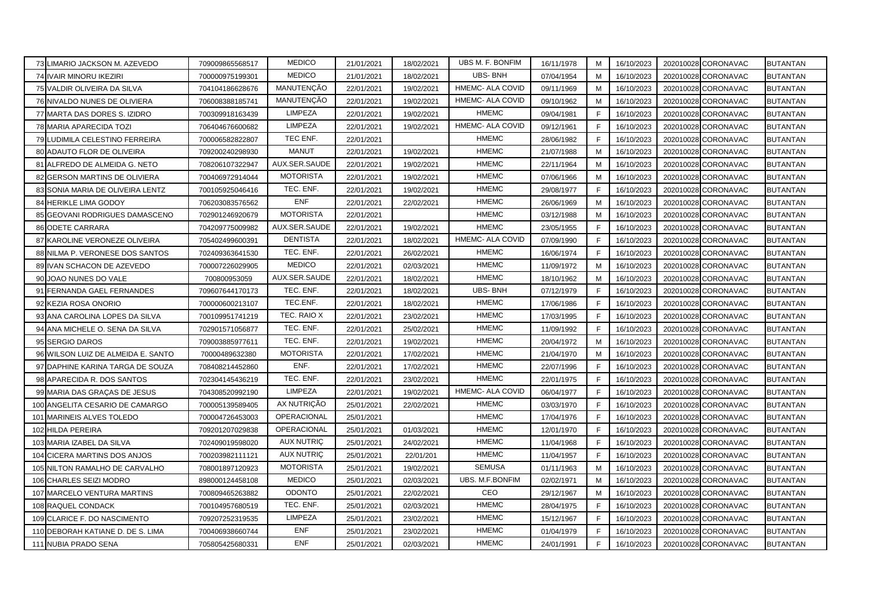|    | 73 LIMARIO JACKSON M. AZEVEDO      | 709009865568517 | <b>MEDICO</b>     | 21/01/2021 | 18/02/2021 | UBS M. F. BONFIM | 16/11/1978 | M | 16/10/2023 | 202010028 CORONAVAC           | <b>BUTANTAN</b> |
|----|------------------------------------|-----------------|-------------------|------------|------------|------------------|------------|---|------------|-------------------------------|-----------------|
|    | 74 IVAIR MINORU IKEZIRI            | 700000975199301 | <b>MEDICO</b>     | 21/01/2021 | 18/02/2021 | <b>UBS-BNH</b>   | 07/04/1954 | М | 16/10/2023 | 202010028<br><b>CORONAVAC</b> | <b>BUTANTAN</b> |
|    | 75 VALDIR OLIVEIRA DA SILVA        | 704104186628676 | MANUTENÇÃO        | 22/01/2021 | 19/02/2021 | HMEMC- ALA COVID | 09/11/1969 | М | 16/10/2023 | 202010028 CORONAVAC           | <b>BUTANTAN</b> |
|    | 76 NIVALDO NUNES DE OLIVIERA       | 706008388185741 | MANUTENÇÃO        | 22/01/2021 | 19/02/2021 | HMEMC- ALA COVID | 09/10/1962 | M | 16/10/2023 | 202010028 CORONAVAC           | <b>BUTANTAN</b> |
|    | 77 MARTA DAS DORES S. IZIDRO       | 700309918163439 | <b>LIMPEZA</b>    | 22/01/2021 | 19/02/2021 | <b>HMEMC</b>     | 09/04/1981 | E | 16/10/2023 | 202010028 CORONAVAC           | <b>BUTANTAN</b> |
|    | 78 MARIA APARECIDA TOZI            | 706404676600682 | <b>LIMPEZA</b>    | 22/01/2021 | 19/02/2021 | HMEMC- ALA COVID | 09/12/1961 | F | 16/10/2023 | 202010028 CORONAVAC           | <b>BUTANTAN</b> |
|    | 79 LUDIMILA CELESTINO FERREIRA     | 700006582822807 | TEC ENF.          | 22/01/2021 |            | <b>HMEMC</b>     | 28/06/1982 | F | 16/10/2023 | 202010028 CORONAVAC           | <b>BUTANTAN</b> |
|    | ADAUTO FLOR DE OLIVEIRA            | 709200240298930 | <b>MANUT</b>      | 22/01/2021 | 19/02/2021 | <b>HMEMC</b>     | 21/07/1988 | M | 16/10/2023 | 202010028<br><b>CORONAVAC</b> | <b>BUTANTAN</b> |
|    | ALFREDO DE ALMEIDA G. NETO         | 708206107322947 | AUX.SER.SAUDE     | 22/01/2021 | 19/02/2021 | <b>HMEMC</b>     | 22/11/1964 | M | 16/10/2023 | 202010028<br><b>CORONAVAC</b> | <b>BUTANTAN</b> |
|    | <b>GERSON MARTINS DE OLIVIERA</b>  | 700406972914044 | <b>MOTORISTA</b>  | 22/01/2021 | 19/02/2021 | <b>HMEMC</b>     | 07/06/1966 | M | 16/10/2023 | <b>CORONAVAC</b><br>202010028 | <b>BUTANTAN</b> |
|    | 83 SONIA MARIA DE OLIVEIRA LENTZ   | 700105925046416 | TEC. ENF.         | 22/01/2021 | 19/02/2021 | <b>HMEMC</b>     | 29/08/1977 | E | 16/10/2023 | 202010028 CORONAVAC           | <b>BUTANTAN</b> |
|    | 84 HERIKLE LIMA GODOY              | 706203083576562 | <b>ENF</b>        | 22/01/2021 | 22/02/2021 | <b>HMEMC</b>     | 26/06/1969 | M | 16/10/2023 | 202010028 CORONAVAC           | <b>BUTANTAN</b> |
| 85 | GEOVANI RODRIGUES DAMASCENO        | 702901246920679 | <b>MOTORISTA</b>  | 22/01/2021 |            | <b>HMEMC</b>     | 03/12/1988 | м | 16/10/2023 | 202010028<br><b>CORONAVAC</b> | <b>BUTANTAN</b> |
|    | 86 ODETE CARRARA                   | 704209775009982 | AUX.SER.SAUDE     | 22/01/2021 | 19/02/2021 | <b>HMEMC</b>     | 23/05/1955 | F | 16/10/2023 | CORONAVAC<br>202010028        | <b>BUTANTAN</b> |
|    | 87 KAROLINE VERONEZE OLIVEIRA      | 705402499600391 | <b>DENTISTA</b>   | 22/01/2021 | 18/02/2021 | HMEMC- ALA COVID | 07/09/1990 | F | 16/10/2023 | 202010028 CORONAVAC           | <b>BUTANTAN</b> |
|    | 88 NILMA P. VERONESE DOS SANTOS    | 702409363641530 | TEC. ENF.         | 22/01/2021 | 26/02/2021 | <b>HMEMC</b>     | 16/06/1974 | E | 16/10/2023 | 202010028 CORONAVAC           | <b>BUTANTAN</b> |
|    | 89 IVAN SCHACON DE AZEVEDO         | 700007226029905 | <b>MEDICO</b>     | 22/01/2021 | 02/03/2021 | <b>HMEMC</b>     | 11/09/1972 | м | 16/10/2023 | 202010028 CORONAVAC           | <b>BUTANTAN</b> |
|    | 90 JOAO NUNES DO VALE              | 700800953059    | AUX.SER.SAUDE     | 22/01/2021 | 18/02/2021 | <b>HMEMC</b>     | 18/10/1962 | M | 16/10/2023 | CORONAVAC<br>202010028        | <b>BUTANTAN</b> |
| 91 | FERNANDA GAEL FERNANDES            | 709607644170173 | TEC. ENF.         | 22/01/2021 | 18/02/2021 | <b>UBS-BNH</b>   | 07/12/1979 | F | 16/10/2023 | <b>CORONAVAC</b><br>202010028 | <b>BUTANTAN</b> |
|    | KEZIA ROSA ONORIO                  | 700000600213107 | TEC.ENF.          | 22/01/2021 | 18/02/2021 | <b>HMEMC</b>     | 17/06/1986 | F | 16/10/2023 | 202010028<br><b>CORONAVAC</b> | <b>BUTANTAN</b> |
| 93 | ANA CAROLINA LOPES DA SILVA        | 700109951741219 | TEC. RAIO X       | 22/01/2021 | 23/02/2021 | <b>HMEMC</b>     | 17/03/1995 | F | 16/10/2023 | <b>CORONAVAC</b><br>202010028 | <b>BUTANTAN</b> |
| 94 | ANA MICHELE O. SENA DA SILVA       | 702901571056877 | TEC. ENF.         | 22/01/2021 | 25/02/2021 | <b>HMEMC</b>     | 11/09/1992 | F | 16/10/2023 | 202010028 CORONAVAC           | <b>BUTANTAN</b> |
|    | 95 SERGIO DAROS                    | 709003885977611 | TEC. ENF.         | 22/01/2021 | 19/02/2021 | <b>HMEMC</b>     | 20/04/1972 | M | 16/10/2023 | 202010028 CORONAVAC           | <b>BUTANTAN</b> |
|    | 96 WILSON LUIZ DE ALMEIDA E. SANTO | 70000489632380  | <b>MOTORISTA</b>  | 22/01/2021 | 17/02/2021 | <b>HMEMC</b>     | 21/04/1970 | M | 16/10/2023 | 202010028 CORONAVAC           | <b>BUTANTAN</b> |
|    | 97 DAPHINE KARINA TARGA DE SOUZA   | 708408214452860 | ENF.              | 22/01/2021 | 17/02/2021 | <b>HMEMC</b>     | 22/07/1996 | F | 16/10/2023 | 202010028 CORONAVAC           | <b>BUTANTAN</b> |
|    | 98 APARECIDA R. DOS SANTOS         | 702304145436219 | TEC. ENF.         | 22/01/2021 | 23/02/2021 | <b>HMEMC</b>     | 22/01/1975 | F | 16/10/2023 | 202010028 CORONAVAC           | <b>BUTANTAN</b> |
|    | 99 MARIA DAS GRAÇAS DE JESUS       | 704308520992190 | LIMPEZA           | 22/01/2021 | 19/02/2021 | HMEMC- ALA COVID | 06/04/1977 | E | 16/10/2023 | 202010028 CORONAVAC           | <b>BUTANTAN</b> |
|    | 100 ANGELITA CESARIO DE CAMARGO    | 700005139589405 | AX NUTRIÇÃO       | 25/01/2021 | 22/02/2021 | <b>HMEMC</b>     | 03/03/1970 | E | 16/10/2023 | 202010028 CORONAVAC           | <b>BUTANTAN</b> |
|    | 101 MARINEIS ALVES TOLEDO          | 700004726453003 | OPERACIONAL       | 25/01/2021 |            | <b>HMEMC</b>     | 17/04/1976 | F | 16/10/2023 | 202010028 CORONAVAC           | <b>BUTANTAN</b> |
|    | 102 HILDA PEREIRA                  | 709201207029838 | OPERACIONAL       | 25/01/2021 | 01/03/2021 | <b>HMEMC</b>     | 12/01/1970 | F | 16/10/2023 | 202010028<br><b>CORONAVAC</b> | <b>BUTANTAN</b> |
|    | 103 MARIA IZABEL DA SILVA          | 702409019598020 | <b>AUX NUTRIC</b> | 25/01/2021 | 24/02/2021 | <b>HMEMC</b>     | 11/04/1968 | F | 16/10/2023 | <b>CORONAVAC</b><br>202010028 | <b>BUTANTAN</b> |
|    | 104 CICERA MARTINS DOS ANJOS       | 700203982111121 | <b>AUX NUTRIC</b> | 25/01/2021 | 22/01/201  | <b>HMEMC</b>     | 11/04/1957 | F | 16/10/2023 | <b>CORONAVAC</b><br>202010028 | <b>BUTANTAN</b> |
|    | 105 NILTON RAMALHO DE CARVALHO     | 708001897120923 | <b>MOTORISTA</b>  | 25/01/2021 | 19/02/2021 | <b>SEMUSA</b>    | 01/11/1963 | M | 16/10/2023 | CORONAVAC<br>202010028        | <b>BUTANTAN</b> |
|    | 106 CHARLES SEIZI MODRO            | 898000124458108 | <b>MEDICO</b>     | 25/01/2021 | 02/03/2021 | UBS. M.F.BONFIM  | 02/02/1971 | M | 16/10/2023 | 202010028 CORONAVAC           | <b>BUTANTAN</b> |
|    | 107 MARCELO VENTURA MARTINS        | 700809465263882 | <b>ODONTO</b>     | 25/01/2021 | 22/02/2021 | CEO              | 29/12/1967 | M | 16/10/2023 | 202010028 CORONAVAC           | <b>BUTANTAN</b> |
|    | 108 RAQUEL CONDACK                 | 700104957680519 | TEC. ENF.         | 25/01/2021 | 02/03/2021 | <b>HMEMC</b>     | 28/04/1975 | E | 16/10/2023 | CORONAVAC<br>202010028        | <b>BUTANTAN</b> |
|    | 109 CLARICE F. DO NASCIMENTO       | 709207252319535 | LIMPEZA           | 25/01/2021 | 23/02/2021 | <b>HMEMC</b>     | 15/12/1967 | F | 16/10/2023 | CORONAVAC<br>202010028        | <b>BUTANTAN</b> |
|    | 110 DEBORAH KATIANE D. DE S. LIMA  | 700406938660744 | <b>ENF</b>        | 25/01/2021 | 23/02/2021 | <b>HMEMC</b>     | 01/04/1979 | F | 16/10/2023 | 202010028 CORONAVAC           | <b>BUTANTAN</b> |
|    | 111 NUBIA PRADO SENA               | 705805425680331 | <b>ENF</b>        | 25/01/2021 | 02/03/2021 | <b>HMEMC</b>     | 24/01/1991 | F | 16/10/2023 | 202010028 CORONAVAC           | <b>BUTANTAN</b> |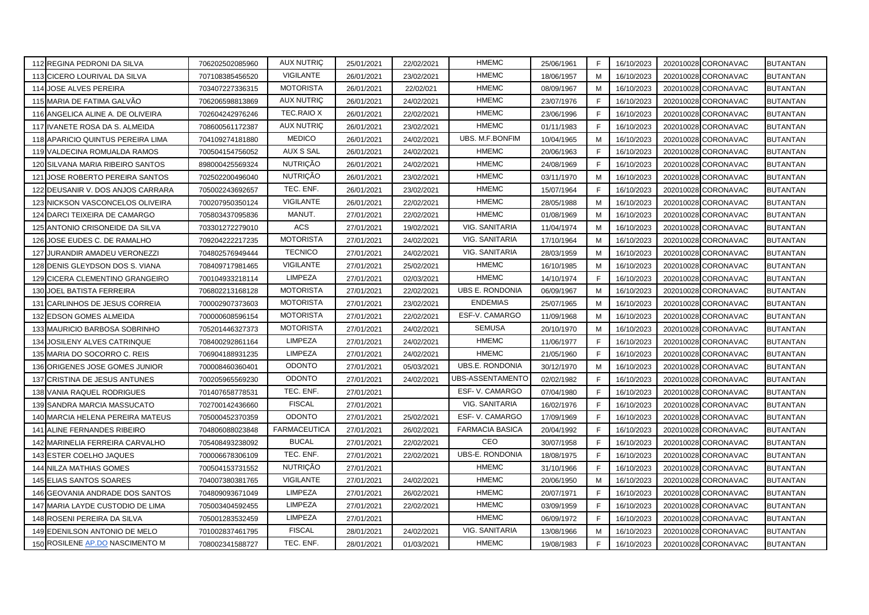|     | 112 REGINA PEDRONI DA SILVA       | 706202502085960 | <b>AUX NUTRIC</b>   | 25/01/2021 | 22/02/2021 | <b>HMEMC</b>           | 25/06/1961 | F            | 16/10/2023 | 202010028 CORONAVAC | <b>BUTANTAN</b> |
|-----|-----------------------------------|-----------------|---------------------|------------|------------|------------------------|------------|--------------|------------|---------------------|-----------------|
|     | 113 CICERO LOURIVAL DA SILVA      | 707108385456520 | <b>VIGILANTE</b>    | 26/01/2021 | 23/02/2021 | <b>HMEMC</b>           | 18/06/1957 | M            | 16/10/2023 | 202010028 CORONAVAC | <b>BUTANTAN</b> |
|     | 114 JOSE ALVES PEREIRA            | 703407227336315 | <b>MOTORISTA</b>    | 26/01/2021 | 22/02/021  | <b>HMEMC</b>           | 08/09/1967 | M            | 16/10/2023 | 202010028 CORONAVAC | <b>BUTANTAN</b> |
|     | 115 MARIA DE FATIMA GALVÃO        | 706206598813869 | <b>AUX NUTRIÇ</b>   | 26/01/2021 | 24/02/2021 | <b>HMEMC</b>           | 23/07/1976 | F            | 16/10/2023 | 202010028 CORONAVAC | <b>BUTANTAN</b> |
|     | 116 ANGELICA ALINE A. DE OLIVEIRA | 702604242976246 | <b>TEC.RAIO X</b>   | 26/01/2021 | 22/02/2021 | <b>HMEMC</b>           | 23/06/1996 | F            | 16/10/2023 | 202010028 CORONAVAC | <b>BUTANTAN</b> |
|     | 117 IVANETE ROSA DA S. ALMEIDA    | 708600561172387 | <b>AUX NUTRIÇ</b>   | 26/01/2021 | 23/02/2021 | <b>HMEMC</b>           | 01/11/1983 | F            | 16/10/2023 | 202010028 CORONAVAC | <b>BUTANTAN</b> |
|     | 118 APARICIO QUINTUS PEREIRA LIMA | 704109274181880 | <b>MEDICO</b>       | 26/01/2021 | 24/02/2021 | UBS. M.F.BONFIM        | 10/04/1965 | M            | 16/10/2023 | 202010028 CORONAVAC | <b>BUTANTAN</b> |
|     | 119 VALDECINA ROMUALDA RAMOS      | 700504154756052 | <b>AUX S SAL</b>    | 26/01/2021 | 24/02/2021 | <b>HMEMC</b>           | 20/06/1963 | F            | 16/10/2023 | 202010028 CORONAVAC | <b>BUTANTAN</b> |
|     | 120 SILVANA MARIA RIBEIRO SANTOS  | 898000425569324 | <b>NUTRIÇÃO</b>     | 26/01/2021 | 24/02/2021 | <b>HMEMC</b>           | 24/08/1969 | F            | 16/10/2023 | 202010028 CORONAVAC | <b>BUTANTAN</b> |
| 121 | JOSE ROBERTO PEREIRA SANTOS       | 702502200496040 | <b>NUTRIÇÃO</b>     | 26/01/2021 | 23/02/2021 | <b>HMEMC</b>           | 03/11/1970 | M            | 16/10/2023 | 202010028 CORONAVAC | <b>BUTANTAN</b> |
|     | 122 DEUSANIR V. DOS ANJOS CARRARA | 705002243692657 | TEC. ENF.           | 26/01/2021 | 23/02/2021 | <b>HMEMC</b>           | 15/07/1964 | F            | 16/10/2023 | 202010028 CORONAVAC | <b>BUTANTAN</b> |
|     | 123 NICKSON VASCONCELOS OLIVEIRA  | 700207950350124 | <b>VIGILANTE</b>    | 26/01/2021 | 22/02/2021 | <b>HMEMC</b>           | 28/05/1988 | M            | 16/10/2023 | 202010028 CORONAVAC | <b>BUTANTAN</b> |
|     | 124 DARCI TEIXEIRA DE CAMARGO     | 705803437095836 | MANUT.              | 27/01/2021 | 22/02/2021 | <b>HMEMC</b>           | 01/08/1969 | м            | 16/10/2023 | 202010028 CORONAVAC | <b>BUTANTAN</b> |
|     | 125 ANTONIO CRISONEIDE DA SILVA   | 703301272279010 | ACS                 | 27/01/2021 | 19/02/2021 | VIG. SANITARIA         | 11/04/1974 | M            | 16/10/2023 | 202010028 CORONAVAC | <b>BUTANTAN</b> |
|     | 126 JOSE EUDES C. DE RAMALHO      | 709204222217235 | <b>MOTORISTA</b>    | 27/01/2021 | 24/02/2021 | VIG. SANITARIA         | 17/10/1964 | M            | 16/10/2023 | 202010028 CORONAVAC | <b>BUTANTAN</b> |
|     | 127 JURANDIR AMADEU VERONEZZI     | 704802576949444 | <b>TECNICO</b>      | 27/01/2021 | 24/02/2021 | VIG. SANITARIA         | 28/03/1959 | M            | 16/10/2023 | 202010028 CORONAVAC | <b>BUTANTAN</b> |
|     | 128 DENIS GLEYDSON DOS S. VIANA   | 708409717981465 | VIGILANTE           | 27/01/2021 | 25/02/2021 | <b>HMEMC</b>           | 16/10/1985 | M            | 16/10/2023 | 202010028 CORONAVAC | <b>BUTANTAN</b> |
|     | 129 CICERA CLEMENTINO GRANGEIRO   | 700104933218114 | <b>LIMPEZA</b>      | 27/01/2021 | 02/03/2021 | <b>HMEMC</b>           | 14/10/1974 | F            | 16/10/2023 | 202010028 CORONAVAC | <b>BUTANTAN</b> |
|     | 130 JOEL BATISTA FERREIRA         | 706802213168128 | <b>MOTORISTA</b>    | 27/01/2021 | 22/02/2021 | UBS E. RONDONIA        | 06/09/1967 | M            | 16/10/2023 | 202010028 CORONAVAC | <b>BUTANTAN</b> |
| 131 | CARLINHOS DE JESUS CORREIA        | 700002907373603 | <b>MOTORISTA</b>    | 27/01/2021 | 23/02/2021 | <b>ENDEMIAS</b>        | 25/07/1965 | M            | 16/10/2023 | 202010028 CORONAVAC | <b>BUTANTAN</b> |
|     | 132 EDSON GOMES ALMEIDA           | 700000608596154 | <b>MOTORISTA</b>    | 27/01/2021 | 22/02/2021 | ESF-V. CAMARGO         | 11/09/1968 | M            | 16/10/2023 | 202010028 CORONAVAC | <b>BUTANTAN</b> |
|     | 133 MAURICIO BARBOSA SOBRINHO     | 705201446327373 | <b>MOTORISTA</b>    | 27/01/2021 | 24/02/2021 | <b>SEMUSA</b>          | 20/10/1970 | M            | 16/10/2023 | 202010028 CORONAVAC | <b>BUTANTAN</b> |
| 134 | JOSILENY ALVES CATRINQUE          | 708400292861164 | <b>LIMPEZA</b>      | 27/01/2021 | 24/02/2021 | <b>HMEMC</b>           | 11/06/1977 | F            | 16/10/2023 | 202010028 CORONAVAC | <b>BUTANTAN</b> |
|     | 135 MARIA DO SOCORRO C. REIS      | 706904188931235 | <b>LIMPEZA</b>      | 27/01/2021 | 24/02/2021 | <b>HMEMC</b>           | 21/05/1960 | F            | 16/10/2023 | 202010028 CORONAVAC | <b>BUTANTAN</b> |
|     | 136 ORIGENES JOSE GOMES JUNIOR    | 700008460360401 | <b>ODONTO</b>       | 27/01/2021 | 05/03/2021 | UBS.E. RONDONIA        | 30/12/1970 | М            | 16/10/2023 | 202010028 CORONAVAC | <b>BUTANTAN</b> |
|     | 137 CRISTINA DE JESUS ANTUNES     | 700205965569230 | <b>ODONTO</b>       | 27/01/2021 | 24/02/2021 | UBS-ASSENTAMENTO       | 02/02/1982 | F            | 16/10/2023 | 202010028 CORONAVAC | <b>BUTANTAN</b> |
|     | 138 VANIA RAQUEL RODRIGUES        | 701407658778531 | TEC. ENF.           | 27/01/2021 |            | ESF- V. CAMARGO        | 07/04/1980 | F            | 16/10/2023 | 202010028 CORONAVAC | <b>BUTANTAN</b> |
|     | 139 SANDRA MARCIA MASSUCATO       | 702700142436660 | <b>FISCAL</b>       | 27/01/2021 |            | VIG. SANITARIA         | 16/02/1976 | F            | 16/10/2023 | 202010028 CORONAVAC | <b>BUTANTAN</b> |
|     | 140 MARCIA HELENA PEREIRA MATEUS  | 705000452370359 | <b>ODONTO</b>       | 27/01/2021 | 25/02/2021 | ESF-V. CAMARGO         | 17/09/1969 | F            | 16/10/2023 | 202010028 CORONAVAC | <b>BUTANTAN</b> |
|     | 141 ALINE FERNANDES RIBEIRO       | 704806088023848 | <b>FARMACEUTICA</b> | 27/01/2021 | 26/02/2021 | <b>FARMACIA BASICA</b> | 20/04/1992 | F            | 16/10/2023 | 202010028 CORONAVAC | <b>BUTANTAN</b> |
|     | 142 MARINELIA FERREIRA CARVALHO   | 705408493238092 | <b>BUCAL</b>        | 27/01/2021 | 22/02/2021 | CEO                    | 30/07/1958 | F            | 16/10/2023 | 202010028 CORONAVAC | <b>BUTANTAN</b> |
|     | 143 ESTER COELHO JAQUES           | 700006678306109 | TEC. ENF.           | 27/01/2021 | 22/02/2021 | UBS-E. RONDONIA        | 18/08/1975 | F            | 16/10/2023 | 202010028 CORONAVAC | <b>BUTANTAN</b> |
|     | 144 NILZA MATHIAS GOMES           | 700504153731552 | <b>NUTRIÇÃO</b>     | 27/01/2021 |            | <b>HMEMC</b>           | 31/10/1966 | F            | 16/10/2023 | 202010028 CORONAVAC | <b>BUTANTAN</b> |
|     | 145 ELIAS SANTOS SOARES           | 704007380381765 | VIGILANTE           | 27/01/2021 | 24/02/2021 | <b>HMEMC</b>           | 20/06/1950 | M            | 16/10/2023 | 202010028 CORONAVAC | <b>BUTANTAN</b> |
|     | 146 GEOVANIA ANDRADE DOS SANTOS   | 704809093671049 | <b>LIMPEZA</b>      | 27/01/2021 | 26/02/2021 | <b>HMEMC</b>           | 20/07/1971 | $\mathsf{F}$ | 16/10/2023 | 202010028 CORONAVAC | <b>BUTANTAN</b> |
|     | 147 MARIA LAYDE CUSTODIO DE LIMA  | 705003404592455 | LIMPEZA             | 27/01/2021 | 22/02/2021 | <b>HMEMC</b>           | 03/09/1959 | E            | 16/10/2023 | 202010028 CORONAVAC | <b>BUTANTAN</b> |
|     | 148 ROSENI PEREIRA DA SILVA       | 705001283532459 | <b>LIMPEZA</b>      | 27/01/2021 |            | <b>HMEMC</b>           | 06/09/1972 | F            | 16/10/2023 | 202010028 CORONAVAC | <b>BUTANTAN</b> |
|     | 149 EDENILSON ANTONIO DE MELO     | 701002837461795 | <b>FISCAL</b>       | 28/01/2021 | 24/02/2021 | VIG. SANITARIA         | 13/08/1966 | M            | 16/10/2023 | 202010028 CORONAVAC | <b>BUTANTAN</b> |
|     | 150 ROSILENE AP.DO NASCIMENTO M   | 708002341588727 | TEC. ENF.           | 28/01/2021 | 01/03/2021 | <b>HMEMC</b>           | 19/08/1983 | F            | 16/10/2023 | 202010028 CORONAVAC | <b>BUTANTAN</b> |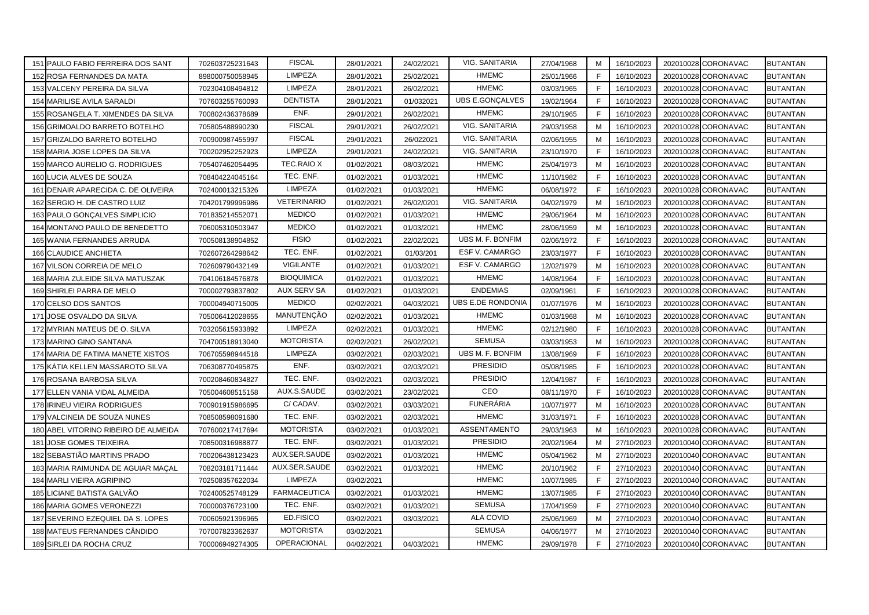|     | 151 PAULO FABIO FERREIRA DOS SANT    | 702603725231643 | <b>FISCAL</b>       | 28/01/2021 | 24/02/2021 | VIG. SANITARIA    | 27/04/1968 | M  | 16/10/2023 | 202010028 CORONAVAC |                  | <b>BUTANTAN</b> |
|-----|--------------------------------------|-----------------|---------------------|------------|------------|-------------------|------------|----|------------|---------------------|------------------|-----------------|
|     | 152 ROSA FERNANDES DA MATA           | 898000750058945 | <b>LIMPEZA</b>      | 28/01/2021 | 25/02/2021 | <b>HMEMC</b>      | 25/01/1966 | F  | 16/10/2023 | 202010028           | CORONAVAC        | <b>BUTANTAN</b> |
|     | 153 VALCENY PEREIRA DA SILVA         | 702304108494812 | <b>LIMPEZA</b>      | 28/01/2021 | 26/02/2021 | <b>HMEMC</b>      | 03/03/1965 | F  | 16/10/2023 | 202010028           | CORONAVAC        | <b>BUTANTAN</b> |
|     | 154 MARILISE AVILA SARALDI           | 707603255760093 | <b>DENTISTA</b>     | 28/01/2021 | 01/032021  | UBS E.GONÇALVES   | 19/02/1964 | F. | 16/10/2023 | 202010028           | CORONAVAC        | <b>BUTANTAN</b> |
|     | 155 ROSANGELA T. XIMENDES DA SILVA   | 700802436378689 | ENF.                | 29/01/2021 | 26/02/2021 | <b>HMEMC</b>      | 29/10/1965 | E  | 16/10/2023 | 202010028           | CORONAVAC        | <b>BUTANTAN</b> |
|     | 156 GRIMOALDO BARRETO BOTELHO        | 705805488990230 | <b>FISCAL</b>       | 29/01/2021 | 26/02/2021 | VIG. SANITARIA    | 29/03/1958 | M  | 16/10/2023 | 202010028 CORONAVAC |                  | <b>BUTANTAN</b> |
|     | 157 GRIZALDO BARRETO BOTELHO         | 700900987455997 | <b>FISCAL</b>       | 29/01/2021 | 26/022021  | VIG. SANITARIA    | 02/06/1955 | M  | 16/10/2023 | 202010028           | CORONAVAC        | <b>BUTANTAN</b> |
|     | 158 MARIA JOSE LOPES DA SILVA        | 700202952252923 | LIMPEZA             | 29/01/2021 | 24/02/2021 | VIG. SANITARIA    | 23/10/1970 | F  | 16/10/2023 | 202010028           | CORONAVAC        | <b>BUTANTAN</b> |
|     | 159 MARCO AURELIO G. RODRIGUES       | 705407462054495 | <b>TEC.RAIO X</b>   | 01/02/2021 | 08/03/2021 | <b>HMEMC</b>      | 25/04/1973 | M  | 16/10/2023 | 202010028           | <b>CORONAVAC</b> | <b>BUTANTAN</b> |
| 160 | LUCIA ALVES DE SOUZA                 | 708404224045164 | TEC. ENF.           | 01/02/2021 | 01/03/2021 | <b>HMEMC</b>      | 11/10/1982 | F  | 16/10/2023 | 202010028           | CORONAVAC        | <b>BUTANTAN</b> |
|     | 161 DENAIR APARECIDA C. DE OLIVEIRA  | 702400013215326 | <b>LIMPEZA</b>      | 01/02/2021 | 01/03/2021 | <b>HMEMC</b>      | 06/08/1972 | F  | 16/10/2023 | 202010028           | CORONAVAC        | <b>BUTANTAN</b> |
|     | 162 SERGIO H. DE CASTRO LUIZ         | 704201799996986 | <b>VETERINARIO</b>  | 01/02/2021 | 26/02/0201 | VIG. SANITARIA    | 04/02/1979 | M  | 16/10/2023 | 202010028           | <b>CORONAVAC</b> | <b>BUTANTAN</b> |
|     | 163 PAULO GONÇALVES SIMPLICIO        | 701835214552071 | <b>MEDICO</b>       | 01/02/2021 | 01/03/2021 | <b>HMEMC</b>      | 29/06/1964 | м  | 16/10/2023 | 202010028           | <b>CORONAVAC</b> | <b>BUTANTAN</b> |
|     | 164 MONTANO PAULO DE BENEDETTO       | 706005310503947 | <b>MEDICO</b>       | 01/02/2021 | 01/03/2021 | <b>HMEMC</b>      | 28/06/1959 | M  | 16/10/2023 | 202010028           | CORONAVAC        | <b>BUTANTAN</b> |
|     | 165 WANIA FERNANDES ARRUDA           | 700508138904852 | <b>FISIO</b>        | 01/02/2021 | 22/02/2021 | UBS M. F. BONFIM  | 02/06/1972 | F. | 16/10/2023 | 202010028           | CORONAVAC        | <b>BUTANTAN</b> |
|     | 166 CLAUDICE ANCHIETA                | 702607264298642 | TEC. ENF.           | 01/02/2021 | 01/03/201  | ESF V. CAMARGO    | 23/03/1977 | E  | 16/10/2023 | 202010028           | <b>CORONAVAC</b> | <b>BUTANTAN</b> |
|     | 167 VILSON CORREIA DE MELO           | 702609790432149 | VIGILANTE           | 01/02/2021 | 01/03/2021 | ESF V. CAMARGO    | 12/02/1979 | М  | 16/10/2023 | 202010028 CORONAVAC |                  | <b>BUTANTAN</b> |
|     | 168 MARIA ZULEIDE SILVA MATUSZAK     | 704106184576878 | <b>BIOQUIMICA</b>   | 01/02/2021 | 01/03/2021 | <b>HMEMC</b>      | 14/08/1964 | F  | 16/10/2023 | 202010028           | CORONAVAC        | <b>BUTANTAN</b> |
|     | 169 SHIRLEI PARRA DE MELO            | 700002793837802 | <b>AUX SERV SA</b>  | 01/02/2021 | 01/03/2021 | <b>ENDEMIAS</b>   | 02/09/1961 | F  | 16/10/2023 | 202010028           | <b>CORONAVAC</b> | <b>BUTANTAN</b> |
|     | 170 CELSO DOS SANTOS                 | 700004940715005 | <b>MEDICO</b>       | 02/02/2021 | 04/03/2021 | UBS E.DE RONDONIA | 01/07/1976 | M  | 16/10/2023 | 202010028           | <b>CORONAVAC</b> | <b>BUTANTAN</b> |
| 171 | JOSE OSVALDO DA SILVA                | 705006412028655 | MANUTENÇÃO          | 02/02/2021 | 01/03/2021 | <b>HMEMC</b>      | 01/03/1968 | M  | 16/10/2023 | 202010028           | <b>CORONAVAC</b> | <b>BUTANTAN</b> |
|     | 172 MYRIAN MATEUS DE O. SILVA        | 703205615933892 | <b>LIMPEZA</b>      | 02/02/2021 | 01/03/2021 | <b>HMEMC</b>      | 02/12/1980 | E  | 16/10/2023 | 202010028           | CORONAVAC        | <b>BUTANTAN</b> |
|     | 173 MARINO GINO SANTANA              | 704700518913040 | <b>MOTORISTA</b>    | 02/02/2021 | 26/02/2021 | <b>SEMUSA</b>     | 03/03/1953 | M  | 16/10/2023 | 202010028           | <b>CORONAVAC</b> | <b>BUTANTAN</b> |
|     | 174 MARIA DE FATIMA MANETE XISTOS    | 706705598944518 | <b>LIMPEZA</b>      | 03/02/2021 | 02/03/2021 | UBS M. F. BONFIM  | 13/08/1969 | F  | 16/10/2023 | 202010028           | CORONAVAC        | <b>BUTANTAN</b> |
|     | 175 KÁTIA KELLEN MASSAROTO SILVA     | 706308770495875 | ENF.                | 03/02/2021 | 02/03/2021 | <b>PRESIDIO</b>   | 05/08/1985 | F. | 16/10/2023 | 202010028           | CORONAVAC        | <b>BUTANTAN</b> |
|     | 176 ROSANA BARBOSA SILVA             | 700208460834827 | TEC. ENF.           | 03/02/2021 | 02/03/2021 | <b>PRESIDIO</b>   | 12/04/1987 | F. | 16/10/2023 | 202010028           | CORONAVAC        | <b>BUTANTAN</b> |
|     | 177 ELLEN VANIA VIDAL ALMEIDA        | 705004608515158 | AUX.S.SAUDE         | 03/02/2021 | 23/02/2021 | CEO               | 08/11/1970 | F. | 16/10/2023 | 202010028           | <b>CORONAVAC</b> | <b>BUTANTAN</b> |
|     | 178 IRINEU VIEIRA RODRIGUES          | 700901915986695 | C/ CADAV.           | 03/02/2021 | 03/03/2021 | <b>FUNERÁRIA</b>  | 10/07/1977 | M  | 16/10/2023 | 202010028 CORONAVAC |                  | <b>BUTANTAN</b> |
|     | 179 VALCINEIA DE SOUZA NUNES         | 708508598091680 | TEC. ENF.           | 03/02/2021 | 02/03/2021 | <b>HMEMC</b>      | 31/03/1971 | F  | 16/10/2023 | 202010028           | <b>CORONAVAC</b> | <b>BUTANTAN</b> |
|     | 180 ABEL VITORINO RIBEIRO DE ALMEIDA | 707600217417694 | <b>MOTORISTA</b>    | 03/02/2021 | 01/03/2021 | ASSENTAMENTO      | 29/03/1963 | M  | 16/10/2023 | 202010028           | <b>CORONAVAC</b> | <b>BUTANTAN</b> |
|     | 181 JOSE GOMES TEIXEIRA              | 708500316988877 | TEC. ENF.           | 03/02/2021 | 01/03/2021 | <b>PRESIDIO</b>   | 20/02/1964 | M  | 27/10/2023 | 202010040           | <b>CORONAVAC</b> | <b>BUTANTAN</b> |
|     | 182 SEBASTIÃO MARTINS PRADO          | 700206438123423 | AUX.SER.SAUDE       | 03/02/2021 | 01/03/2021 | <b>HMEMC</b>      | 05/04/1962 | M  | 27/10/2023 | 202010040           | <b>CORONAVAC</b> | <b>BUTANTAN</b> |
|     | 183 MARIA RAIMUNDA DE AGUIAR MACAL   | 708203181711444 | AUX.SER.SAUDE       | 03/02/2021 | 01/03/2021 | <b>HMEMC</b>      | 20/10/1962 | E  | 27/10/2023 | 202010040           | CORONAVAC        | <b>BUTANTAN</b> |
|     | 184 MARLI VIEIRA AGRIPINO            | 702508357622034 | <b>LIMPEZA</b>      | 03/02/2021 |            | <b>HMEMC</b>      | 10/07/1985 | F  | 27/10/2023 | 202010040           | <b>CORONAVAC</b> | <b>BUTANTAN</b> |
| 185 | LICIANE BATISTA GALVÃO               | 702400525748129 | <b>FARMACEUTICA</b> | 03/02/2021 | 01/03/2021 | <b>HMEMC</b>      | 13/07/1985 | F  | 27/10/2023 | 202010040           | <b>CORONAVAC</b> | <b>BUTANTAN</b> |
|     | 186 MARIA GOMES VERONEZZI            | 700000376723100 | TEC. ENF.           | 03/02/2021 | 01/03/2021 | <b>SEMUSA</b>     | 17/04/1959 | E  | 27/10/2023 | 202010040           | CORONAVAC        | <b>BUTANTAN</b> |
|     | 187 SEVERINO EZEQUIEL DA S. LOPES    | 700605921396965 | ED.FISICO           | 03/02/2021 | 03/03/2021 | <b>ALA COVID</b>  | 25/06/1969 | M  | 27/10/2023 | 202010040           | CORONAVAC        | <b>BUTANTAN</b> |
|     | 188 MATEUS FERNANDES CÂNDIDO         | 707007823362637 | <b>MOTORISTA</b>    | 03/02/2021 |            | <b>SEMUSA</b>     | 04/06/1977 | м  | 27/10/2023 | 202010040           | <b>CORONAVAC</b> | <b>BUTANTAN</b> |
|     | 189 SIRLEI DA ROCHA CRUZ             | 700006949274305 | OPERACIONAL         | 04/02/2021 | 04/03/2021 | <b>HMEMC</b>      | 29/09/1978 | F. | 27/10/2023 | 202010040 CORONAVAC |                  | <b>BUTANTAN</b> |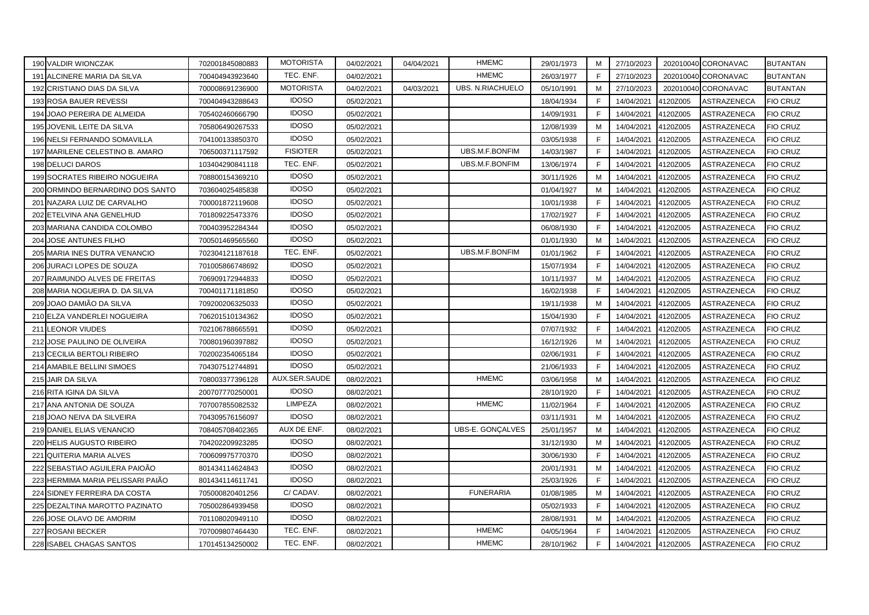| 190 VALDIR WIONCZAK               | 702001845080883 | <b>MOTORISTA</b> | 04/02/2021 | 04/04/2021 | <b>HMEMC</b>            | 29/01/1973 | M           | 27/10/2023 |          | 202010040 CORONAVAC | <b>BUTANTAN</b> |
|-----------------------------------|-----------------|------------------|------------|------------|-------------------------|------------|-------------|------------|----------|---------------------|-----------------|
| 191 ALCINERE MARIA DA SILVA       | 700404943923640 | TEC. ENF.        | 04/02/2021 |            | <b>HMEMC</b>            | 26/03/1977 | F           | 27/10/2023 |          | 202010040 CORONAVAC | <b>BUTANTAN</b> |
| 192 CRISTIANO DIAS DA SILVA       | 700008691236900 | <b>MOTORISTA</b> | 04/02/2021 | 04/03/2021 | <b>UBS. N.RIACHUELO</b> | 05/10/1991 | M           | 27/10/2023 |          | 202010040 CORONAVAC | <b>BUTANTAN</b> |
| 193 ROSA BAUER REVESSI            | 700404943288643 | <b>IDOSO</b>     | 05/02/2021 |            |                         | 18/04/1934 | F.          | 14/04/2021 | 4120Z005 | ASTRAZENECA         | <b>FIO CRUZ</b> |
| 194 JOAO PEREIRA DE ALMEIDA       | 705402460666790 | <b>IDOSO</b>     | 05/02/2021 |            |                         | 14/09/1931 | F           | 14/04/2021 | 4120Z005 | ASTRAZENECA         | <b>FIO CRUZ</b> |
| 195 JOVENIL LEITE DA SILVA        | 705806490267533 | <b>IDOSO</b>     | 05/02/2021 |            |                         | 12/08/1939 | M           | 14/04/2021 | 4120Z005 | ASTRAZENECA         | <b>FIO CRUZ</b> |
| 196 NELSI FERNANDO SOMAVILLA      | 704100133850370 | <b>IDOSO</b>     | 05/02/2021 |            |                         | 03/05/1938 | F           | 14/04/2021 | 4120Z005 | ASTRAZENECA         | <b>FIO CRUZ</b> |
| 197 MARILENE CELESTINO B. AMARO   | 706500371117592 | <b>FISIOTER</b>  | 05/02/2021 |            | UBS.M.F.BONFIM          | 14/03/1987 | F           | 14/04/2021 | 4120Z005 | ASTRAZENECA         | <b>FIO CRUZ</b> |
| 198 DELUCI DAROS                  | 103404290841118 | TEC. ENF.        | 05/02/2021 |            | UBS.M.F.BONFIM          | 13/06/1974 | F           | 14/04/2021 | 4120Z005 | ASTRAZENECA         | <b>FIO CRUZ</b> |
| 199 SOCRATES RIBEIRO NOGUEIRA     | 708800154369210 | <b>IDOSO</b>     | 05/02/2021 |            |                         | 30/11/1926 | M           | 14/04/2021 | 4120Z005 | ASTRAZENECA         | <b>FIO CRUZ</b> |
| 200 ORMINDO BERNARDINO DOS SANTO  | 703604025485838 | <b>IDOSO</b>     | 05/02/2021 |            |                         | 01/04/1927 | M           | 14/04/2021 | 4120Z005 | ASTRAZENECA         | <b>FIO CRUZ</b> |
| 201 NAZARA LUIZ DE CARVALHO       | 700001872119608 | <b>IDOSO</b>     | 05/02/2021 |            |                         | 10/01/1938 | F           | 14/04/2021 | 4120Z005 | ASTRAZENECA         | <b>FIO CRUZ</b> |
| 202 ETELVINA ANA GENELHUD         | 701809225473376 | <b>IDOSO</b>     | 05/02/2021 |            |                         | 17/02/1927 | F           | 14/04/2021 | 4120Z005 | ASTRAZENECA         | <b>FIO CRUZ</b> |
| 203 MARIANA CANDIDA COLOMBO       | 700403952284344 | <b>IDOSO</b>     | 05/02/2021 |            |                         | 06/08/1930 | F           | 14/04/2021 | 4120Z005 | ASTRAZENECA         | <b>FIO CRUZ</b> |
| 204 JOSE ANTUNES FILHO            | 700501469565560 | <b>IDOSO</b>     | 05/02/2021 |            |                         | 01/01/1930 | M           | 14/04/2021 | 4120Z005 | <b>ASTRAZENECA</b>  | <b>FIO CRUZ</b> |
| 205 MARIA INES DUTRA VENANCIO     | 702304121187618 | TEC. ENF.        | 05/02/2021 |            | UBS.M.F.BONFIM          | 01/01/1962 | F.          | 14/04/2021 | 4120Z005 | ASTRAZENECA         | <b>FIO CRUZ</b> |
| 206 JURACI LOPES DE SOUZA         | 701005866748692 | <b>IDOSO</b>     | 05/02/2021 |            |                         | 15/07/1934 | F           | 14/04/2021 | 4120Z005 | ASTRAZENECA         | <b>FIO CRUZ</b> |
| 207 RAIMUNDO ALVES DE FREITAS     | 706909172944833 | <b>IDOSO</b>     | 05/02/2021 |            |                         | 10/11/1937 | м           | 14/04/2021 | 4120Z005 | ASTRAZENECA         | <b>FIO CRUZ</b> |
| 208 MARIA NOGUEIRA D. DA SILVA    | 700401171181850 | <b>IDOSO</b>     | 05/02/2021 |            |                         | 16/02/1938 | F           | 14/04/2021 | 4120Z005 | ASTRAZENECA         | <b>FIO CRUZ</b> |
| 209 JOAO DAMIÃO DA SILVA          | 709200206325033 | <b>IDOSO</b>     | 05/02/2021 |            |                         | 19/11/1938 | M           | 14/04/2021 | 4120Z005 | ASTRAZENECA         | <b>FIO CRUZ</b> |
| 210 ELZA VANDERLEI NOGUEIRA       | 706201510134362 | <b>IDOSO</b>     | 05/02/2021 |            |                         | 15/04/1930 | F.          | 14/04/2021 | 4120Z005 | ASTRAZENECA         | <b>FIO CRUZ</b> |
| 211 LEONOR VIUDES                 | 702106788665591 | <b>IDOSO</b>     | 05/02/2021 |            |                         | 07/07/1932 | F           | 14/04/2021 | 4120Z005 | ASTRAZENECA         | <b>FIO CRUZ</b> |
| 212 JOSE PAULINO DE OLIVEIRA      | 700801960397882 | <b>IDOSO</b>     | 05/02/2021 |            |                         | 16/12/1926 | M           | 14/04/2021 | 4120Z005 | ASTRAZENECA         | <b>FIO CRUZ</b> |
| 213 CECILIA BERTOLI RIBEIRO       | 702002354065184 | <b>IDOSO</b>     | 05/02/2021 |            |                         | 02/06/1931 | $\mathsf F$ | 14/04/2021 | 4120Z005 | ASTRAZENECA         | <b>FIO CRUZ</b> |
| 214 AMABILE BELLINI SIMOES        | 704307512744891 | <b>IDOSO</b>     | 05/02/2021 |            |                         | 21/06/1933 | F           | 14/04/2021 | 4120Z005 | ASTRAZENECA         | <b>FIO CRUZ</b> |
| 215 JAIR DA SILVA                 | 708003377396128 | AUX.SER.SAUDE    | 08/02/2021 |            | <b>HMEMC</b>            | 03/06/1958 | M           | 14/04/2021 | 4120Z005 | ASTRAZENECA         | <b>FIO CRUZ</b> |
| 216 RITA IGINA DA SILVA           | 200707770250001 | <b>IDOSO</b>     | 08/02/2021 |            |                         | 28/10/1920 | F           | 14/04/2021 | 4120Z005 | ASTRAZENECA         | <b>FIO CRUZ</b> |
| 217 ANA ANTONIA DE SOUZA          | 707007855082532 | <b>LIMPEZA</b>   | 08/02/2021 |            | <b>HMEMC</b>            | 11/02/1964 | F           | 14/04/2021 | 4120Z005 | ASTRAZENECA         | <b>FIO CRUZ</b> |
| 218 JOAO NEIVA DA SILVEIRA        | 704309576156097 | <b>IDOSO</b>     | 08/02/2021 |            |                         | 03/11/1931 | M           | 14/04/2021 | 4120Z005 | ASTRAZENECA         | <b>FIO CRUZ</b> |
| 219 DANIEL ELIAS VENANCIO         | 708405708402365 | AUX DE ENF.      | 08/02/2021 |            | UBS-E. GONÇALVES        | 25/01/1957 | M           | 14/04/2021 | 4120Z005 | ASTRAZENECA         | <b>FIO CRUZ</b> |
| 220 HELIS AUGUSTO RIBEIRO         | 704202209923285 | <b>IDOSO</b>     | 08/02/2021 |            |                         | 31/12/1930 | M           | 14/04/2021 | 4120Z005 | ASTRAZENECA         | <b>FIO CRUZ</b> |
| 221 QUITERIA MARIA ALVES          | 700609975770370 | <b>IDOSO</b>     | 08/02/2021 |            |                         | 30/06/1930 | F           | 14/04/2021 | 4120Z005 | ASTRAZENECA         | <b>FIO CRUZ</b> |
| 222 SEBASTIAO AGUILERA PAIOÃO     | 801434114624843 | <b>IDOSO</b>     | 08/02/2021 |            |                         | 20/01/1931 | M           | 14/04/2021 | 4120Z005 | ASTRAZENECA         | <b>FIO CRUZ</b> |
| 223 HERMIMA MARIA PELISSARI PAIÃO | 801434114611741 | <b>IDOSO</b>     | 08/02/2021 |            |                         | 25/03/1926 | F           | 14/04/2021 | 4120Z005 | ASTRAZENECA         | <b>FIO CRUZ</b> |
| 224 SIDNEY FERREIRA DA COSTA      | 705000820401256 | C/CADAV.         | 08/02/2021 |            | <b>FUNERARIA</b>        | 01/08/1985 | M           | 14/04/2021 | 4120Z005 | ASTRAZENECA         | <b>FIO CRUZ</b> |
| 225 DEZALTINA MAROTTO PAZINATO    | 705002864939458 | <b>IDOSO</b>     | 08/02/2021 |            |                         | 05/02/1933 | F           | 14/04/2021 | 4120Z005 | ASTRAZENECA         | <b>FIO CRUZ</b> |
| 226 JOSE OLAVO DE AMORIM          | 701108020949110 | <b>IDOSO</b>     | 08/02/2021 |            |                         | 28/08/1931 | M           | 14/04/2021 | 4120Z005 | ASTRAZENECA         | FIO CRUZ        |
| 227 ROSANI BECKER                 | 707009807464430 | TEC. ENF.        | 08/02/2021 |            | <b>HMEMC</b>            | 04/05/1964 | F           | 14/04/2021 | 4120Z005 | ASTRAZENECA         | <b>FIO CRUZ</b> |
| 228 ISABEL CHAGAS SANTOS          | 170145134250002 | TEC. ENF.        | 08/02/2021 |            | <b>HMEMC</b>            | 28/10/1962 | F.          | 14/04/2021 | 4120Z005 | <b>ASTRAZENECA</b>  | <b>FIO CRUZ</b> |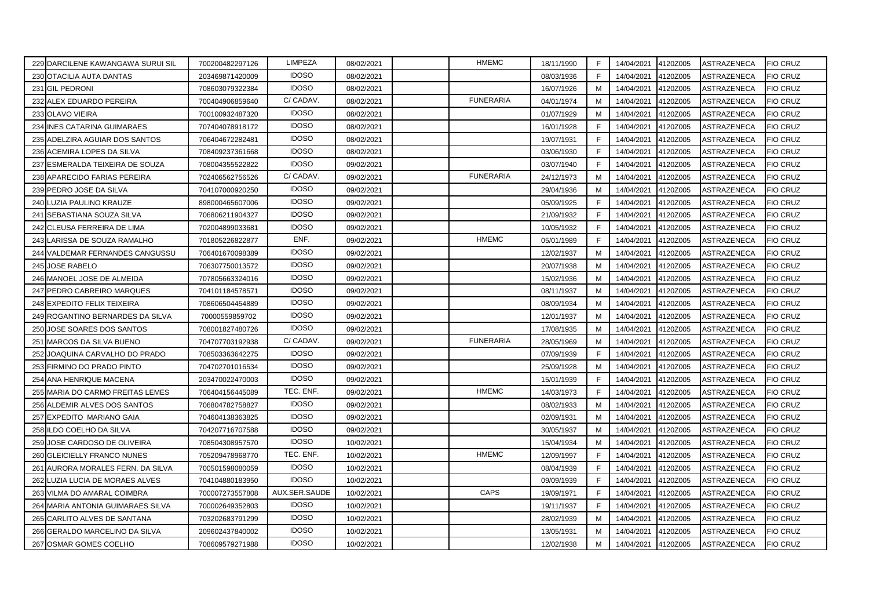| 229 DARCILENE KAWANGAWA SURUI SIL | 700200482297126 | LIMPEZA       | 08/02/2021 | <b>HMEMC</b>     | 18/11/1990 | E  | 14/04/2021 | 4120Z005 | ASTRAZENECA        | <b>FIO CRUZ</b> |
|-----------------------------------|-----------------|---------------|------------|------------------|------------|----|------------|----------|--------------------|-----------------|
| 230 OTACILIA AUTA DANTAS          | 203469871420009 | <b>IDOSO</b>  | 08/02/2021 |                  | 08/03/1936 | F. | 14/04/2021 | 4120Z005 | ASTRAZENECA        | <b>FIO CRUZ</b> |
| 231 GIL PEDRONI                   | 708603079322384 | <b>IDOSO</b>  | 08/02/2021 |                  | 16/07/1926 | M  | 14/04/2021 | 4120Z005 | ASTRAZENECA        | <b>FIO CRUZ</b> |
| 232 ALEX EDUARDO PEREIRA          | 700404906859640 | C/CADAV.      | 08/02/2021 | <b>FUNERARIA</b> | 04/01/1974 | м  | 14/04/2021 | 4120Z005 | ASTRAZENECA        | <b>FIO CRUZ</b> |
| 233 OLAVO VIEIRA                  | 700100932487320 | <b>IDOSO</b>  | 08/02/2021 |                  | 01/07/1929 | M  | 14/04/2021 | 4120Z005 | ASTRAZENECA        | <b>FIO CRUZ</b> |
| 234 INES CATARINA GUIMARAES       | 707404078918172 | <b>IDOSO</b>  | 08/02/2021 |                  | 16/01/1928 | F  | 14/04/2021 | 4120Z005 | ASTRAZENECA        | <b>FIO CRUZ</b> |
| 235 ADELZIRA AGUIAR DOS SANTOS    | 706404672282481 | <b>IDOSO</b>  | 08/02/2021 |                  | 19/07/1931 | F  | 14/04/2021 | 4120Z005 | ASTRAZENECA        | <b>FIO CRUZ</b> |
| 236 ACEMIRA LOPES DA SILVA        | 708409237361668 | <b>IDOSO</b>  | 08/02/2021 |                  | 03/06/1930 | E  | 14/04/2021 | 4120Z005 | ASTRAZENECA        | <b>FIO CRUZ</b> |
| 237 ESMERALDA TEIXEIRA DE SOUZA   | 708004355522822 | <b>IDOSO</b>  | 09/02/2021 |                  | 03/07/1940 | F  | 14/04/2021 | 4120Z005 | ASTRAZENECA        | <b>FIO CRUZ</b> |
| 238 APARECIDO FARIAS PEREIRA      | 702406562756526 | C/CADAV.      | 09/02/2021 | <b>FUNERARIA</b> | 24/12/1973 | M  | 14/04/2021 | 4120Z005 | ASTRAZENECA        | <b>FIO CRUZ</b> |
| 239 PEDRO JOSE DA SILVA           | 704107000920250 | <b>IDOSO</b>  | 09/02/2021 |                  | 29/04/1936 | M  | 14/04/2021 | 4120Z005 | ASTRAZENECA        | <b>FIO CRUZ</b> |
| 240 LUZIA PAULINO KRAUZE          | 898000465607006 | <b>IDOSO</b>  | 09/02/2021 |                  | 05/09/1925 | F  | 14/04/2021 | 4120Z005 | ASTRAZENECA        | <b>FIO CRUZ</b> |
| 241 SEBASTIANA SOUZA SILVA        | 706806211904327 | <b>IDOSO</b>  | 09/02/2021 |                  | 21/09/1932 | F  | 14/04/2021 | 4120Z005 | ASTRAZENECA        | <b>FIO CRUZ</b> |
| 242 CLEUSA FERREIRA DE LIMA       | 702004899033681 | <b>IDOSO</b>  | 09/02/2021 |                  | 10/05/1932 | F  | 14/04/2021 | 4120Z005 | ASTRAZENECA        | <b>FIO CRUZ</b> |
| 243 LARISSA DE SOUZA RAMALHO      | 701805226822877 | ENF.          | 09/02/2021 | <b>HMEMC</b>     | 05/01/1989 | F  | 14/04/2021 | 4120Z005 | ASTRAZENECA        | <b>FIO CRUZ</b> |
| 244 VALDEMAR FERNANDES CANGUSSU   | 706401670098389 | <b>IDOSO</b>  | 09/02/2021 |                  | 12/02/1937 | M  | 14/04/2021 | 4120Z005 | ASTRAZENECA        | <b>FIO CRUZ</b> |
| 245 JOSE RABELO                   | 706307750013572 | <b>IDOSO</b>  | 09/02/2021 |                  | 20/07/1938 | M  | 14/04/2021 | 4120Z005 | ASTRAZENECA        | <b>FIO CRUZ</b> |
| 246 MANOEL JOSE DE ALMEIDA        | 707805663324016 | <b>IDOSO</b>  | 09/02/2021 |                  | 15/02/1936 | M  | 14/04/2021 | 4120Z005 | ASTRAZENECA        | <b>FIO CRUZ</b> |
| 247 PEDRO CABREIRO MARQUES        | 704101184578571 | <b>IDOSO</b>  | 09/02/2021 |                  | 08/11/1937 | м  | 14/04/2021 | 4120Z005 | ASTRAZENECA        | <b>FIO CRUZ</b> |
| 248 EXPEDITO FELIX TEIXEIRA       | 708606504454889 | <b>IDOSO</b>  | 09/02/2021 |                  | 08/09/1934 | M  | 14/04/2021 | 4120Z005 | ASTRAZENECA        | <b>FIO CRUZ</b> |
| 249 ROGANTINO BERNARDES DA SILVA  | 70000559859702  | <b>IDOSO</b>  | 09/02/2021 |                  | 12/01/1937 | M  | 14/04/2021 | 4120Z005 | ASTRAZENECA        | <b>FIO CRUZ</b> |
| 250 JOSE SOARES DOS SANTOS        | 708001827480726 | <b>IDOSO</b>  | 09/02/2021 |                  | 17/08/1935 | M  | 14/04/2021 | 4120Z005 | ASTRAZENECA        | <b>FIO CRUZ</b> |
| 251 MARCOS DA SILVA BUENO         | 704707703192938 | C/CADAV.      | 09/02/2021 | <b>FUNERARIA</b> | 28/05/1969 | м  | 14/04/2021 | 4120Z005 | ASTRAZENECA        | <b>FIO CRUZ</b> |
| 252 JOAQUINA CARVALHO DO PRADO    | 708503363642275 | <b>IDOSO</b>  | 09/02/2021 |                  | 07/09/1939 | F. | 14/04/2021 | 4120Z005 | ASTRAZENECA        | <b>FIO CRUZ</b> |
| 253 FIRMINO DO PRADO PINTO        | 704702701016534 | <b>IDOSO</b>  | 09/02/2021 |                  | 25/09/1928 | M  | 14/04/2021 | 4120Z005 | ASTRAZENECA        | <b>FIO CRUZ</b> |
| 254 ANA HENRIQUE MACENA           | 203470022470003 | <b>IDOSO</b>  | 09/02/2021 |                  | 15/01/1939 | F. | 14/04/2021 | 4120Z005 | ASTRAZENECA        | <b>FIO CRUZ</b> |
| 255 MARIA DO CARMO FREITAS LEMES  | 706404156445089 | TEC. ENF.     | 09/02/2021 | <b>HMEMC</b>     | 14/03/1973 | F  | 14/04/2021 | 4120Z005 | ASTRAZENECA        | <b>FIO CRUZ</b> |
| 256 ALDEMIR ALVES DOS SANTOS      | 706804782758827 | <b>IDOSO</b>  | 09/02/2021 |                  | 08/02/1933 | M  | 14/04/2021 | 4120Z005 | ASTRAZENECA        | <b>FIO CRUZ</b> |
| 257 EXPEDITO MARIANO GAIA         | 704604138363825 | <b>IDOSO</b>  | 09/02/2021 |                  | 02/09/1931 | М  | 14/04/2021 | 4120Z005 | ASTRAZENECA        | <b>FIO CRUZ</b> |
| 258 ILDO COELHO DA SILVA          | 704207716707588 | <b>IDOSO</b>  | 09/02/2021 |                  | 30/05/1937 | M  | 14/04/2021 | 4120Z005 | ASTRAZENECA        | <b>FIO CRUZ</b> |
| 259 JOSE CARDOSO DE OLIVEIRA      | 708504308957570 | <b>IDOSO</b>  | 10/02/2021 |                  | 15/04/1934 | M  | 14/04/2021 | 4120Z005 | ASTRAZENECA        | <b>FIO CRUZ</b> |
| 260 GLEICIELLY FRANCO NUNES       | 705209478968770 | TEC. ENF.     | 10/02/2021 | <b>HMEMC</b>     | 12/09/1997 | F  | 14/04/2021 | 4120Z005 | <b>ASTRAZENECA</b> | <b>FIO CRUZ</b> |
| 261 AURORA MORALES FERN. DA SILVA | 700501598080059 | <b>IDOSO</b>  | 10/02/2021 |                  | 08/04/1939 | E  | 14/04/2021 | 4120Z005 | <b>ASTRAZENECA</b> | <b>FIO CRUZ</b> |
| 262 LUZIA LUCIA DE MORAES ALVES   | 704104880183950 | <b>IDOSO</b>  | 10/02/2021 |                  | 09/09/1939 | F  | 14/04/2021 | 4120Z005 | ASTRAZENECA        | <b>FIO CRUZ</b> |
| 263 VILMA DO AMARAL COIMBRA       | 700007273557808 | AUX.SER.SAUDE | 10/02/2021 | CAPS             | 19/09/1971 | F. | 14/04/2021 | 4120Z005 | ASTRAZENECA        | <b>FIO CRUZ</b> |
| 264 MARIA ANTONIA GUIMARAES SILVA | 700002649352803 | <b>IDOSO</b>  | 10/02/2021 |                  | 19/11/1937 | F. | 14/04/2021 | 4120Z005 | <b>ASTRAZENECA</b> | <b>FIO CRUZ</b> |
| 265 CARLITO ALVES DE SANTANA      | 703202683791299 | <b>IDOSO</b>  | 10/02/2021 |                  | 28/02/1939 | M  | 14/04/2021 | 4120Z005 | ASTRAZENECA        | <b>FIO CRUZ</b> |
| 266 GERALDO MARCELINO DA SILVA    | 209602437840002 | <b>IDOSO</b>  | 10/02/2021 |                  | 13/05/1931 | м  | 14/04/2021 | 4120Z005 | ASTRAZENECA        | <b>FIO CRUZ</b> |
| 267 OSMAR GOMES COELHO            | 708609579271988 | <b>IDOSO</b>  | 10/02/2021 |                  | 12/02/1938 | M  | 14/04/2021 | 4120Z005 | <b>ASTRAZENECA</b> | <b>FIO CRUZ</b> |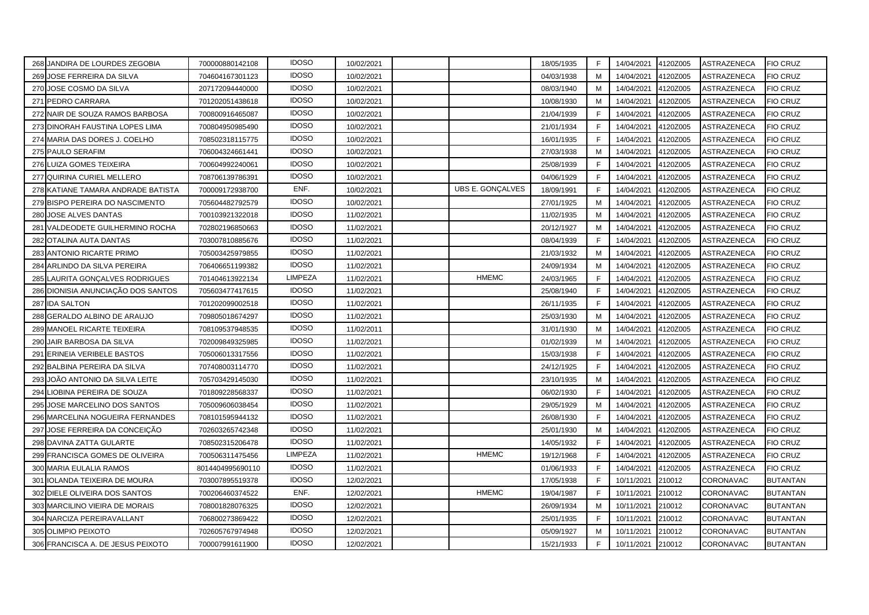|     | 268 JANDIRA DE LOURDES ZEGOBIA     | 700000880142108  | <b>IDOSO</b> | 10/02/2021 |                  | 18/05/1935 | F | 14/04/2021 | 4120Z005 | ASTRAZENECA        | <b>FIO CRUZ</b> |
|-----|------------------------------------|------------------|--------------|------------|------------------|------------|---|------------|----------|--------------------|-----------------|
|     | 269 JOSE FERREIRA DA SILVA         | 704604167301123  | <b>IDOSO</b> | 10/02/2021 |                  | 04/03/1938 | M | 14/04/2021 | 4120Z005 | ASTRAZENECA        | FIO CRUZ        |
|     | 270 JOSE COSMO DA SILVA            | 207172094440000  | <b>IDOSO</b> | 10/02/2021 |                  | 08/03/1940 | M | 14/04/2021 | 4120Z005 | ASTRAZENECA        | <b>FIO CRUZ</b> |
|     | 271 PEDRO CARRARA                  | 701202051438618  | <b>IDOSO</b> | 10/02/2021 |                  | 10/08/1930 | M | 14/04/2021 | 4120Z005 | ASTRAZENECA        | <b>FIO CRUZ</b> |
|     | 272 NAIR DE SOUZA RAMOS BARBOSA    | 700800916465087  | <b>IDOSO</b> | 10/02/2021 |                  | 21/04/1939 | E | 14/04/2021 | 4120Z005 | ASTRAZENECA        | <b>FIO CRUZ</b> |
|     | 273 DINORAH FAUSTINA LOPES LIMA    | 700804950985490  | <b>IDOSO</b> | 10/02/2021 |                  | 21/01/1934 | F | 14/04/2021 | 4120Z005 | ASTRAZENECA        | <b>FIO CRUZ</b> |
|     | 274 MARIA DAS DORES J. COELHO      | 708502318115775  | <b>IDOSO</b> | 10/02/2021 |                  | 16/01/1935 | F | 14/04/2021 | 4120Z005 | ASTRAZENECA        | <b>FIO CRUZ</b> |
|     | 275 PAULO SERAFIM                  | 706004324661441  | <b>IDOSO</b> | 10/02/2021 |                  | 27/03/1938 | M | 14/04/2021 | 4120Z005 | ASTRAZENECA        | FIO CRUZ        |
|     | 276 LUIZA GOMES TEIXEIRA           | 700604992240061  | <b>IDOSO</b> | 10/02/2021 |                  | 25/08/1939 | F | 14/04/2021 | 4120Z005 | ASTRAZENECA        | <b>FIO CRUZ</b> |
|     | 277 QUIRINA CURIEL MELLERO         | 708706139786391  | <b>IDOSO</b> | 10/02/2021 |                  | 04/06/1929 | F | 14/04/2021 | 4120Z005 | ASTRAZENECA        | <b>FIO CRUZ</b> |
|     | 278 KATIANE TAMARA ANDRADE BATISTA | 700009172938700  | ENF.         | 10/02/2021 | UBS E. GONÇALVES | 18/09/1991 | F | 14/04/2021 | 4120Z005 | ASTRAZENECA        | <b>FIO CRUZ</b> |
|     | 279 BISPO PEREIRA DO NASCIMENTO    | 705604482792579  | <b>IDOSO</b> | 10/02/2021 |                  | 27/01/1925 | M | 14/04/2021 | 4120Z005 | ASTRAZENECA        | <b>FIO CRUZ</b> |
|     | 280 JOSE ALVES DANTAS              | 700103921322018  | <b>IDOSO</b> | 11/02/2021 |                  | 11/02/1935 | M | 14/04/2021 | 4120Z005 | ASTRAZENECA        | <b>FIO CRUZ</b> |
|     | 281 VALDEODETE GUILHERMINO ROCHA   | 702802196850663  | <b>IDOSO</b> | 11/02/2021 |                  | 20/12/1927 | M | 14/04/2021 | 4120Z005 | ASTRAZENECA        | <b>FIO CRUZ</b> |
|     | 282 OTALINA AUTA DANTAS            | 703007810885676  | <b>IDOSO</b> | 11/02/2021 |                  | 08/04/1939 | F | 14/04/2021 | 4120Z005 | ASTRAZENECA        | <b>FIO CRUZ</b> |
|     | 283 ANTONIO RICARTE PRIMO          | 705003425979855  | <b>IDOSO</b> | 11/02/2021 |                  | 21/03/1932 | M | 14/04/2021 | 4120Z005 | ASTRAZENECA        | <b>FIO CRUZ</b> |
|     | 284 ARLINDO DA SILVA PEREIRA       | 706406651199382  | <b>IDOSO</b> | 11/02/2021 |                  | 24/09/1934 | M | 14/04/2021 | 4120Z005 | ASTRAZENECA        | <b>FIO CRUZ</b> |
|     | 285 LAURITA GONÇALVES RODRIGUES    | 701404613922134  | LIMPEZA      | 11/02/2021 | <b>HMEMC</b>     | 24/03/1965 | F | 14/04/2021 | 4120Z005 | ASTRAZENECA        | <b>FIO CRUZ</b> |
|     | 286 DIONISIA ANUNCIAÇÃO DOS SANTOS | 705603477417615  | <b>IDOSO</b> | 11/02/2021 |                  | 25/08/1940 | F | 14/04/2021 | 4120Z005 | ASTRAZENECA        | <b>FIO CRUZ</b> |
|     | 287 IDA SALTON                     | 701202099002518  | <b>IDOSO</b> | 11/02/2021 |                  | 26/11/1935 | F | 14/04/2021 | 4120Z005 | ASTRAZENECA        | <b>FIO CRUZ</b> |
|     | 288 GERALDO ALBINO DE ARAUJO       | 709805018674297  | <b>IDOSO</b> | 11/02/2021 |                  | 25/03/1930 | M | 14/04/2021 | 4120Z005 | ASTRAZENECA        | <b>FIO CRUZ</b> |
|     | 289 MANOEL RICARTE TEIXEIRA        | 708109537948535  | <b>IDOSO</b> | 11/02/2011 |                  | 31/01/1930 | M | 14/04/2021 | 4120Z005 | ASTRAZENECA        | <b>FIO CRUZ</b> |
|     | 290 JAIR BARBOSA DA SILVA          | 702009849325985  | <b>IDOSO</b> | 11/02/2021 |                  | 01/02/1939 | M | 14/04/2021 | 4120Z005 | ASTRAZENECA        | <b>FIO CRUZ</b> |
|     | 291 ERINEIA VERIBELE BASTOS        | 705006013317556  | <b>IDOSO</b> | 11/02/2021 |                  | 15/03/1938 | F | 14/04/2021 | 4120Z005 | <b>ASTRAZENECA</b> | <b>FIO CRUZ</b> |
|     | 292 BALBINA PEREIRA DA SILVA       | 707408003114770  | <b>IDOSO</b> | 11/02/2021 |                  | 24/12/1925 | F | 14/04/2021 | 4120Z005 | ASTRAZENECA        | <b>FIO CRUZ</b> |
|     | 293 JOÃO ANTONIO DA SILVA LEITE    | 705703429145030  | <b>IDOSO</b> | 11/02/2021 |                  | 23/10/1935 | M | 14/04/2021 | 4120Z005 | <b>ASTRAZENECA</b> | <b>FIO CRUZ</b> |
| 294 | LIOBINA PEREIRA DE SOUZA           | 701809228568337  | <b>IDOSO</b> | 11/02/2021 |                  | 06/02/1930 | F | 14/04/2021 | 4120Z005 | ASTRAZENECA        | <b>FIO CRUZ</b> |
|     | 295 JOSE MARCELINO DOS SANTOS      | 705009606038454  | <b>IDOSO</b> | 11/02/2021 |                  | 29/05/1929 | M | 14/04/2021 | 4120Z005 | ASTRAZENECA        | <b>FIO CRUZ</b> |
|     | 296 MARCELINA NOGUEIRA FERNANDES   | 708101595944132  | <b>IDOSO</b> | 11/02/2021 |                  | 26/08/1930 | F | 14/04/2021 | 4120Z005 | ASTRAZENECA        | <b>FIO CRUZ</b> |
|     | 297 JOSE FERREIRA DA CONCEIÇÃO     | 702603265742348  | <b>IDOSO</b> | 11/02/2021 |                  | 25/01/1930 | M | 14/04/2021 | 4120Z005 | ASTRAZENECA        | <b>FIO CRUZ</b> |
|     | 298 DAVINA ZATTA GULARTE           | 708502315206478  | <b>IDOSO</b> | 11/02/2021 |                  | 14/05/1932 | F | 14/04/2021 | 4120Z005 | ASTRAZENECA        | FIO CRUZ        |
|     | 299 FRANCISCA GOMES DE OLIVEIRA    | 700506311475456  | LIMPEZA      | 11/02/2021 | <b>HMEMC</b>     | 19/12/1968 | F | 14/04/2021 | 4120Z005 | ASTRAZENECA        | <b>FIO CRUZ</b> |
|     | 300 MARIA EULALIA RAMOS            | 8014404995690110 | <b>IDOSO</b> | 11/02/2021 |                  | 01/06/1933 | F | 14/04/2021 | 4120Z005 | ASTRAZENECA        | <b>FIO CRUZ</b> |
| 301 | <b>IOLANDA TEIXEIRA DE MOURA</b>   | 703007895519378  | <b>IDOSO</b> | 12/02/2021 |                  | 17/05/1938 | F | 10/11/2021 | 210012   | <b>CORONAVAC</b>   | <b>BUTANTAN</b> |
|     | 302 DIELE OLIVEIRA DOS SANTOS      | 700206460374522  | ENF.         | 12/02/2021 | <b>HMEMC</b>     | 19/04/1987 | F | 10/11/2021 | 210012   | CORONAVAC          | <b>BUTANTAN</b> |
|     | 303 MARCILINO VIEIRA DE MORAIS     | 708001828076325  | <b>IDOSO</b> | 12/02/2021 |                  | 26/09/1934 | M | 10/11/2021 | 210012   | CORONAVAC          | <b>BUTANTAN</b> |
|     | 304 NARCIZA PEREIRAVALLANT         | 706800273869422  | <b>IDOSO</b> | 12/02/2021 |                  | 25/01/1935 | E | 10/11/2021 | 210012   | <b>CORONAVAC</b>   | <b>BUTANTAN</b> |
|     | 305 OLIMPIO PEIXOTO                | 702605767974948  | <b>IDOSO</b> | 12/02/2021 |                  | 05/09/1927 | M | 10/11/2021 | 210012   | <b>CORONAVAC</b>   | <b>BUTANTAN</b> |
|     | 306 FRANCISCA A. DE JESUS PEIXOTO  | 700007991611900  | <b>IDOSO</b> | 12/02/2021 |                  | 15/21/1933 | F | 10/11/2021 | 210012   | <b>CORONAVAC</b>   | <b>BUTANTAN</b> |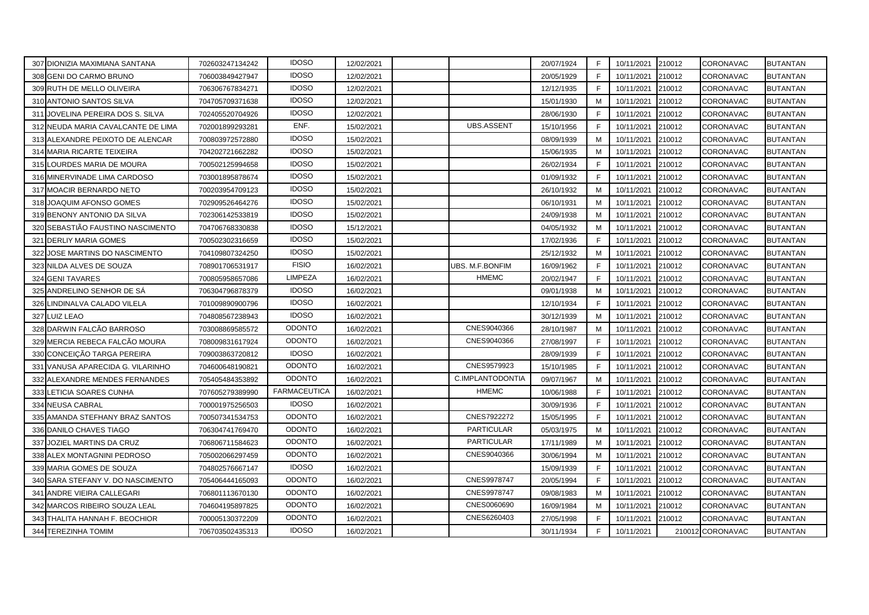|     | 307 DIONIZIA MAXIMIANA SANTANA     | 702603247134242 | <b>IDOSO</b>        | 12/02/2021 |                   | 20/07/1924 | F. | 10/11/2021 | 210012 | <b>CORONAVAC</b> | <b>BUTANTAN</b> |
|-----|------------------------------------|-----------------|---------------------|------------|-------------------|------------|----|------------|--------|------------------|-----------------|
|     | 308 GENI DO CARMO BRUNO            | 706003849427947 | <b>IDOSO</b>        | 12/02/2021 |                   | 20/05/1929 | F  | 10/11/2021 | 210012 | CORONAVAC        | BUTANTAN        |
|     | 309 RUTH DE MELLO OLIVEIRA         | 706306767834271 | <b>IDOSO</b>        | 12/02/2021 |                   | 12/12/1935 | F  | 10/11/2021 | 210012 | CORONAVAC        | BUTANTAN        |
|     | 310 ANTONIO SANTOS SILVA           | 704705709371638 | <b>IDOSO</b>        | 12/02/2021 |                   | 15/01/1930 | M  | 10/11/2021 | 210012 | CORONAVAC        | BUTANTAN        |
|     | 311 JOVELINA PEREIRA DOS S. SILVA  | 702405520704926 | <b>IDOSO</b>        | 12/02/2021 |                   | 28/06/1930 | F  | 10/11/2021 | 210012 | CORONAVAC        | BUTANTAN        |
|     | 312 NEUDA MARIA CAVALCANTE DE LIMA | 702001899293281 | ENF.                | 15/02/2021 | <b>UBS.ASSENT</b> | 15/10/1956 | E  | 10/11/2021 | 210012 | CORONAVAC        | <b>BUTANTAN</b> |
|     | 313 ALEXANDRE PEIXOTO DE ALENCAR   | 700803972572880 | <b>IDOSO</b>        | 15/02/2021 |                   | 08/09/1939 | M  | 10/11/2021 | 210012 | CORONAVAC        | <b>BUTANTAN</b> |
|     | 314 MARIA RICARTE TEIXEIRA         | 704202721662282 | <b>IDOSO</b>        | 15/02/2021 |                   | 15/06/1935 | M  | 10/11/2021 | 210012 | CORONAVAC        | <b>BUTANTAN</b> |
|     | 315 LOURDES MARIA DE MOURA         | 700502125994658 | <b>IDOSO</b>        | 15/02/2021 |                   | 26/02/1934 | F  | 10/11/2021 | 210012 | CORONAVAC        | <b>BUTANTAN</b> |
|     | 316 MINERVINADE LIMA CARDOSO       | 703001895878674 | <b>IDOSO</b>        | 15/02/2021 |                   | 01/09/1932 | F  | 10/11/2021 | 210012 | CORONAVAC        | <b>BUTANTAN</b> |
|     | 317 MOACIR BERNARDO NETO           | 700203954709123 | <b>IDOSO</b>        | 15/02/2021 |                   | 26/10/1932 | M  | 10/11/2021 | 210012 | CORONAVAC        | <b>BUTANTAN</b> |
|     | 318 JOAQUIM AFONSO GOMES           | 702909526464276 | <b>IDOSO</b>        | 15/02/2021 |                   | 06/10/1931 | м  | 10/11/2021 | 210012 | CORONAVAC        | <b>BUTANTAN</b> |
|     | 319 BENONY ANTONIO DA SILVA        | 702306142533819 | <b>IDOSO</b>        | 15/02/2021 |                   | 24/09/1938 | М  | 10/11/2021 | 210012 | CORONAVAC        | <b>BUTANTAN</b> |
|     | 320 SEBASTIÃO FAUSTINO NASCIMENTO  | 704706768330838 | <b>IDOSO</b>        | 15/12/2021 |                   | 04/05/1932 | M  | 10/11/2021 | 210012 | CORONAVAC        | BUTANTAN        |
|     | 321 DERLIY MARIA GOMES             | 700502302316659 | <b>IDOSO</b>        | 15/02/2021 |                   | 17/02/1936 | F  | 10/11/2021 | 210012 | CORONAVAC        | BUTANTAN        |
| 322 | JOSE MARTINS DO NASCIMENTO         | 704109807324250 | <b>IDOSO</b>        | 15/02/2021 |                   | 25/12/1932 | M  | 10/11/2021 | 210012 | CORONAVAC        | BUTANTAN        |
|     | 323 NILDA ALVES DE SOUZA           | 708901706531917 | <b>FISIO</b>        | 16/02/2021 | UBS. M.F.BONFIM   | 16/09/1962 | F  | 10/11/2021 | 210012 | CORONAVAC        | <b>BUTANTAN</b> |
|     | 324 GENI TAVARES                   | 700805958657086 | <b>LIMPEZA</b>      | 16/02/2021 | <b>HMEMC</b>      | 20/02/1947 | E  | 10/11/2021 | 210012 | CORONAVAC        | <b>BUTANTAN</b> |
|     | 325 ANDRELINO SENHOR DE SÁ         | 706304796878379 | <b>IDOSO</b>        | 16/02/2021 |                   | 09/01/1938 | M  | 10/11/2021 | 210012 | CORONAVAC        | BUTANTAN        |
| 326 | LINDINALVA CALADO VILELA           | 701009890900796 | <b>IDOSO</b>        | 16/02/2021 |                   | 12/10/1934 | F  | 10/11/2021 | 210012 | CORONAVAC        | <b>BUTANTAN</b> |
|     | 327 LUIZ LEAO                      | 704808567238943 | <b>IDOSO</b>        | 16/02/2021 |                   | 30/12/1939 | M  | 10/11/2021 | 210012 | CORONAVAC        | BUTANTAN        |
|     | 328 DARWIN FALCÃO BARROSO          | 703008869585572 | <b>ODONTO</b>       | 16/02/2021 | CNES9040366       | 28/10/1987 | M  | 10/11/2021 | 210012 | CORONAVAC        | <b>BUTANTAN</b> |
|     | 329 MERCIA REBECA FALCÃO MOURA     | 708009831617924 | <b>ODONTO</b>       | 16/02/2021 | CNES9040366       | 27/08/1997 | F  | 10/11/2021 | 210012 | CORONAVAC        | <b>BUTANTAN</b> |
|     | 330 CONCEIÇÃO TARGA PEREIRA        | 709003863720812 | <b>IDOSO</b>        | 16/02/2021 |                   | 28/09/1939 | E  | 10/11/2021 | 210012 | CORONAVAC        | BUTANTAN        |
|     | 331 VANUSA APARECIDA G. VILARINHO  | 704600648190821 | <b>ODONTO</b>       | 16/02/2021 | CNES9579923       | 15/10/1985 | F  | 10/11/2021 | 210012 | CORONAVAC        | BUTANTAN        |
|     | 332 ALEXANDRE MENDES FERNANDES     | 705405484353892 | <b>ODONTO</b>       | 16/02/2021 | C.IMPLANTODONTIA  | 09/07/1967 | M  | 10/11/2021 | 210012 | CORONAVAC        | BUTANTAN        |
|     | 333 LETICIA SOARES CUNHA           | 707605279389990 | <b>FARMACEUTICA</b> | 16/02/2021 | <b>HMEMC</b>      | 10/06/1988 | F  | 10/11/2021 | 210012 | CORONAVAC        | BUTANTAN        |
|     | 334 NEUSA CABRAL                   | 700001975256503 | <b>IDOSO</b>        | 16/02/2021 |                   | 30/09/1936 | F  | 10/11/2021 | 210012 | CORONAVAC        | BUTANTAN        |
|     | 335 AMANDA STEFHANY BRAZ SANTOS    | 700507341534753 | <b>ODONTO</b>       | 16/02/2021 | CNES7922272       | 15/05/1995 | F  | 10/11/2021 | 210012 | CORONAVAC        | <b>BUTANTAN</b> |
|     | 336 DANILO CHAVES TIAGO            | 706304741769470 | <b>ODONTO</b>       | 16/02/2021 | <b>PARTICULAR</b> | 05/03/1975 | M  | 10/11/2021 | 210012 | CORONAVAC        | <b>BUTANTAN</b> |
|     | 337 JOZIEL MARTINS DA CRUZ         | 706806711584623 | <b>ODONTO</b>       | 16/02/2021 | <b>PARTICULAR</b> | 17/11/1989 | М  | 10/11/2021 | 210012 | CORONAVAC        | <b>BUTANTAN</b> |
|     | 338 ALEX MONTAGNINI PEDROSO        | 705002066297459 | <b>ODONTO</b>       | 16/02/2021 | CNES9040366       | 30/06/1994 | M  | 10/11/2021 | 210012 | CORONAVAC        | <b>BUTANTAN</b> |
|     | 339 MARIA GOMES DE SOUZA           | 704802576667147 | <b>IDOSO</b>        | 16/02/2021 |                   | 15/09/1939 | E  | 10/11/2021 | 210012 | CORONAVAC        | <b>BUTANTAN</b> |
|     | 340 SARA STEFANY V. DO NASCIMENTO  | 705406444165093 | <b>ODONTO</b>       | 16/02/2021 | CNES9978747       | 20/05/1994 | F  | 10/11/2021 | 210012 | CORONAVAC        | <b>BUTANTAN</b> |
|     | 341 ANDRE VIEIRA CALLEGARI         | 706801113670130 | <b>ODONTO</b>       | 16/02/2021 | CNES9978747       | 09/08/1983 | M  | 10/11/2021 | 210012 | CORONAVAC        | <b>BUTANTAN</b> |
|     | 342 MARCOS RIBEIRO SOUZA LEAL      | 704604195897825 | <b>ODONTO</b>       | 16/02/2021 | CNES0060690       | 16/09/1984 | м  | 10/11/2021 | 210012 | CORONAVAC        | BUTANTAN        |
|     | 343 THALITA HANNAH F. BEOCHIOR     | 700005130372209 | <b>ODONTO</b>       | 16/02/2021 | CNES6260403       | 27/05/1998 | F  | 10/11/2021 | 210012 | CORONAVAC        | BUTANTAN        |
|     | 344 TEREZINHA TOMIM                | 706703502435313 | <b>IDOSO</b>        | 16/02/2021 |                   | 30/11/1934 | F  | 10/11/2021 |        | 210012 CORONAVAC | <b>BUTANTAN</b> |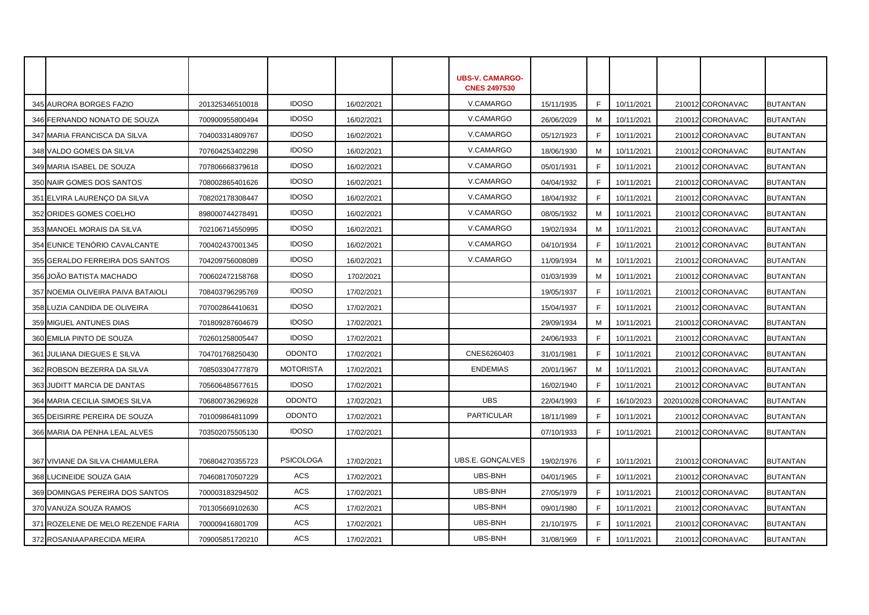|                                    |                 |                  |            | <b>UBS-V. CAMARGO-</b><br><b>CNES 2497530</b> |            |    |            |                     |                 |
|------------------------------------|-----------------|------------------|------------|-----------------------------------------------|------------|----|------------|---------------------|-----------------|
| 345 AURORA BORGES FAZIO            | 201325346510018 | <b>IDOSO</b>     | 16/02/2021 | V.CAMARGO                                     | 15/11/1935 | F  | 10/11/2021 | 210012 CORONAVAC    | <b>BUTANTAN</b> |
| 346 FERNANDO NONATO DE SOUZA       | 700900955800494 | <b>IDOSO</b>     | 16/02/2021 | V.CAMARGO                                     | 26/06/2029 | м  | 10/11/2021 | 210012 CORONAVAC    | <b>BUTANTAN</b> |
| 347 MARIA FRANCISCA DA SILVA       | 704003314809767 | <b>IDOSO</b>     | 16/02/2021 | V.CAMARGO                                     | 05/12/1923 | F. | 10/11/2021 | 210012 CORONAVAC    | <b>BUTANTAN</b> |
| 348 VALDO GOMES DA SILVA           | 707604253402298 | <b>IDOSO</b>     | 16/02/2021 | V.CAMARGO                                     | 18/06/1930 | M  | 10/11/2021 | 210012 CORONAVAC    | <b>BUTANTAN</b> |
| 349 MARIA ISABEL DE SOUZA          | 707806668379618 | <b>IDOSO</b>     | 16/02/2021 | V.CAMARGO                                     | 05/01/1931 | F. | 10/11/2021 | 210012 CORONAVAC    | <b>BUTANTAN</b> |
| 350 NAIR GOMES DOS SANTOS          | 708002865401626 | <b>IDOSO</b>     | 16/02/2021 | V.CAMARGO                                     | 04/04/1932 | F. | 10/11/2021 | 210012 CORONAVAC    | <b>BUTANTAN</b> |
| 351 ELVIRA LAURENÇO DA SILVA       | 708202178308447 | <b>IDOSO</b>     | 16/02/2021 | V.CAMARGO                                     | 18/04/1932 | F  | 10/11/2021 | 210012 CORONAVAC    | <b>BUTANTAN</b> |
| 352 ORIDES GOMES COELHO            | 898000744278491 | <b>IDOSO</b>     | 16/02/2021 | V.CAMARGO                                     | 08/05/1932 | M  | 10/11/2021 | 210012 CORONAVAC    | <b>BUTANTAN</b> |
| 353 MANOEL MORAIS DA SILVA         | 702106714550995 | <b>IDOSO</b>     | 16/02/2021 | V.CAMARGO                                     | 19/02/1934 | M  | 10/11/2021 | 210012 CORONAVAC    | <b>BUTANTAN</b> |
| 354 EUNICE TENÓRIO CAVALCANTE      | 700402437001345 | <b>IDOSO</b>     | 16/02/2021 | V.CAMARGO                                     | 04/10/1934 | F. | 10/11/2021 | 210012 CORONAVAC    | <b>BUTANTAN</b> |
| 355 GERALDO FERREIRA DOS SANTOS    | 704209756008089 | <b>IDOSO</b>     | 16/02/2021 | V.CAMARGO                                     | 11/09/1934 | M  | 10/11/2021 | 210012 CORONAVAC    | <b>BUTANTAN</b> |
| 356 JOÃO BATISTA MACHADO           | 700602472158768 | <b>IDOSO</b>     | 1702/2021  |                                               | 01/03/1939 | M  | 10/11/2021 | 210012 CORONAVAC    | <b>BUTANTAN</b> |
| 357 NOEMIA OLIVEIRA PAIVA BATAIOLI | 708403796295769 | <b>IDOSO</b>     | 17/02/2021 |                                               | 19/05/1937 | F. | 10/11/2021 | 210012 CORONAVAC    | <b>BUTANTAN</b> |
| 358 LUZIA CANDIDA DE OLIVEIRA      | 707002864410631 | <b>IDOSO</b>     | 17/02/2021 |                                               | 15/04/1937 | F. | 10/11/2021 | 210012 CORONAVAC    | <b>BUTANTAN</b> |
| 359 MIGUEL ANTUNES DIAS            | 701809287604679 | <b>IDOSO</b>     | 17/02/2021 |                                               | 29/09/1934 | M  | 10/11/2021 | 210012 CORONAVAC    | <b>BUTANTAN</b> |
| 360 EMILIA PINTO DE SOUZA          | 702601258005447 | <b>IDOSO</b>     | 17/02/2021 |                                               | 24/06/1933 | F. | 10/11/2021 | 210012 CORONAVAC    | <b>BUTANTAN</b> |
| 361 JULIANA DIEGUES E SILVA        | 704701768250430 | <b>ODONTO</b>    | 17/02/2021 | CNES6260403                                   | 31/01/1981 | F. | 10/11/2021 | 210012 CORONAVAC    | <b>BUTANTAN</b> |
| 362 ROBSON BEZERRA DA SILVA        | 708503304777879 | <b>MOTORISTA</b> | 17/02/2021 | <b>ENDEMIAS</b>                               | 20/01/1967 | M  | 10/11/2021 | 210012 CORONAVAC    | <b>BUTANTAN</b> |
| 363 JUDITT MARCIA DE DANTAS        | 705606485677615 | <b>IDOSO</b>     | 17/02/2021 |                                               | 16/02/1940 | F  | 10/11/2021 | 210012 CORONAVAC    | <b>BUTANTAN</b> |
| 364 MARIA CECILIA SIMOES SILVA     | 706800736296928 | <b>ODONTO</b>    | 17/02/2021 | <b>UBS</b>                                    | 22/04/1993 | F. | 16/10/2023 | 202010028 CORONAVAC | <b>BUTANTAN</b> |
| 365 DEISIRRE PEREIRA DE SOUZA      | 701009864811099 | <b>ODONTO</b>    | 17/02/2021 | <b>PARTICULAR</b>                             | 18/11/1989 | F. | 10/11/2021 | 210012 CORONAVAC    | <b>BUTANTAN</b> |
| 366 MARIA DA PENHA LEAL ALVES      | 703502075505130 | <b>IDOSO</b>     | 17/02/2021 |                                               | 07/10/1933 | F. | 10/11/2021 | 210012 CORONAVAC    | <b>BUTANTAN</b> |
|                                    |                 |                  |            |                                               |            |    |            |                     |                 |
| 367 VIVIANE DA SILVA CHIAMULERA    | 706804270355723 | <b>PSICOLOGA</b> | 17/02/2021 | UBS.E. GONÇALVES                              | 19/02/1976 | F. | 10/11/2021 | 210012 CORONAVAC    | <b>BUTANTAN</b> |
| 368 LUCINEIDE SOUZA GAIA           | 704608170507229 | ACS              | 17/02/2021 | UBS-BNH                                       | 04/01/1965 | F. | 10/11/2021 | 210012 CORONAVAC    | <b>BUTANTAN</b> |
| 369 DOMINGAS PEREIRA DOS SANTOS    | 700003183294502 | <b>ACS</b>       | 17/02/2021 | UBS-BNH                                       | 27/05/1979 | F  | 10/11/2021 | 210012 CORONAVAC    | <b>BUTANTAN</b> |
| 370 VANUZA SOUZA RAMOS             | 701305669102630 | ACS              | 17/02/2021 | UBS-BNH                                       | 09/01/1980 | F. | 10/11/2021 | 210012 CORONAVAC    | <b>BUTANTAN</b> |
| 371 ROZELENE DE MELO REZENDE FARIA | 700009416801709 | <b>ACS</b>       | 17/02/2021 | UBS-BNH                                       | 21/10/1975 | F. | 10/11/2021 | 210012 CORONAVAC    | <b>BUTANTAN</b> |
| 372 ROSANIAAPARECIDA MEIRA         | 709005851720210 | <b>ACS</b>       | 17/02/2021 | <b>UBS-BNH</b>                                | 31/08/1969 | F. | 10/11/2021 | 210012 CORONAVAC    | <b>BUTANTAN</b> |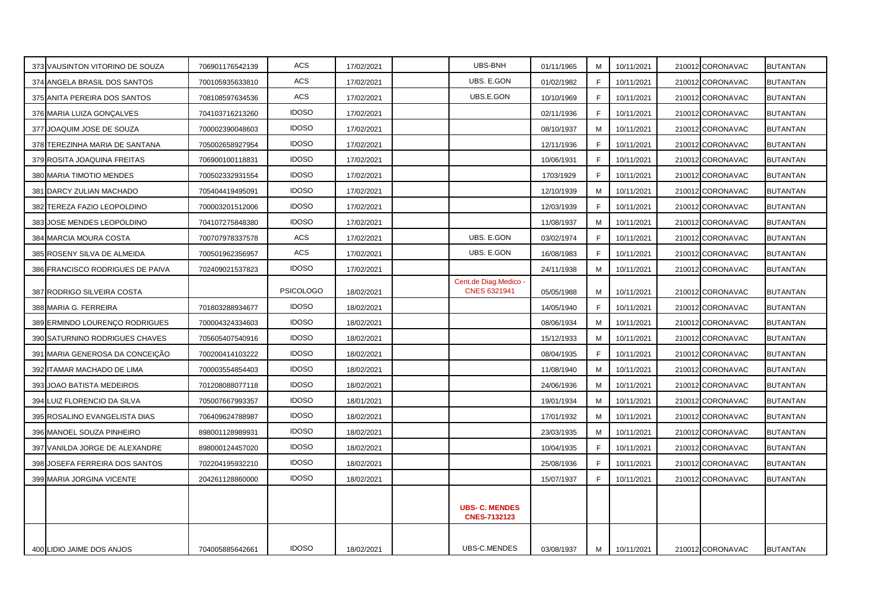| 373 VAUSINTON VITORINO DE SOUZA  | 706901176542139 | <b>ACS</b>       | 17/02/2021 | UBS-BNH                                      | 01/11/1965 | M | 10/11/2021 | 210012 CORONAVAC | <b>BUTANTAN</b> |
|----------------------------------|-----------------|------------------|------------|----------------------------------------------|------------|---|------------|------------------|-----------------|
| 374 ANGELA BRASIL DOS SANTOS     | 700105935633810 | <b>ACS</b>       | 17/02/2021 | UBS. E.GON                                   | 01/02/1982 | F | 10/11/2021 | 210012 CORONAVAC | <b>BUTANTAN</b> |
| 375 ANITA PEREIRA DOS SANTOS     | 708108597634536 | <b>ACS</b>       | 17/02/2021 | UBS.E.GON                                    | 10/10/1969 | F | 10/11/2021 | 210012 CORONAVAC | <b>BUTANTAN</b> |
| 376 MARIA LUIZA GONÇALVES        | 704103716213260 | <b>IDOSO</b>     | 17/02/2021 |                                              | 02/11/1936 | F | 10/11/2021 | 210012 CORONAVAC | <b>BUTANTAN</b> |
| 377 JOAQUIM JOSE DE SOUZA        | 700002390048603 | <b>IDOSO</b>     | 17/02/2021 |                                              | 08/10/1937 | м | 10/11/2021 | 210012 CORONAVAC | BUTANTAN        |
| 378 TEREZINHA MARIA DE SANTANA   | 705002658927954 | <b>IDOSO</b>     | 17/02/2021 |                                              | 12/11/1936 | F | 10/11/2021 | 210012 CORONAVAC | <b>BUTANTAN</b> |
| 379 ROSITA JOAQUINA FREITAS      | 706900100118831 | <b>IDOSO</b>     | 17/02/2021 |                                              | 10/06/1931 | F | 10/11/2021 | 210012 CORONAVAC | <b>BUTANTAN</b> |
| 380 MARIA TIMOTIO MENDES         | 700502332931554 | <b>IDOSO</b>     | 17/02/2021 |                                              | 1703/1929  | E | 10/11/2021 | 210012 CORONAVAC | <b>BUTANTAN</b> |
| 381 DARCY ZULIAN MACHADO         | 705404419495091 | <b>IDOSO</b>     | 17/02/2021 |                                              | 12/10/1939 | M | 10/11/2021 | 210012 CORONAVAC | <b>BUTANTAN</b> |
| 382 TEREZA FAZIO LEOPOLDINO      | 700003201512006 | <b>IDOSO</b>     | 17/02/2021 |                                              | 12/03/1939 | E | 10/11/2021 | 210012 CORONAVAC | <b>BUTANTAN</b> |
| 383 JOSE MENDES LEOPOLDINO       | 704107275848380 | <b>IDOSO</b>     | 17/02/2021 |                                              | 11/08/1937 | M | 10/11/2021 | 210012 CORONAVAC | <b>BUTANTAN</b> |
| 384 MARCIA MOURA COSTA           | 700707978337578 | ACS              | 17/02/2021 | UBS. E.GON                                   | 03/02/1974 | F | 10/11/2021 | 210012 CORONAVAC | <b>BUTANTAN</b> |
| 385 ROSENY SILVA DE ALMEIDA      | 700501962356957 | <b>ACS</b>       | 17/02/2021 | UBS. E.GON                                   | 16/08/1983 | F | 10/11/2021 | 210012 CORONAVAC | <b>BUTANTAN</b> |
| 386 FRANCISCO RODRIGUES DE PAIVA | 702409021537823 | <b>IDOSO</b>     | 17/02/2021 |                                              | 24/11/1938 | М | 10/11/2021 | 210012 CORONAVAC | <b>BUTANTAN</b> |
| 387 RODRIGO SILVEIRA COSTA       |                 | <b>PSICOLOGO</b> | 18/02/2021 | Cent.de Diag.Medico<br><b>CNES 6321941</b>   | 05/05/1988 | м | 10/11/2021 | 210012 CORONAVAC | <b>BUTANTAN</b> |
| 388 MARIA G. FERREIRA            | 701803288934677 | <b>IDOSO</b>     | 18/02/2021 |                                              | 14/05/1940 | E | 10/11/2021 | 210012 CORONAVAC | <b>BUTANTAN</b> |
| 389 ERMINDO LOURENÇO RODRIGUES   | 700004324334603 | <b>IDOSO</b>     | 18/02/2021 |                                              | 08/06/1934 | м | 10/11/2021 | 210012 CORONAVAC | <b>BUTANTAN</b> |
| 390 SATURNINO RODRIGUES CHAVES   | 705605407540916 | <b>IDOSO</b>     | 18/02/2021 |                                              | 15/12/1933 | м | 10/11/2021 | 210012 CORONAVAC | <b>BUTANTAN</b> |
| 391 MARIA GENEROSA DA CONCEIÇÃO  | 700200414103222 | <b>IDOSO</b>     | 18/02/2021 |                                              | 08/04/1935 | F | 10/11/2021 | 210012 CORONAVAC | <b>BUTANTAN</b> |
| 392 ITAMAR MACHADO DE LIMA       | 700003554854403 | <b>IDOSO</b>     | 18/02/2021 |                                              | 11/08/1940 | M | 10/11/2021 | 210012 CORONAVAC | <b>BUTANTAN</b> |
| 393 JOAO BATISTA MEDEIROS        | 701208088077118 | <b>IDOSO</b>     | 18/02/2021 |                                              | 24/06/1936 | M | 10/11/2021 | 210012 CORONAVAC | <b>BUTANTAN</b> |
| 394 LUIZ FLORENCIO DA SILVA      | 705007667993357 | <b>IDOSO</b>     | 18/01/2021 |                                              | 19/01/1934 | M | 10/11/2021 | 210012 CORONAVAC | <b>BUTANTAN</b> |
| 395 ROSALINO EVANGELISTA DIAS    | 706409624788987 | <b>IDOSO</b>     | 18/02/2021 |                                              | 17/01/1932 | M | 10/11/2021 | 210012 CORONAVAC | <b>BUTANTAN</b> |
| 396 MANOEL SOUZA PINHEIRO        | 898001128989931 | <b>IDOSO</b>     | 18/02/2021 |                                              | 23/03/1935 | M | 10/11/2021 | 210012 CORONAVAC | <b>BUTANTAN</b> |
| 397 VANILDA JORGE DE ALEXANDRE   | 898000124457020 | <b>IDOSO</b>     | 18/02/2021 |                                              | 10/04/1935 | F | 10/11/2021 | 210012 CORONAVAC | <b>BUTANTAN</b> |
| 398 JOSEFA FERREIRA DOS SANTOS   | 702204195932210 | <b>IDOSO</b>     | 18/02/2021 |                                              | 25/08/1936 | E | 10/11/2021 | 210012 CORONAVAC | BUTANTAN        |
| 399 MARIA JORGINA VICENTE        | 204261128860000 | <b>IDOSO</b>     | 18/02/2021 |                                              | 15/07/1937 | F | 10/11/2021 | 210012 CORONAVAC | <b>BUTANTAN</b> |
|                                  |                 |                  |            | <b>UBS- C. MENDES</b><br><b>CNES-7132123</b> |            |   |            |                  |                 |
| 400 LIDIO JAIME DOS ANJOS        | 704005885642661 | <b>IDOSO</b>     | 18/02/2021 | UBS-C.MENDES                                 | 03/08/1937 | M | 10/11/2021 | 210012 CORONAVAC | <b>BUTANTAN</b> |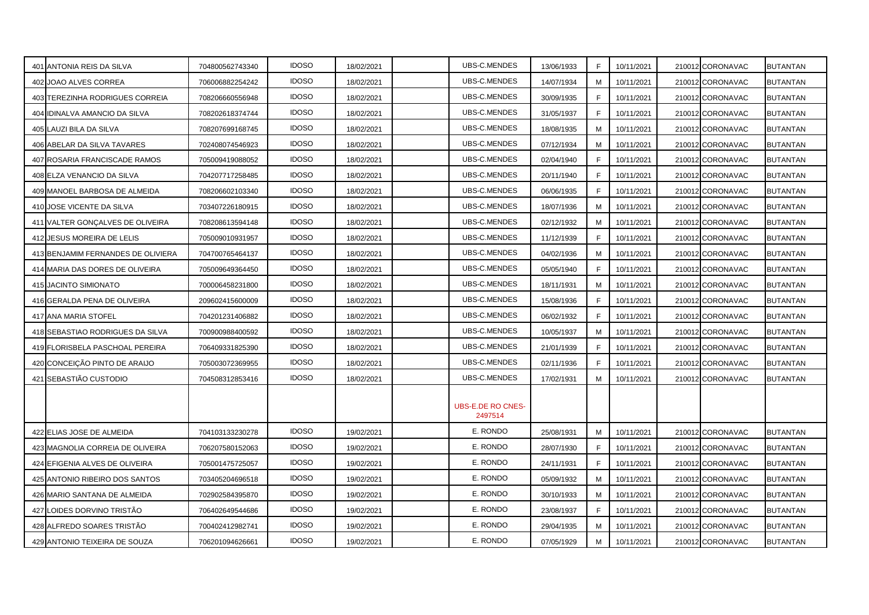| 401 ANTONIA REIS DA SILVA          | 704800562743340 | <b>IDOSO</b> | 18/02/2021 | UBS-C.MENDES                 | 13/06/1933 | F  | 10/11/2021 | 210012 CORONAVAC | BUTANTAN        |
|------------------------------------|-----------------|--------------|------------|------------------------------|------------|----|------------|------------------|-----------------|
| 402 JOAO ALVES CORREA              | 706006882254242 | <b>IDOSO</b> | 18/02/2021 | UBS-C.MENDES                 | 14/07/1934 | M  | 10/11/2021 | 210012 CORONAVAC | <b>BUTANTAN</b> |
| 403 TEREZINHA RODRIGUES CORREIA    | 708206660556948 | <b>IDOSO</b> | 18/02/2021 | UBS-C.MENDES                 | 30/09/1935 | F. | 10/11/2021 | 210012 CORONAVAC | BUTANTAN        |
| 404 IDINALVA AMANCIO DA SILVA      | 708202618374744 | <b>IDOSO</b> | 18/02/2021 | UBS-C.MENDES                 | 31/05/1937 | F  | 10/11/2021 | 210012 CORONAVAC | <b>BUTANTAN</b> |
| 405 LAUZI BILA DA SILVA            | 708207699168745 | <b>IDOSO</b> | 18/02/2021 | UBS-C.MENDES                 | 18/08/1935 | м  | 10/11/2021 | 210012 CORONAVAC | BUTANTAN        |
| 406 ABELAR DA SILVA TAVARES        | 702408074546923 | <b>IDOSO</b> | 18/02/2021 | UBS-C.MENDES                 | 07/12/1934 | M  | 10/11/2021 | 210012 CORONAVAC | <b>BUTANTAN</b> |
| 407 ROSARIA FRANCISCADE RAMOS      | 705009419088052 | <b>IDOSO</b> | 18/02/2021 | UBS-C.MENDES                 | 02/04/1940 | F  | 10/11/2021 | 210012 CORONAVAC | <b>BUTANTAN</b> |
| 408 ELZA VENANCIO DA SILVA         | 704207717258485 | <b>IDOSO</b> | 18/02/2021 | UBS-C.MENDES                 | 20/11/1940 | F  | 10/11/2021 | 210012 CORONAVAC | BUTANTAN        |
| 409 MANOEL BARBOSA DE ALMEIDA      | 708206602103340 | <b>IDOSO</b> | 18/02/2021 | UBS-C.MENDES                 | 06/06/1935 | F  | 10/11/2021 | 210012 CORONAVAC | BUTANTAN        |
| 410 JOSE VICENTE DA SILVA          | 703407226180915 | <b>IDOSO</b> | 18/02/2021 | UBS-C.MENDES                 | 18/07/1936 | м  | 10/11/2021 | 210012 CORONAVAC | BUTANTAN        |
| 411 VALTER GONÇALVES DE OLIVEIRA   | 708208613594148 | <b>IDOSO</b> | 18/02/2021 | UBS-C.MENDES                 | 02/12/1932 | м  | 10/11/2021 | 210012 CORONAVAC | <b>BUTANTAN</b> |
| 412 JESUS MOREIRA DE LELIS         | 705009010931957 | <b>IDOSO</b> | 18/02/2021 | UBS-C.MENDES                 | 11/12/1939 | F  | 10/11/2021 | 210012 CORONAVAC | BUTANTAN        |
| 413 BENJAMIM FERNANDES DE OLIVIERA | 704700765464137 | <b>IDOSO</b> | 18/02/2021 | UBS-C.MENDES                 | 04/02/1936 | M  | 10/11/2021 | 210012 CORONAVAC | BUTANTAN        |
| 414 MARIA DAS DORES DE OLIVEIRA    | 705009649364450 | <b>IDOSO</b> | 18/02/2021 | UBS-C.MENDES                 | 05/05/1940 | E  | 10/11/2021 | 210012 CORONAVAC | <b>BUTANTAN</b> |
| 415 JACINTO SIMIONATO              | 700006458231800 | <b>IDOSO</b> | 18/02/2021 | UBS-C.MENDES                 | 18/11/1931 | м  | 10/11/2021 | 210012 CORONAVAC | <b>BUTANTAN</b> |
| 416 GERALDA PENA DE OLIVEIRA       | 209602415600009 | <b>IDOSO</b> | 18/02/2021 | UBS-C.MENDES                 | 15/08/1936 | F  | 10/11/2021 | 210012 CORONAVAC | BUTANTAN        |
| 417 ANA MARIA STOFEL               | 704201231406882 | <b>IDOSO</b> | 18/02/2021 | UBS-C.MENDES                 | 06/02/1932 | F. | 10/11/2021 | 210012 CORONAVAC | <b>BUTANTAN</b> |
| 418 SEBASTIAO RODRIGUES DA SILVA   | 700900988400592 | <b>IDOSO</b> | 18/02/2021 | UBS-C.MENDES                 | 10/05/1937 | м  | 10/11/2021 | 210012 CORONAVAC | BUTANTAN        |
| 419 FLORISBELA PASCHOAL PEREIRA    | 706409331825390 | <b>IDOSO</b> | 18/02/2021 | UBS-C.MENDES                 | 21/01/1939 | F  | 10/11/2021 | 210012 CORONAVAC | <b>BUTANTAN</b> |
| 420 CONCEIÇÃO PINTO DE ARAIJO      | 705003072369955 | <b>IDOSO</b> | 18/02/2021 | UBS-C.MENDES                 | 02/11/1936 | F  | 10/11/2021 | 210012 CORONAVAC | BUTANTAN        |
| 421 SEBASTIÃO CUSTODIO             | 704508312853416 | <b>IDOSO</b> | 18/02/2021 | UBS-C.MENDES                 | 17/02/1931 | М  | 10/11/2021 | 210012 CORONAVAC | <b>BUTANTAN</b> |
|                                    |                 |              |            | UBS-E.DE RO CNES-<br>2497514 |            |    |            |                  |                 |
| 422 ELIAS JOSE DE ALMEIDA          | 704103133230278 | <b>IDOSO</b> | 19/02/2021 | E. RONDO                     | 25/08/1931 | м  | 10/11/2021 | 210012 CORONAVAC | BUTANTAN        |
| 423 MAGNOLIA CORREIA DE OLIVEIRA   | 706207580152063 | <b>IDOSO</b> | 19/02/2021 | E. RONDO                     | 28/07/1930 | F  | 10/11/2021 | 210012 CORONAVAC | <b>BUTANTAN</b> |
| 424 EFIGENIA ALVES DE OLIVEIRA     | 705001475725057 | <b>IDOSO</b> | 19/02/2021 | E. RONDO                     | 24/11/1931 | F. | 10/11/2021 | 210012 CORONAVAC | BUTANTAN        |
| 425 ANTONIO RIBEIRO DOS SANTOS     | 703405204696518 | <b>IDOSO</b> | 19/02/2021 | E. RONDO                     | 05/09/1932 | м  | 10/11/2021 | 210012 CORONAVAC | BUTANTAN        |
| 426 MARIO SANTANA DE ALMEIDA       | 702902584395870 | <b>IDOSO</b> | 19/02/2021 | E. RONDO                     | 30/10/1933 | м  | 10/11/2021 | 210012 CORONAVAC | <b>BUTANTAN</b> |
| 427 LOIDES DORVINO TRISTÃO         | 706402649544686 | <b>IDOSO</b> | 19/02/2021 | E. RONDO                     | 23/08/1937 | F. | 10/11/2021 | 210012 CORONAVAC | <b>BUTANTAN</b> |
| 428 ALFREDO SOARES TRISTÃO         | 700402412982741 | <b>IDOSO</b> | 19/02/2021 | E. RONDO                     | 29/04/1935 | м  | 10/11/2021 | 210012 CORONAVAC | BUTANTAN        |
| 429 ANTONIO TEIXEIRA DE SOUZA      | 706201094626661 | <b>IDOSO</b> | 19/02/2021 | E. RONDO                     | 07/05/1929 | м  | 10/11/2021 | 210012 CORONAVAC | <b>BUTANTAN</b> |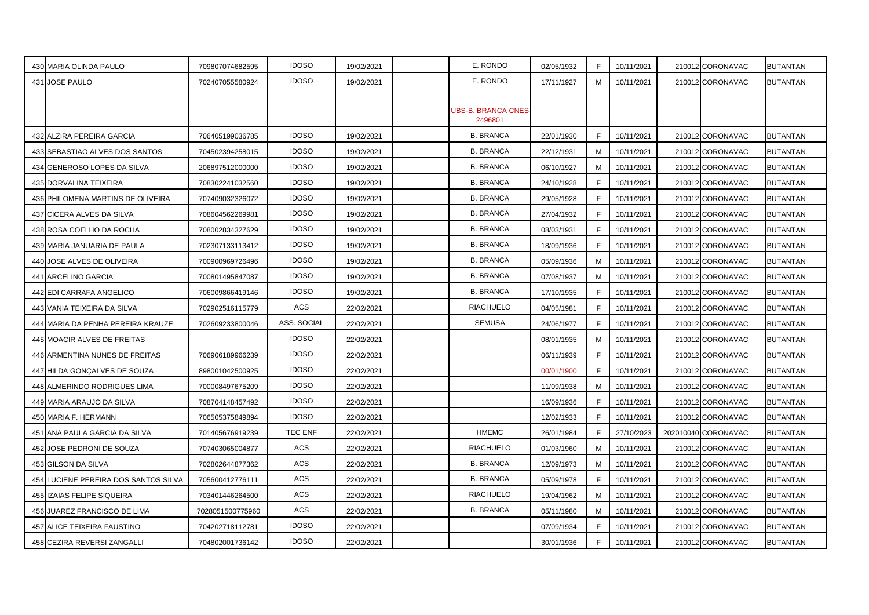| 430 MARIA OLINDA PAULO               | 709807074682595  | <b>IDOSO</b> | 19/02/2021 | E. RONDO                             | 02/05/1932 | F  | 10/11/2021 | 210012 CORONAVAC    | BUTANTAN        |
|--------------------------------------|------------------|--------------|------------|--------------------------------------|------------|----|------------|---------------------|-----------------|
| 431 JOSE PAULO                       | 702407055580924  | <b>IDOSO</b> | 19/02/2021 | E. RONDO                             | 17/11/1927 | М  | 10/11/2021 | 210012 CORONAVAC    | BUTANTAN        |
|                                      |                  |              |            | <b>UBS-B. BRANCA CNES</b><br>2496801 |            |    |            |                     |                 |
| 432 ALZIRA PEREIRA GARCIA            | 706405199036785  | <b>IDOSO</b> | 19/02/2021 | <b>B. BRANCA</b>                     | 22/01/1930 | F  | 10/11/2021 | 210012 CORONAVAC    | BUTANTAN        |
| 433 SEBASTIAO ALVES DOS SANTOS       | 704502394258015  | <b>IDOSO</b> | 19/02/2021 | <b>B. BRANCA</b>                     | 22/12/1931 | М  | 10/11/2021 | 210012 CORONAVAC    | BUTANTAN        |
| 434 GENEROSO LOPES DA SILVA          | 206897512000000  | <b>IDOSO</b> | 19/02/2021 | <b>B. BRANCA</b>                     | 06/10/1927 | М  | 10/11/2021 | 210012 CORONAVAC    | <b>BUTANTAN</b> |
| 435 DORVALINA TEIXEIRA               | 708302241032560  | <b>IDOSO</b> | 19/02/2021 | <b>B. BRANCA</b>                     | 24/10/1928 | F  | 10/11/2021 | 210012 CORONAVAC    | BUTANTAN        |
| 436 PHILOMENA MARTINS DE OLIVEIRA    | 707409032326072  | <b>IDOSO</b> | 19/02/2021 | <b>B. BRANCA</b>                     | 29/05/1928 | F  | 10/11/2021 | 210012 CORONAVAC    | <b>BUTANTAN</b> |
| 437 CICERA ALVES DA SILVA            | 708604562269981  | <b>IDOSO</b> | 19/02/2021 | <b>B. BRANCA</b>                     | 27/04/1932 | F. | 10/11/2021 | 210012 CORONAVAC    | BUTANTAN        |
| 438 ROSA COELHO DA ROCHA             | 708002834327629  | <b>IDOSO</b> | 19/02/2021 | <b>B. BRANCA</b>                     | 08/03/1931 | F. | 10/11/2021 | 210012 CORONAVAC    | BUTANTAN        |
| 439 MARIA JANUARIA DE PAULA          | 702307133113412  | <b>IDOSO</b> | 19/02/2021 | <b>B. BRANCA</b>                     | 18/09/1936 | F  | 10/11/2021 | 210012 CORONAVAC    | <b>BUTANTAN</b> |
| 440 JOSE ALVES DE OLIVEIRA           | 700900969726496  | <b>IDOSO</b> | 19/02/2021 | <b>B. BRANCA</b>                     | 05/09/1936 | M  | 10/11/2021 | 210012 CORONAVAC    | BUTANTAN        |
| 441 ARCELINO GARCIA                  | 700801495847087  | <b>IDOSO</b> | 19/02/2021 | <b>B. BRANCA</b>                     | 07/08/1937 | M  | 10/11/2021 | 210012 CORONAVAC    | <b>BUTANTAN</b> |
| 442 EDI CARRAFA ANGELICO             | 706009866419146  | <b>IDOSO</b> | 19/02/2021 | <b>B. BRANCA</b>                     | 17/10/1935 | F. | 10/11/2021 | 210012 CORONAVAC    | <b>BUTANTAN</b> |
| 443 VANIA TEIXEIRA DA SILVA          | 702902516115779  | ACS          | 22/02/2021 | <b>RIACHUELO</b>                     | 04/05/1981 | F  | 10/11/2021 | 210012 CORONAVAC    | <b>BUTANTAN</b> |
| 444 MARIA DA PENHA PEREIRA KRAUZE    | 702609233800046  | ASS. SOCIAL  | 22/02/2021 | <b>SEMUSA</b>                        | 24/06/1977 | F  | 10/11/2021 | 210012 CORONAVAC    | <b>BUTANTAN</b> |
| 445 MOACIR ALVES DE FREITAS          |                  | <b>IDOSO</b> | 22/02/2021 |                                      | 08/01/1935 | м  | 10/11/2021 | 210012 CORONAVAC    | <b>BUTANTAN</b> |
| 446 ARMENTINA NUNES DE FREITAS       | 706906189966239  | <b>IDOSO</b> | 22/02/2021 |                                      | 06/11/1939 | F  | 10/11/2021 | 210012 CORONAVAC    | <b>BUTANTAN</b> |
| 447 HILDA GONÇALVES DE SOUZA         | 898001042500925  | <b>IDOSO</b> | 22/02/2021 |                                      | 00/01/1900 | F  | 10/11/2021 | 210012 CORONAVAC    | BUTANTAN        |
| 448 ALMERINDO RODRIGUES LIMA         | 700008497675209  | <b>IDOSO</b> | 22/02/2021 |                                      | 11/09/1938 | м  | 10/11/2021 | 210012 CORONAVAC    | BUTANTAN        |
| 449 MARIA ARAUJO DA SILVA            | 708704148457492  | <b>IDOSO</b> | 22/02/2021 |                                      | 16/09/1936 | F  | 10/11/2021 | 210012 CORONAVAC    | <b>BUTANTAN</b> |
| 450 MARIA F. HERMANN                 | 706505375849894  | <b>IDOSO</b> | 22/02/2021 |                                      | 12/02/1933 | F. | 10/11/2021 | 210012 CORONAVAC    | <b>BUTANTAN</b> |
| 451 ANA PAULA GARCIA DA SILVA        | 701405676919239  | TEC ENF      | 22/02/2021 | <b>HMEMC</b>                         | 26/01/1984 | F  | 27/10/2023 | 202010040 CORONAVAC | <b>BUTANTAN</b> |
| 452 JOSE PEDRONI DE SOUZA            | 707403065004877  | <b>ACS</b>   | 22/02/2021 | <b>RIACHUELO</b>                     | 01/03/1960 | M  | 10/11/2021 | 210012 CORONAVAC    | BUTANTAN        |
| 453 GILSON DA SILVA                  | 702802644877362  | <b>ACS</b>   | 22/02/2021 | <b>B. BRANCA</b>                     | 12/09/1973 | м  | 10/11/2021 | 210012 CORONAVAC    | BUTANTAN        |
| 454 LUCIENE PEREIRA DOS SANTOS SILVA | 705600412776111  | ACS          | 22/02/2021 | <b>B. BRANCA</b>                     | 05/09/1978 | F  | 10/11/2021 | 210012 CORONAVAC    | BUTANTAN        |
| 455 IZAIAS FELIPE SIQUEIRA           | 703401446264500  | ACS          | 22/02/2021 | <b>RIACHUELO</b>                     | 19/04/1962 | м  | 10/11/2021 | 210012 CORONAVAC    | <b>BUTANTAN</b> |
| 456 JUAREZ FRANCISCO DE LIMA         | 7028051500775960 | <b>ACS</b>   | 22/02/2021 | <b>B. BRANCA</b>                     | 05/11/1980 | M  | 10/11/2021 | 210012 CORONAVAC    | <b>BUTANTAN</b> |
| 457 ALICE TEIXEIRA FAUSTINO          | 704202718112781  | <b>IDOSO</b> | 22/02/2021 |                                      | 07/09/1934 | F  | 10/11/2021 | 210012 CORONAVAC    | BUTANTAN        |
| 458 CEZIRA REVERSI ZANGALLI          | 704802001736142  | <b>IDOSO</b> | 22/02/2021 |                                      | 30/01/1936 | F. | 10/11/2021 | 210012 CORONAVAC    | <b>BUTANTAN</b> |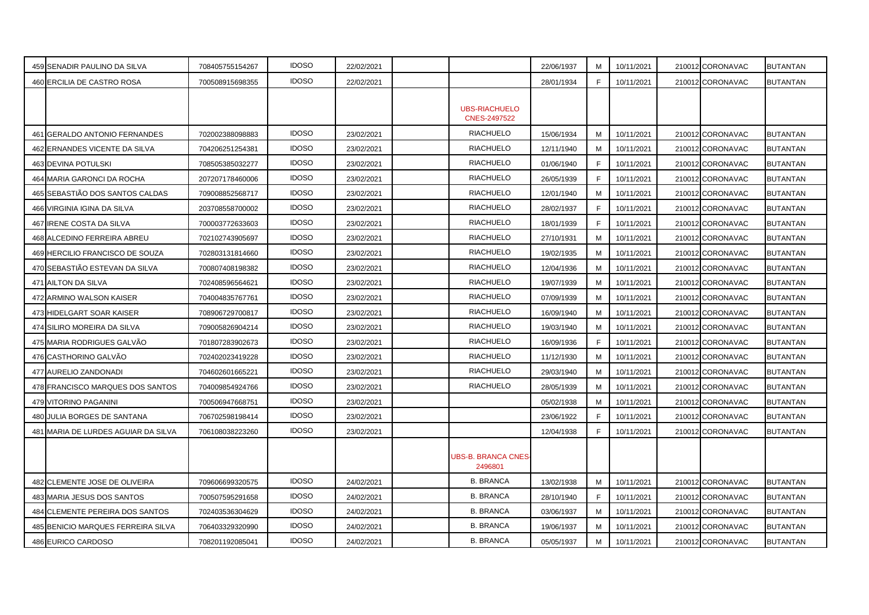| 459 SENADIR PAULINO DA SILVA        | 708405755154267 | <b>IDOSO</b> | 22/02/2021 |                                             | 22/06/1937 | м  | 10/11/2021 | 210012 CORONAVAC | <b>BUTANTAN</b> |
|-------------------------------------|-----------------|--------------|------------|---------------------------------------------|------------|----|------------|------------------|-----------------|
| 460 ERCILIA DE CASTRO ROSA          | 700508915698355 | <b>IDOSO</b> | 22/02/2021 |                                             | 28/01/1934 | F. | 10/11/2021 | 210012 CORONAVAC | BUTANTAN        |
|                                     |                 |              |            | <b>UBS-RIACHUELO</b><br><b>CNES-2497522</b> |            |    |            |                  |                 |
| 461 GERALDO ANTONIO FERNANDES       | 702002388098883 | <b>IDOSO</b> | 23/02/2021 | <b>RIACHUELO</b>                            | 15/06/1934 | м  | 10/11/2021 | 210012 CORONAVAC | <b>BUTANTAN</b> |
| 462 ERNANDES VICENTE DA SILVA       | 704206251254381 | <b>IDOSO</b> | 23/02/2021 | <b>RIACHUELO</b>                            | 12/11/1940 | M  | 10/11/2021 | 210012 CORONAVAC | BUTANTAN        |
| <b>463 DEVINA POTULSKI</b>          | 708505385032277 | <b>IDOSO</b> | 23/02/2021 | <b>RIACHUELO</b>                            | 01/06/1940 | F. | 10/11/2021 | 210012 CORONAVAC | BUTANTAN        |
| 464 MARIA GARONCI DA ROCHA          | 207207178460006 | <b>IDOSO</b> | 23/02/2021 | <b>RIACHUELO</b>                            | 26/05/1939 | F  | 10/11/2021 | 210012 CORONAVAC | BUTANTAN        |
| 465 SEBASTIÃO DOS SANTOS CALDAS     | 709008852568717 | <b>IDOSO</b> | 23/02/2021 | <b>RIACHUELO</b>                            | 12/01/1940 | м  | 10/11/2021 | 210012 CORONAVAC | <b>BUTANTAN</b> |
| 466 VIRGINIA IGINA DA SILVA         | 203708558700002 | <b>IDOSO</b> | 23/02/2021 | <b>RIACHUELO</b>                            | 28/02/1937 | F  | 10/11/2021 | 210012 CORONAVAC | BUTANTAN        |
| 467 IRENE COSTA DA SILVA            | 700003772633603 | <b>IDOSO</b> | 23/02/2021 | <b>RIACHUELO</b>                            | 18/01/1939 | F. | 10/11/2021 | 210012 CORONAVAC | <b>BUTANTAN</b> |
| 468 ALCEDINO FERREIRA ABREU         | 702102743905697 | <b>IDOSO</b> | 23/02/2021 | <b>RIACHUELO</b>                            | 27/10/1931 | м  | 10/11/2021 | 210012 CORONAVAC | BUTANTAN        |
| 469 HERCILIO FRANCISCO DE SOUZA     | 702803131814660 | <b>IDOSO</b> | 23/02/2021 | <b>RIACHUELO</b>                            | 19/02/1935 | м  | 10/11/2021 | 210012 CORONAVAC | BUTANTAN        |
| 470 SEBASTIÃO ESTEVAN DA SILVA      | 700807408198382 | <b>IDOSO</b> | 23/02/2021 | <b>RIACHUELO</b>                            | 12/04/1936 | м  | 10/11/2021 | 210012 CORONAVAC | BUTANTAN        |
| 471 AILTON DA SILVA                 | 702408596564621 | <b>IDOSO</b> | 23/02/2021 | <b>RIACHUELO</b>                            | 19/07/1939 | M  | 10/11/2021 | 210012 CORONAVAC | BUTANTAN        |
| 472 ARMINO WALSON KAISER            | 704004835767761 | <b>IDOSO</b> | 23/02/2021 | <b>RIACHUELO</b>                            | 07/09/1939 | M  | 10/11/2021 | 210012 CORONAVAC | <b>BUTANTAN</b> |
| 473 HIDELGART SOAR KAISER           | 708906729700817 | <b>IDOSO</b> | 23/02/2021 | <b>RIACHUELO</b>                            | 16/09/1940 | M  | 10/11/2021 | 210012 CORONAVAC | <b>BUTANTAN</b> |
| 474 SILIRO MOREIRA DA SILVA         | 709005826904214 | <b>IDOSO</b> | 23/02/2021 | <b>RIACHUELO</b>                            | 19/03/1940 | м  | 10/11/2021 | 210012 CORONAVAC | <b>BUTANTAN</b> |
| 475 MARIA RODRIGUES GALVÃO          | 701807283902673 | <b>IDOSO</b> | 23/02/2021 | <b>RIACHUELO</b>                            | 16/09/1936 | F. | 10/11/2021 | 210012 CORONAVAC | BUTANTAN        |
| 476 CASTHORINO GALVÃO               | 702402023419228 | <b>IDOSO</b> | 23/02/2021 | <b>RIACHUELO</b>                            | 11/12/1930 | м  | 10/11/2021 | 210012 CORONAVAC | BUTANTAN        |
| 477 AURELIO ZANDONADI               | 704602601665221 | <b>IDOSO</b> | 23/02/2021 | <b>RIACHUELO</b>                            | 29/03/1940 | м  | 10/11/2021 | 210012 CORONAVAC | <b>BUTANTAN</b> |
| 478 FRANCISCO MARQUES DOS SANTOS    | 704009854924766 | <b>IDOSO</b> | 23/02/2021 | <b>RIACHUELO</b>                            | 28/05/1939 | M  | 10/11/2021 | 210012 CORONAVAC | BUTANTAN        |
| 479 VITORINO PAGANINI               | 700506947668751 | <b>IDOSO</b> | 23/02/2021 |                                             | 05/02/1938 | M  | 10/11/2021 | 210012 CORONAVAC | BUTANTAN        |
| 480 JULIA BORGES DE SANTANA         | 706702598198414 | <b>IDOSO</b> | 23/02/2021 |                                             | 23/06/1922 | F  | 10/11/2021 | 210012 CORONAVAC | <b>BUTANTAN</b> |
| 481 MARIA DE LURDES AGUIAR DA SILVA | 706108038223260 | <b>IDOSO</b> | 23/02/2021 |                                             | 12/04/1938 | F  | 10/11/2021 | 210012 CORONAVAC | BUTANTAN        |
|                                     |                 |              |            | <b>UBS-B. BRANCA CNES-</b><br>2496801       |            |    |            |                  |                 |
| 482 CLEMENTE JOSE DE OLIVEIRA       | 709606699320575 | <b>IDOSO</b> | 24/02/2021 | <b>B. BRANCA</b>                            | 13/02/1938 | M  | 10/11/2021 | 210012 CORONAVAC | <b>BUTANTAN</b> |
| 483 MARIA JESUS DOS SANTOS          | 700507595291658 | <b>IDOSO</b> | 24/02/2021 | <b>B. BRANCA</b>                            | 28/10/1940 | F  | 10/11/2021 | 210012 CORONAVAC | BUTANTAN        |
| 484 CLEMENTE PEREIRA DOS SANTOS     | 702403536304629 | <b>IDOSO</b> | 24/02/2021 | <b>B. BRANCA</b>                            | 03/06/1937 | м  | 10/11/2021 | 210012 CORONAVAC | BUTANTAN        |
| 485 BENICIO MARQUES FERREIRA SILVA  | 706403329320990 | <b>IDOSO</b> | 24/02/2021 | <b>B. BRANCA</b>                            | 19/06/1937 | M  | 10/11/2021 | 210012 CORONAVAC | <b>BUTANTAN</b> |
| 486 EURICO CARDOSO                  | 708201192085041 | <b>IDOSO</b> | 24/02/2021 | <b>B. BRANCA</b>                            | 05/05/1937 | M  | 10/11/2021 | 210012 CORONAVAC | <b>BUTANTAN</b> |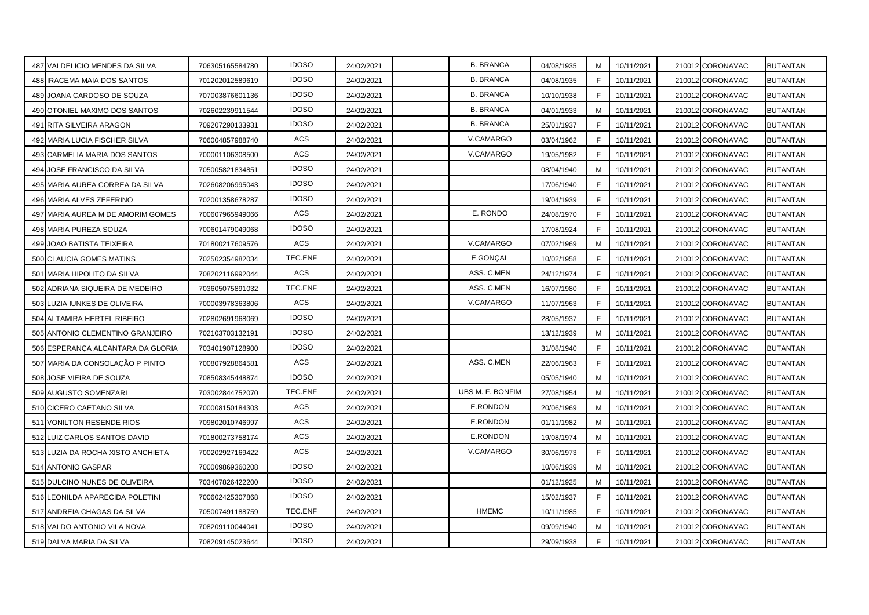| 487 VALDELICIO MENDES DA SILVA    | 706305165584780 | <b>IDOSO</b> | 24/02/2021 | <b>B. BRANCA</b> | 04/08/1935 | M  | 10/11/2021 | 210012 CORONAVAC | BUTANTAN        |
|-----------------------------------|-----------------|--------------|------------|------------------|------------|----|------------|------------------|-----------------|
| 488 IRACEMA MAIA DOS SANTOS       | 701202012589619 | <b>IDOSO</b> | 24/02/2021 | <b>B. BRANCA</b> | 04/08/1935 | F  | 10/11/2021 | 210012 CORONAVAC | <b>BUTANTAN</b> |
| 489 JOANA CARDOSO DE SOUZA        | 707003876601136 | <b>IDOSO</b> | 24/02/2021 | <b>B. BRANCA</b> | 10/10/1938 | E  | 10/11/2021 | 210012 CORONAVAC | <b>BUTANTAN</b> |
| 490 OTONIEL MAXIMO DOS SANTOS     | 702602239911544 | <b>IDOSO</b> | 24/02/2021 | <b>B. BRANCA</b> | 04/01/1933 | м  | 10/11/2021 | 210012 CORONAVAC | <b>BUTANTAN</b> |
| 491 RITA SILVEIRA ARAGON          | 709207290133931 | <b>IDOSO</b> | 24/02/2021 | <b>B. BRANCA</b> | 25/01/1937 | F  | 10/11/2021 | 210012 CORONAVAC | BUTANTAN        |
| 492 MARIA LUCIA FISCHER SILVA     | 706004857988740 | ACS          | 24/02/2021 | V.CAMARGO        | 03/04/1962 | F. | 10/11/2021 | 210012 CORONAVAC | <b>BUTANTAN</b> |
| 493 CARMELIA MARIA DOS SANTOS     | 700001106308500 | ACS          | 24/02/2021 | V.CAMARGO        | 19/05/1982 | F  | 10/11/2021 | 210012 CORONAVAC | BUTANTAN        |
| 494 JOSE FRANCISCO DA SILVA       | 705005821834851 | <b>IDOSO</b> | 24/02/2021 |                  | 08/04/1940 | м  | 10/11/2021 | 210012 CORONAVAC | BUTANTAN        |
| 495 MARIA AUREA CORREA DA SILVA   | 702608206995043 | <b>IDOSO</b> | 24/02/2021 |                  | 17/06/1940 | F. | 10/11/2021 | 210012 CORONAVAC | <b>BUTANTAN</b> |
| 496 MARIA ALVES ZEFERINO          | 702001358678287 | <b>IDOSO</b> | 24/02/2021 |                  | 19/04/1939 | F  | 10/11/2021 | 210012 CORONAVAC | <b>BUTANTAN</b> |
| 497 MARIA AUREA M DE AMORIM GOMES | 700607965949066 | <b>ACS</b>   | 24/02/2021 | E. RONDO         | 24/08/1970 | F  | 10/11/2021 | 210012 CORONAVAC | <b>BUTANTAN</b> |
| 498 MARIA PUREZA SOUZA            | 700601479049068 | <b>IDOSO</b> | 24/02/2021 |                  | 17/08/1924 | F  | 10/11/2021 | 210012 CORONAVAC | BUTANTAN        |
| 499 JOAO BATISTA TEIXEIRA         | 701800217609576 | ACS          | 24/02/2021 | V.CAMARGO        | 07/02/1969 | M  | 10/11/2021 | 210012 CORONAVAC | <b>BUTANTAN</b> |
| 500 CLAUCIA GOMES MATINS          | 702502354982034 | TEC.ENF      | 24/02/2021 | E.GONÇAL         | 10/02/1958 | F. | 10/11/2021 | 210012 CORONAVAC | <b>BUTANTAN</b> |
| 501 MARIA HIPOLITO DA SILVA       | 708202116992044 | <b>ACS</b>   | 24/02/2021 | ASS. C.MEN       | 24/12/1974 | F  | 10/11/2021 | 210012 CORONAVAC | BUTANTAN        |
| 502 ADRIANA SIQUEIRA DE MEDEIRO   | 703605075891032 | TEC.ENF      | 24/02/2021 | ASS. C.MEN       | 16/07/1980 | E  | 10/11/2021 | 210012 CORONAVAC | BUTANTAN        |
| 503 LUZIA IUNKES DE OLIVEIRA      | 700003978363806 | ACS          | 24/02/2021 | V.CAMARGO        | 11/07/1963 | F  | 10/11/2021 | 210012 CORONAVAC | <b>BUTANTAN</b> |
| 504 ALTAMIRA HERTEL RIBEIRO       | 702802691968069 | <b>IDOSO</b> | 24/02/2021 |                  | 28/05/1937 | F. | 10/11/2021 | 210012 CORONAVAC | <b>BUTANTAN</b> |
| 505 ANTONIO CLEMENTINO GRANJEIRO  | 702103703132191 | <b>IDOSO</b> | 24/02/2021 |                  | 13/12/1939 | M  | 10/11/2021 | 210012 CORONAVAC | BUTANTAN        |
| 506 ESPERANÇA ALCANTARA DA GLORIA | 703401907128900 | <b>IDOSO</b> | 24/02/2021 |                  | 31/08/1940 | F  | 10/11/2021 | 210012 CORONAVAC | BUTANTAN        |
| 507 MARIA DA CONSOLAÇÃO P PINTO   | 700807928864581 | ACS          | 24/02/2021 | ASS. C.MEN       | 22/06/1963 | F. | 10/11/2021 | 210012 CORONAVAC | BUTANTAN        |
| 508 JOSE VIEIRA DE SOUZA          | 708508345448874 | <b>IDOSO</b> | 24/02/2021 |                  | 05/05/1940 | M  | 10/11/2021 | 210012 CORONAVAC | <b>BUTANTAN</b> |
| 509 AUGUSTO SOMENZARI             | 703002844752070 | TEC.ENF      | 24/02/2021 | UBS M. F. BONFIM | 27/08/1954 | M  | 10/11/2021 | 210012 CORONAVAC | BUTANTAN        |
| 510 CICERO CAETANO SILVA          | 700008150184303 | ACS          | 24/02/2021 | E.RONDON         | 20/06/1969 | M  | 10/11/2021 | 210012 CORONAVAC | BUTANTAN        |
| 511 VONILTON RESENDE RIOS         | 709802010746997 | ACS          | 24/02/2021 | E.RONDON         | 01/11/1982 | м  | 10/11/2021 | 210012 CORONAVAC | <b>BUTANTAN</b> |
| 512 LUIZ CARLOS SANTOS DAVID      | 701800273758174 | <b>ACS</b>   | 24/02/2021 | E.RONDON         | 19/08/1974 | M  | 10/11/2021 | 210012 CORONAVAC | <b>BUTANTAN</b> |
| 513 LUZIA DA ROCHA XISTO ANCHIETA | 700202927169422 | <b>ACS</b>   | 24/02/2021 | V.CAMARGO        | 30/06/1973 | E  | 10/11/2021 | 210012 CORONAVAC | <b>BUTANTAN</b> |
| 514 ANTONIO GASPAR                | 700009869360208 | <b>IDOSO</b> | 24/02/2021 |                  | 10/06/1939 | M  | 10/11/2021 | 210012 CORONAVAC | BUTANTAN        |
| 515 DULCINO NUNES DE OLIVEIRA     | 703407826422200 | <b>IDOSO</b> | 24/02/2021 |                  | 01/12/1925 | M  | 10/11/2021 | 210012 CORONAVAC | <b>BUTANTAN</b> |
| 516 LEONILDA APARECIDA POLETINI   | 700602425307868 | <b>IDOSO</b> | 24/02/2021 |                  | 15/02/1937 | E  | 10/11/2021 | 210012 CORONAVAC | BUTANTAN        |
| 517 ANDREIA CHAGAS DA SILVA       | 705007491188759 | TEC.ENF      | 24/02/2021 | <b>HMEMC</b>     | 10/11/1985 | E  | 10/11/2021 | 210012 CORONAVAC | BUTANTAN        |
| 518 VALDO ANTONIO VILA NOVA       | 708209110044041 | <b>IDOSO</b> | 24/02/2021 |                  | 09/09/1940 | M  | 10/11/2021 | 210012 CORONAVAC | <b>BUTANTAN</b> |
| 519 DALVA MARIA DA SILVA          | 708209145023644 | <b>IDOSO</b> | 24/02/2021 |                  | 29/09/1938 | F. | 10/11/2021 | 210012 CORONAVAC | <b>BUTANTAN</b> |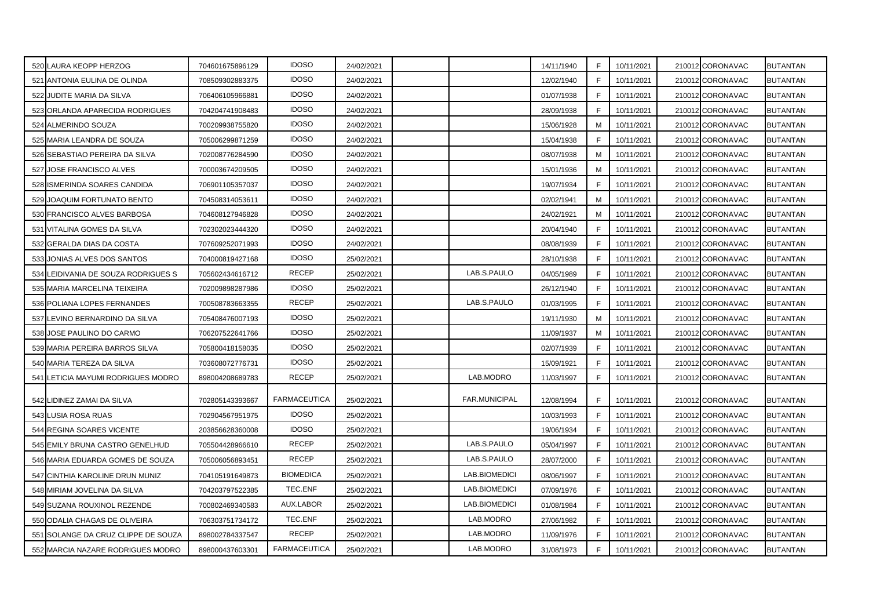| 520 LAURA KEOPP HERZOG              | 704601675896129 | <b>IDOSO</b>        | 24/02/2021 |                      | 14/11/1940 | F           | 10/11/2021 | 210012 CORONAVAC | BUTANTAN        |
|-------------------------------------|-----------------|---------------------|------------|----------------------|------------|-------------|------------|------------------|-----------------|
| 521 ANTONIA EULINA DE OLINDA        | 708509302883375 | <b>IDOSO</b>        | 24/02/2021 |                      | 12/02/1940 | E           | 10/11/2021 | 210012 CORONAVAC | BUTANTAN        |
| 522 JUDITE MARIA DA SILVA           | 706406105966881 | <b>IDOSO</b>        | 24/02/2021 |                      | 01/07/1938 | F           | 10/11/2021 | 210012 CORONAVAC | BUTANTAN        |
| 523 ORLANDA APARECIDA RODRIGUES     | 704204741908483 | <b>IDOSO</b>        | 24/02/2021 |                      | 28/09/1938 | F           | 10/11/2021 | 210012 CORONAVAC | BUTANTAN        |
| 524 ALMERINDO SOUZA                 | 700209938755820 | <b>IDOSO</b>        | 24/02/2021 |                      | 15/06/1928 | м           | 10/11/2021 | 210012 CORONAVAC | <b>BUTANTAN</b> |
| 525 MARIA LEANDRA DE SOUZA          | 705006299871259 | <b>IDOSO</b>        | 24/02/2021 |                      | 15/04/1938 | F.          | 10/11/2021 | 210012 CORONAVAC | <b>BUTANTAN</b> |
| 526 SEBASTIAO PEREIRA DA SILVA      | 702008776284590 | <b>IDOSO</b>        | 24/02/2021 |                      | 08/07/1938 | м           | 10/11/2021 | 210012 CORONAVAC | BUTANTAN        |
| 527 JOSE FRANCISCO ALVES            | 700003674209505 | <b>IDOSO</b>        | 24/02/2021 |                      | 15/01/1936 | м           | 10/11/2021 | 210012 CORONAVAC | BUTANTAN        |
| 528 ISMERINDA SOARES CANDIDA        | 706901105357037 | <b>IDOSO</b>        | 24/02/2021 |                      | 19/07/1934 | F           | 10/11/2021 | 210012 CORONAVAC | BUTANTAN        |
| 529 JOAQUIM FORTUNATO BENTO         | 704508314053611 | <b>IDOSO</b>        | 24/02/2021 |                      | 02/02/1941 | M           | 10/11/2021 | 210012 CORONAVAC | BUTANTAN        |
| 530 FRANCISCO ALVES BARBOSA         | 704608127946828 | <b>IDOSO</b>        | 24/02/2021 |                      | 24/02/1921 | М           | 10/11/2021 | 210012 CORONAVAC | <b>BUTANTAN</b> |
| 531 VITALINA GOMES DA SILVA         | 702302023444320 | <b>IDOSO</b>        | 24/02/2021 |                      | 20/04/1940 | F           | 10/11/2021 | 210012 CORONAVAC | BUTANTAN        |
| 532 GERALDA DIAS DA COSTA           | 707609252071993 | <b>IDOSO</b>        | 24/02/2021 |                      | 08/08/1939 | E           | 10/11/2021 | 210012 CORONAVAC | <b>BUTANTAN</b> |
| 533 JONIAS ALVES DOS SANTOS         | 704000819427168 | <b>IDOSO</b>        | 25/02/2021 |                      | 28/10/1938 | F           | 10/11/2021 | 210012 CORONAVAC | <b>BUTANTAN</b> |
| 534 LEIDIVANIA DE SOUZA RODRIGUES S | 705602434616712 | <b>RECEP</b>        | 25/02/2021 | LAB.S.PAULO          | 04/05/1989 | E           | 10/11/2021 | 210012 CORONAVAC | BUTANTAN        |
| 535 MARIA MARCELINA TEIXEIRA        | 702009898287986 | <b>IDOSO</b>        | 25/02/2021 |                      | 26/12/1940 | F.          | 10/11/2021 | 210012 CORONAVAC | <b>BUTANTAN</b> |
| 536 POLIANA LOPES FERNANDES         | 700508783663355 | <b>RECEP</b>        | 25/02/2021 | LAB.S.PAULO          | 01/03/1995 | F           | 10/11/2021 | 210012 CORONAVAC | <b>BUTANTAN</b> |
| 537 LEVINO BERNARDINO DA SILVA      | 705408476007193 | <b>IDOSO</b>        | 25/02/2021 |                      | 19/11/1930 | M           | 10/11/2021 | 210012 CORONAVAC | BUTANTAN        |
| 538 JOSE PAULINO DO CARMO           | 706207522641766 | <b>IDOSO</b>        | 25/02/2021 |                      | 11/09/1937 | м           | 10/11/2021 | 210012 CORONAVAC | BUTANTAN        |
| 539 MARIA PEREIRA BARROS SILVA      | 705800418158035 | <b>IDOSO</b>        | 25/02/2021 |                      | 02/07/1939 | E           | 10/11/2021 | 210012 CORONAVAC | BUTANTAN        |
| 540 MARIA TEREZA DA SILVA           | 703608072776731 | <b>IDOSO</b>        | 25/02/2021 |                      | 15/09/1921 | F.          | 10/11/2021 | 210012 CORONAVAC | BUTANTAN        |
| 541 LETICIA MAYUMI RODRIGUES MODRO  | 898004208689783 | <b>RECEP</b>        | 25/02/2021 | LAB.MODRO            | 11/03/1997 | F           | 10/11/2021 | 210012 CORONAVAC | BUTANTAN        |
| 542 LIDINEZ ZAMAI DA SILVA          | 702805143393667 | <b>FARMACEUTICA</b> | 25/02/2021 | <b>FAR.MUNICIPAL</b> | 12/08/1994 | F           | 10/11/2021 | 210012 CORONAVAC | <b>BUTANTAN</b> |
| 543 LUSIA ROSA RUAS                 | 702904567951975 | <b>IDOSO</b>        | 25/02/2021 |                      | 10/03/1993 | F           | 10/11/2021 | 210012 CORONAVAC | <b>BUTANTAN</b> |
| 544 REGINA SOARES VICENTE           | 203856628360008 | <b>IDOSO</b>        | 25/02/2021 |                      | 19/06/1934 | F           | 10/11/2021 | 210012 CORONAVAC | BUTANTAN        |
| 545 EMILY BRUNA CASTRO GENELHUD     | 705504428966610 | <b>RECEP</b>        | 25/02/2021 | LAB.S.PAULO          | 05/04/1997 | F           | 10/11/2021 | 210012 CORONAVAC | BUTANTAN        |
| 546 MARIA EDUARDA GOMES DE SOUZA    | 705006056893451 | <b>RECEP</b>        | 25/02/2021 | LAB.S.PAULO          | 28/07/2000 | F           | 10/11/2021 | 210012 CORONAVAC | BUTANTAN        |
| 547 CINTHIA KAROLINE DRUN MUNIZ     | 704105191649873 | <b>BIOMEDICA</b>    | 25/02/2021 | LAB.BIOMEDICI        | 08/06/1997 | F           | 10/11/2021 | 210012 CORONAVAC | BUTANTAN        |
| 548 MIRIAM JOVELINA DA SILVA        | 704203797522385 | TEC.ENF             | 25/02/2021 | LAB.BIOMEDICI        | 07/09/1976 | F           | 10/11/2021 | 210012 CORONAVAC | BUTANTAN        |
| 549 SUZANA ROUXINOL REZENDE         | 700802469340583 | AUX.LABOR           | 25/02/2021 | LAB.BIOMEDICI        | 01/08/1984 | F           | 10/11/2021 | 210012 CORONAVAC | BUTANTAN        |
| 550 ODALIA CHAGAS DE OLIVEIRA       | 706303751734172 | TEC.ENF             | 25/02/2021 | LAB.MODRO            | 27/06/1982 | $\mathsf F$ | 10/11/2021 | 210012 CORONAVAC | BUTANTAN        |
| 551 SOLANGE DA CRUZ CLIPPE DE SOUZA | 898002784337547 | <b>RECEP</b>        | 25/02/2021 | LAB.MODRO            | 11/09/1976 | F           | 10/11/2021 | 210012 CORONAVAC | BUTANTAN        |
| 552 MARCIA NAZARE RODRIGUES MODRO   | 898000437603301 | <b>FARMACEUTICA</b> | 25/02/2021 | LAB.MODRO            | 31/08/1973 | $\mathsf F$ | 10/11/2021 | 210012 CORONAVAC | <b>BUTANTAN</b> |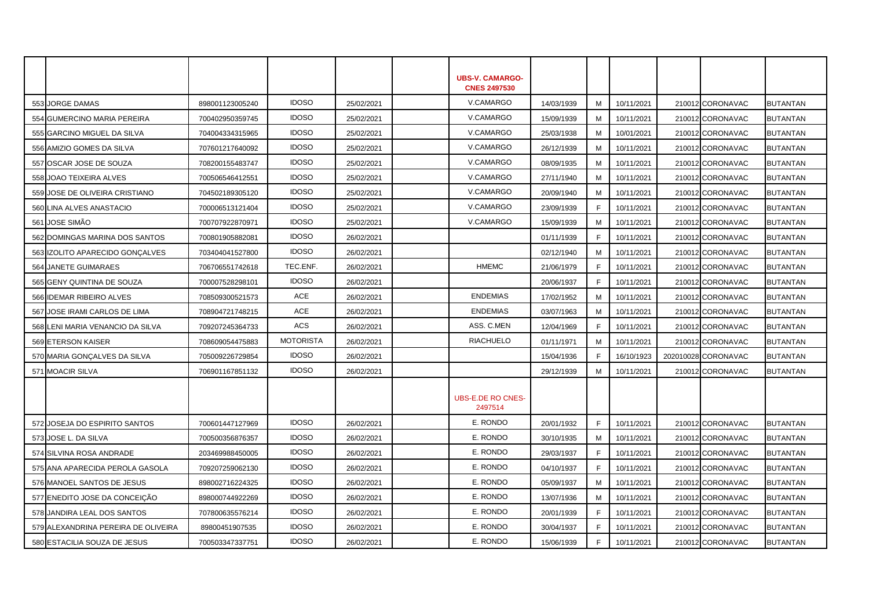|     |                                     |                 |                  |            | <b>UBS-V. CAMARGO-</b><br><b>CNES 2497530</b> |            |    |            |                     |                 |
|-----|-------------------------------------|-----------------|------------------|------------|-----------------------------------------------|------------|----|------------|---------------------|-----------------|
| 553 | <b>JORGE DAMAS</b>                  | 898001123005240 | <b>IDOSO</b>     | 25/02/2021 | V.CAMARGO                                     | 14/03/1939 | м  | 10/11/2021 | 210012 CORONAVAC    | <b>BUTANTAN</b> |
|     | 554 GUMERCINO MARIA PEREIRA         | 700402950359745 | <b>IDOSO</b>     | 25/02/2021 | V.CAMARGO                                     | 15/09/1939 | м  | 10/11/2021 | 210012 CORONAVAC    | <b>BUTANTAN</b> |
|     | 555 GARCINO MIGUEL DA SILVA         | 704004334315965 | <b>IDOSO</b>     | 25/02/2021 | V.CAMARGO                                     | 25/03/1938 | м  | 10/01/2021 | 210012 CORONAVAC    | <b>BUTANTAN</b> |
|     | 556 AMIZIO GOMES DA SILVA           | 707601217640092 | <b>IDOSO</b>     | 25/02/2021 | V.CAMARGO                                     | 26/12/1939 | м  | 10/11/2021 | 210012 CORONAVAC    | <b>BUTANTAN</b> |
|     | 557 OSCAR JOSE DE SOUZA             | 708200155483747 | <b>IDOSO</b>     | 25/02/2021 | V.CAMARGO                                     | 08/09/1935 | м  | 10/11/2021 | 210012 CORONAVAC    | <b>BUTANTAN</b> |
|     | 558 JOAO TEIXEIRA ALVES             | 700506546412551 | <b>IDOSO</b>     | 25/02/2021 | V.CAMARGO                                     | 27/11/1940 | м  | 10/11/2021 | 210012 CORONAVAC    | <b>BUTANTAN</b> |
|     | 559 JOSE DE OLIVEIRA CRISTIANO      | 704502189305120 | <b>IDOSO</b>     | 25/02/2021 | V.CAMARGO                                     | 20/09/1940 | м  | 10/11/2021 | 210012 CORONAVAC    | <b>BUTANTAN</b> |
|     | 560 LINA ALVES ANASTACIO            | 700006513121404 | <b>IDOSO</b>     | 25/02/2021 | V.CAMARGO                                     | 23/09/1939 | F  | 10/11/2021 | 210012 CORONAVAC    | <b>BUTANTAN</b> |
|     | 561 JOSE SIMÃO                      | 700707922870971 | <b>IDOSO</b>     | 25/02/2021 | V.CAMARGO                                     | 15/09/1939 | м  | 10/11/2021 | 210012 CORONAVAC    | <b>BUTANTAN</b> |
|     | 562 DOMINGAS MARINA DOS SANTOS      | 700801905882081 | <b>IDOSO</b>     | 26/02/2021 |                                               | 01/11/1939 | F. | 10/11/2021 | 210012 CORONAVAC    | <b>BUTANTAN</b> |
|     | 563 IZOLITO APARECIDO GONÇALVES     | 703404041527800 | <b>IDOSO</b>     | 26/02/2021 |                                               | 02/12/1940 | м  | 10/11/2021 | 210012 CORONAVAC    | <b>BUTANTAN</b> |
|     | 564 JANETE GUIMARAES                | 706706551742618 | TEC.ENF.         | 26/02/2021 | <b>HMEMC</b>                                  | 21/06/1979 | F. | 10/11/2021 | 210012 CORONAVAC    | <b>BUTANTAN</b> |
|     | 565 GENY QUINTINA DE SOUZA          | 700007528298101 | <b>IDOSO</b>     | 26/02/2021 |                                               | 20/06/1937 | F  | 10/11/2021 | 210012 CORONAVAC    | <b>BUTANTAN</b> |
|     | 566 IDEMAR RIBEIRO ALVES            | 708509300521573 | ACE              | 26/02/2021 | <b>ENDEMIAS</b>                               | 17/02/1952 | м  | 10/11/2021 | 210012 CORONAVAC    | <b>BUTANTAN</b> |
|     | 567 JOSE IRAMI CARLOS DE LIMA       | 708904721748215 | ACE              | 26/02/2021 | <b>ENDEMIAS</b>                               | 03/07/1963 | м  | 10/11/2021 | 210012 CORONAVAC    | <b>BUTANTAN</b> |
|     | 568 LENI MARIA VENANCIO DA SILVA    | 709207245364733 | ACS              | 26/02/2021 | ASS. C.MEN                                    | 12/04/1969 | F  | 10/11/2021 | 210012 CORONAVAC    | <b>BUTANTAN</b> |
|     | 569 ETERSON KAISER                  | 708609054475883 | <b>MOTORISTA</b> | 26/02/2021 | <b>RIACHUELO</b>                              | 01/11/1971 | м  | 10/11/2021 | 210012 CORONAVAC    | <b>BUTANTAN</b> |
|     | 570 MARIA GONCALVES DA SILVA        | 705009226729854 | <b>IDOSO</b>     | 26/02/2021 |                                               | 15/04/1936 | F  | 16/10/1923 | 202010028 CORONAVAC | <b>BUTANTAN</b> |
|     | 571 MOACIR SILVA                    | 706901167851132 | <b>IDOSO</b>     | 26/02/2021 |                                               | 29/12/1939 | м  | 10/11/2021 | 210012 CORONAVAC    | <b>BUTANTAN</b> |
|     |                                     |                 |                  |            |                                               |            |    |            |                     |                 |
|     |                                     |                 |                  |            | <b>UBS-E.DE RO CNES-</b><br>2497514           |            |    |            |                     |                 |
|     | 572 JOSEJA DO ESPIRITO SANTOS       | 700601447127969 | <b>IDOSO</b>     | 26/02/2021 | E. RONDO                                      | 20/01/1932 | F  | 10/11/2021 | 210012 CORONAVAC    | <b>BUTANTAN</b> |
|     | 573 JOSE L. DA SILVA                | 700500356876357 | <b>IDOSO</b>     | 26/02/2021 | E. RONDO                                      | 30/10/1935 | м  | 10/11/2021 | 210012 CORONAVAC    | <b>BUTANTAN</b> |
|     | 574 SILVINA ROSA ANDRADE            | 203469988450005 | <b>IDOSO</b>     | 26/02/2021 | E. RONDO                                      | 29/03/1937 | E  | 10/11/2021 | 210012 CORONAVAC    | <b>BUTANTAN</b> |
|     | 575 ANA APARECIDA PEROLA GASOLA     | 709207259062130 | <b>IDOSO</b>     | 26/02/2021 | E. RONDO                                      | 04/10/1937 | F. | 10/11/2021 | 210012 CORONAVAC    | <b>BUTANTAN</b> |
|     | 576 MANOEL SANTOS DE JESUS          | 898002716224325 | <b>IDOSO</b>     | 26/02/2021 | E. RONDO                                      | 05/09/1937 | M  | 10/11/2021 | 210012 CORONAVAC    | <b>BUTANTAN</b> |
|     | 577 ENEDITO JOSE DA CONCEIÇÃO       | 898000744922269 | <b>IDOSO</b>     | 26/02/2021 | E. RONDO                                      | 13/07/1936 | М  | 10/11/2021 | 210012 CORONAVAC    | <b>BUTANTAN</b> |
|     | 578 JANDIRA LEAL DOS SANTOS         | 707800635576214 | <b>IDOSO</b>     | 26/02/2021 | E. RONDO                                      | 20/01/1939 | E  | 10/11/2021 | 210012 CORONAVAC    | <b>BUTANTAN</b> |
|     | 579 ALEXANDRINA PEREIRA DE OLIVEIRA | 89800451907535  | <b>IDOSO</b>     | 26/02/2021 | E. RONDO                                      | 30/04/1937 | E  | 10/11/2021 | 210012 CORONAVAC    | <b>BUTANTAN</b> |
|     | 580 ESTACILIA SOUZA DE JESUS        | 700503347337751 | <b>IDOSO</b>     | 26/02/2021 | E. RONDO                                      | 15/06/1939 | F. | 10/11/2021 | 210012 CORONAVAC    | <b>BUTANTAN</b> |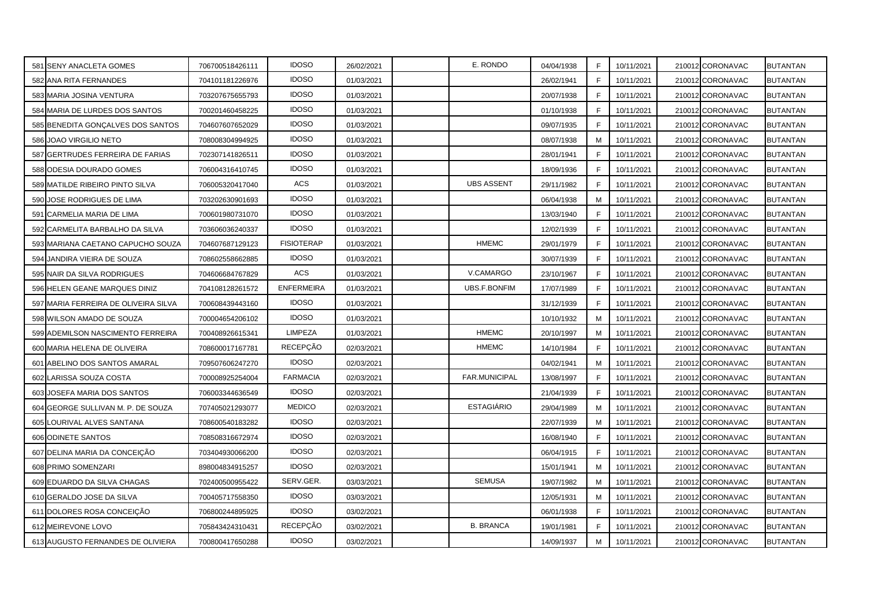| 581 SENY ANACLETA GOMES              | 706700518426111 | <b>IDOSO</b>      | 26/02/2021 | E. RONDO            | 04/04/1938 | F  | 10/11/2021 | 210012 CORONAVAC | <b>BUTANTAN</b> |
|--------------------------------------|-----------------|-------------------|------------|---------------------|------------|----|------------|------------------|-----------------|
| 582 ANA RITA FERNANDES               | 704101181226976 | <b>IDOSO</b>      | 01/03/2021 |                     | 26/02/1941 | F  | 10/11/2021 | 210012 CORONAVAC | <b>BUTANTAN</b> |
| 583 MARIA JOSINA VENTURA             | 703207675655793 | <b>IDOSO</b>      | 01/03/2021 |                     | 20/07/1938 | F  | 10/11/2021 | 210012 CORONAVAC | <b>BUTANTAN</b> |
| 584 MARIA DE LURDES DOS SANTOS       | 700201460458225 | <b>IDOSO</b>      | 01/03/2021 |                     | 01/10/1938 | F  | 10/11/2021 | 210012 CORONAVAC | <b>BUTANTAN</b> |
| 585 BENEDITA GONÇALVES DOS SANTOS    | 704607607652029 | <b>IDOSO</b>      | 01/03/2021 |                     | 09/07/1935 | F  | 10/11/2021 | 210012 CORONAVAC | <b>BUTANTAN</b> |
| 586 JOAO VIRGILIO NETO               | 708008304994925 | <b>IDOSO</b>      | 01/03/2021 |                     | 08/07/1938 | M  | 10/11/2021 | 210012 CORONAVAC | <b>BUTANTAN</b> |
| 587 GERTRUDES FERREIRA DE FARIAS     | 702307141826511 | <b>IDOSO</b>      | 01/03/2021 |                     | 28/01/1941 | F  | 10/11/2021 | 210012 CORONAVAC | <b>BUTANTAN</b> |
| 588 ODESIA DOURADO GOMES             | 706004316410745 | <b>IDOSO</b>      | 01/03/2021 |                     | 18/09/1936 | F  | 10/11/2021 | 210012 CORONAVAC | <b>BUTANTAN</b> |
| 589 MATILDE RIBEIRO PINTO SILVA      | 706005320417040 | ACS               | 01/03/2021 | <b>UBS ASSENT</b>   | 29/11/1982 | F  | 10/11/2021 | 210012 CORONAVAC | <b>BUTANTAN</b> |
| 590 JOSE RODRIGUES DE LIMA           | 703202630901693 | <b>IDOSO</b>      | 01/03/2021 |                     | 06/04/1938 | M  | 10/11/2021 | 210012 CORONAVAC | <b>BUTANTAN</b> |
| 591 CARMELIA MARIA DE LIMA           | 700601980731070 | <b>IDOSO</b>      | 01/03/2021 |                     | 13/03/1940 | F. | 10/11/2021 | 210012 CORONAVAC | <b>BUTANTAN</b> |
| 592 CARMELITA BARBALHO DA SILVA      | 703606036240337 | <b>IDOSO</b>      | 01/03/2021 |                     | 12/02/1939 | F  | 10/11/2021 | 210012 CORONAVAC | <b>BUTANTAN</b> |
| 593 MARIANA CAETANO CAPUCHO SOUZA    | 704607687129123 | <b>FISIOTERAP</b> | 01/03/2021 | <b>HMEMC</b>        | 29/01/1979 | F. | 10/11/2021 | 210012 CORONAVAC | <b>BUTANTAN</b> |
| 594 JANDIRA VIEIRA DE SOUZA          | 708602558662885 | <b>IDOSO</b>      | 01/03/2021 |                     | 30/07/1939 | F  | 10/11/2021 | 210012 CORONAVAC | <b>BUTANTAN</b> |
| 595 NAIR DA SILVA RODRIGUES          | 704606684767829 | <b>ACS</b>        | 01/03/2021 | V.CAMARGO           | 23/10/1967 | F  | 10/11/2021 | 210012 CORONAVAC | <b>BUTANTAN</b> |
| 596 HELEN GEANE MARQUES DINIZ        | 704108128261572 | <b>ENFERMEIRA</b> | 01/03/2021 | <b>UBS.F.BONFIM</b> | 17/07/1989 | F  | 10/11/2021 | 210012 CORONAVAC | <b>BUTANTAN</b> |
| 597 MARIA FERREIRA DE OLIVEIRA SILVA | 700608439443160 | <b>IDOSO</b>      | 01/03/2021 |                     | 31/12/1939 | F  | 10/11/2021 | 210012 CORONAVAC | <b>BUTANTAN</b> |
| 598 WILSON AMADO DE SOUZA            | 700004654206102 | <b>IDOSO</b>      | 01/03/2021 |                     | 10/10/1932 | M  | 10/11/2021 | 210012 CORONAVAC | <b>BUTANTAN</b> |
| 599 ADEMILSON NASCIMENTO FERREIRA    | 700408926615341 | LIMPEZA           | 01/03/2021 | <b>HMEMC</b>        | 20/10/1997 | M  | 10/11/2021 | 210012 CORONAVAC | <b>BUTANTAN</b> |
| 600 MARIA HELENA DE OLIVEIRA         | 708600017167781 | RECEPÇÃO          | 02/03/2021 | <b>HMEMC</b>        | 14/10/1984 | F  | 10/11/2021 | 210012 CORONAVAC | <b>BUTANTAN</b> |
| 601 ABELINO DOS SANTOS AMARAL        | 709507606247270 | <b>IDOSO</b>      | 02/03/2021 |                     | 04/02/1941 | M  | 10/11/2021 | 210012 CORONAVAC | <b>BUTANTAN</b> |
| 602 LARISSA SOUZA COSTA              | 700008925254004 | <b>FARMACIA</b>   | 02/03/2021 | FAR.MUNICIPAL       | 13/08/1997 | F  | 10/11/2021 | 210012 CORONAVAC | <b>BUTANTAN</b> |
| 603 JOSEFA MARIA DOS SANTOS          | 706003344636549 | <b>IDOSO</b>      | 02/03/2021 |                     | 21/04/1939 | F  | 10/11/2021 | 210012 CORONAVAC | <b>BUTANTAN</b> |
| 604 GEORGE SULLIVAN M. P. DE SOUZA   | 707405021293077 | <b>MEDICO</b>     | 02/03/2021 | <b>ESTAGIÁRIO</b>   | 29/04/1989 | M  | 10/11/2021 | 210012 CORONAVAC | <b>BUTANTAN</b> |
| 605 LOURIVAL ALVES SANTANA           | 708600540183282 | <b>IDOSO</b>      | 02/03/2021 |                     | 22/07/1939 | м  | 10/11/2021 | 210012 CORONAVAC | <b>BUTANTAN</b> |
| 606 ODINETE SANTOS                   | 708508316672974 | <b>IDOSO</b>      | 02/03/2021 |                     | 16/08/1940 | F. | 10/11/2021 | 210012 CORONAVAC | <b>BUTANTAN</b> |
| 607 DELINA MARIA DA CONCEICAO        | 703404930066200 | <b>IDOSO</b>      | 02/03/2021 |                     | 06/04/1915 | F  | 10/11/2021 | 210012 CORONAVAC | <b>BUTANTAN</b> |
| 608 PRIMO SOMENZARI                  | 898004834915257 | <b>IDOSO</b>      | 02/03/2021 |                     | 15/01/1941 | M  | 10/11/2021 | 210012 CORONAVAC | <b>BUTANTAN</b> |
| 609 EDUARDO DA SILVA CHAGAS          | 702400500955422 | SERV.GER.         | 03/03/2021 | <b>SEMUSA</b>       | 19/07/1982 | M  | 10/11/2021 | 210012 CORONAVAC | <b>BUTANTAN</b> |
| 610 GERALDO JOSE DA SILVA            | 700405717558350 | <b>IDOSO</b>      | 03/03/2021 |                     | 12/05/1931 | M  | 10/11/2021 | 210012 CORONAVAC | <b>BUTANTAN</b> |
| 611 DOLORES ROSA CONCEICAO           | 706800244895925 | <b>IDOSO</b>      | 03/02/2021 |                     | 06/01/1938 | F  | 10/11/2021 | 210012 CORONAVAC | <b>BUTANTAN</b> |
| 612 MEIREVONE LOVO                   | 705843424310431 | RECEPÇÃO          | 03/02/2021 | <b>B. BRANCA</b>    | 19/01/1981 | F  | 10/11/2021 | 210012 CORONAVAC | <b>BUTANTAN</b> |
| 613 AUGUSTO FERNANDES DE OLIVIERA    | 700800417650288 | <b>IDOSO</b>      | 03/02/2021 |                     | 14/09/1937 | M  | 10/11/2021 | 210012 CORONAVAC | <b>BUTANTAN</b> |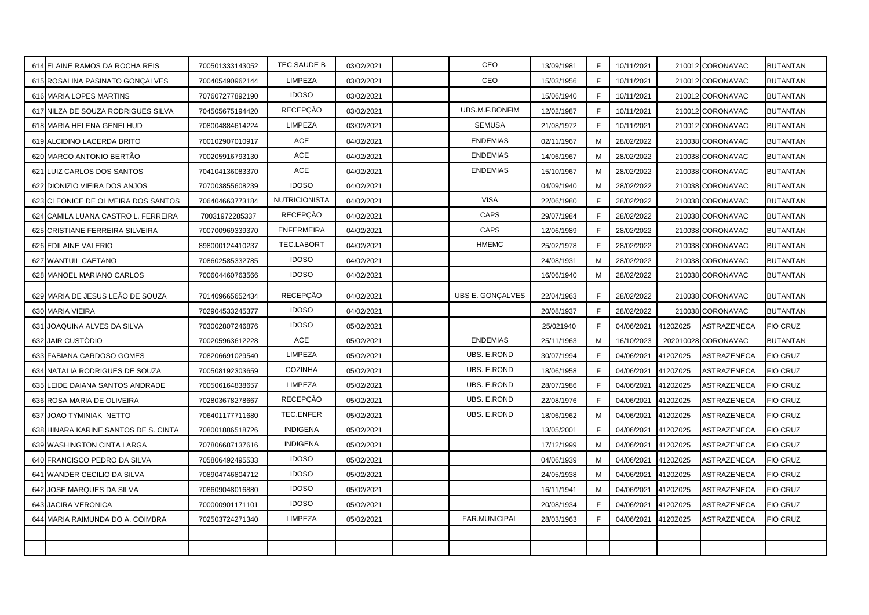| 614 ELAINE RAMOS DA ROCHA REIS       | 700501333143052 | TEC.SAUDE B       | 03/02/2021 | CEO                | 13/09/1981 | F. | 10/11/2021 |          | 210012 CORONAVAC | <b>BUTANTAN</b> |
|--------------------------------------|-----------------|-------------------|------------|--------------------|------------|----|------------|----------|------------------|-----------------|
| 615 ROSALINA PASINATO GONCALVES      | 700405490962144 | <b>LIMPEZA</b>    | 03/02/2021 | CEO                | 15/03/1956 | E  | 10/11/2021 |          | 210012 CORONAVAC | <b>BUTANTAN</b> |
| 616 MARIA LOPES MARTINS              | 707607277892190 | <b>IDOSO</b>      | 03/02/2021 |                    | 15/06/1940 | E  | 10/11/2021 |          | 210012 CORONAVAC | <b>BUTANTAN</b> |
| 617 NILZA DE SOUZA RODRIGUES SILVA   | 704505675194420 | <b>RECEPÇÃO</b>   | 03/02/2021 | UBS.M.F.BONFIM     | 12/02/1987 | F  | 10/11/2021 |          | 210012 CORONAVAC | <b>BUTANTAN</b> |
| 618 MARIA HELENA GENELHUD            | 708004884614224 | <b>LIMPEZA</b>    | 03/02/2021 | <b>SEMUSA</b>      | 21/08/1972 | F. | 10/11/2021 |          | 210012 CORONAVAC | <b>BUTANTAN</b> |
| 619 ALCIDINO LACERDA BRITO           | 700102907010917 | ACE               | 04/02/2021 | <b>ENDEMIAS</b>    | 02/11/1967 | м  | 28/02/2022 |          | 210038 CORONAVAC | <b>BUTANTAN</b> |
| 620 MARCO ANTONIO BERTÃO             | 700205916793130 | ACE               | 04/02/2021 | <b>ENDEMIAS</b>    | 14/06/1967 | M  | 28/02/2022 |          | 210038 CORONAVAC | <b>BUTANTAN</b> |
| 621 LUIZ CARLOS DOS SANTOS           | 704104136083370 | ACE               | 04/02/2021 | <b>ENDEMIAS</b>    | 15/10/1967 | M  | 28/02/2022 |          | 210038 CORONAVAC | <b>BUTANTAN</b> |
| 622 DIONIZIO VIEIRA DOS ANJOS        | 707003855608239 | <b>IDOSO</b>      | 04/02/2021 |                    | 04/09/1940 | М  | 28/02/2022 |          | 210038 CORONAVAC | <b>BUTANTAN</b> |
| 623 CLEONICE DE OLIVEIRA DOS SANTOS  | 706404663773184 | NUTRICIONISTA     | 04/02/2021 | <b>VISA</b>        | 22/06/1980 | F  | 28/02/2022 |          | 210038 CORONAVAC | <b>BUTANTAN</b> |
| 624 CAMILA LUANA CASTRO L. FERREIRA  | 70031972285337  | RECEPÇÃO          | 04/02/2021 | CAPS               | 29/07/1984 | F  | 28/02/2022 |          | 210038 CORONAVAC | <b>BUTANTAN</b> |
| 625 CRISTIANE FERREIRA SILVEIRA      | 700700969339370 | <b>ENFERMEIRA</b> | 04/02/2021 | CAPS               | 12/06/1989 | F  | 28/02/2022 |          | 210038 CORONAVAC | <b>BUTANTAN</b> |
| 626 EDILAINE VALERIO                 | 898000124410237 | TEC.LABORT        | 04/02/2021 | <b>HMEMC</b>       | 25/02/1978 | F  | 28/02/2022 |          | 210038 CORONAVAC | <b>BUTANTAN</b> |
| 627 WANTUIL CAETANO                  | 708602585332785 | <b>IDOSO</b>      | 04/02/2021 |                    | 24/08/1931 | M  | 28/02/2022 |          | 210038 CORONAVAC | <b>BUTANTAN</b> |
| 628 MANOEL MARIANO CARLOS            | 700604460763566 | <b>IDOSO</b>      | 04/02/2021 |                    | 16/06/1940 | M  | 28/02/2022 |          | 210038 CORONAVAC | <b>BUTANTAN</b> |
| 629 MARIA DE JESUS LEÃO DE SOUZA     | 701409665652434 | <b>RECEPÇÃO</b>   | 04/02/2021 | UBS E. GONÇALVES   | 22/04/1963 | F  | 28/02/2022 |          | 210038 CORONAVAC | <b>BUTANTAN</b> |
| 630 MARIA VIEIRA                     | 702904533245377 | <b>IDOSO</b>      | 04/02/2021 |                    | 20/08/1937 | E  | 28/02/2022 |          | 210038 CORONAVAC | <b>BUTANTAN</b> |
| 631 JOAQUINA ALVES DA SILVA          | 703002807246876 | <b>IDOSO</b>      | 05/02/2021 |                    | 25/021940  | E  | 04/06/2021 | 4120Z025 | ASTRAZENECA      | <b>FIO CRUZ</b> |
| 632 JAIR CUSTÓDIO                    | 700205963612228 | ACE               | 05/02/2021 | <b>ENDEMIAS</b>    | 25/11/1963 | M  | 16/10/2023 | 20201002 | CORONAVAC        | <b>BUTANTAN</b> |
| 633 FABIANA CARDOSO GOMES            | 708206691029540 | <b>LIMPEZA</b>    | 05/02/2021 | <b>UBS. E.ROND</b> | 30/07/1994 |    | 04/06/2021 | 4120Z025 | ASTRAZENECA      | <b>FIO CRUZ</b> |
| 634 NATALIA RODRIGUES DE SOUZA       | 700508192303659 | <b>COZINHA</b>    | 05/02/2021 | UBS. E.ROND        | 18/06/1958 | F  | 04/06/2021 | 4120Z025 | ASTRAZENECA      | <b>FIO CRUZ</b> |
| 635 LEIDE DAIANA SANTOS ANDRADE      | 700506164838657 | LIMPEZA           | 05/02/2021 | UBS. E.ROND        | 28/07/1986 | F  | 04/06/2021 | 4120Z025 | ASTRAZENECA      | <b>FIO CRUZ</b> |
| 636 ROSA MARIA DE OLIVEIRA           | 702803678278667 | RECEPÇÃO          | 05/02/2021 | UBS. E.ROND        | 22/08/1976 | F  | 04/06/2021 | 4120Z025 | ASTRAZENECA      | <b>FIO CRUZ</b> |
| 637 JOAO TYMINIAK NETTO              | 706401177711680 | TEC.ENFER         | 05/02/2021 | UBS. E.ROND        | 18/06/1962 | M  | 04/06/2021 | 4120Z025 | ASTRAZENECA      | <b>FIO CRUZ</b> |
| 638 HINARA KARINE SANTOS DE S. CINTA | 708001886518726 | <b>INDIGENA</b>   | 05/02/2021 |                    | 13/05/2001 | F  | 04/06/2021 | 4120Z025 | ASTRAZENECA      | <b>FIO CRUZ</b> |
| 639 WASHINGTON CINTA LARGA           | 707806687137616 | <b>INDIGENA</b>   | 05/02/2021 |                    | 17/12/1999 | М  | 04/06/2021 | 4120Z025 | ASTRAZENECA      | <b>FIO CRUZ</b> |
| 640 FRANCISCO PEDRO DA SILVA         | 705806492495533 | <b>IDOSO</b>      | 05/02/2021 |                    | 04/06/1939 | M  | 04/06/2021 | 4120Z025 | ASTRAZENECA      | <b>FIO CRUZ</b> |
| 641 WANDER CECILIO DA SILVA          | 708904746804712 | <b>IDOSO</b>      | 05/02/2021 |                    | 24/05/1938 | M  | 04/06/2021 | 4120Z025 | ASTRAZENECA      | <b>FIO CRUZ</b> |
| 642 JOSE MARQUES DA SILVA            | 708609048016880 | <b>IDOSO</b>      | 05/02/2021 |                    | 16/11/1941 | M  | 04/06/2021 | 4120Z025 | ASTRAZENECA      | <b>FIO CRUZ</b> |
| 643 JACIRA VERONICA                  | 700000901171101 | <b>IDOSO</b>      | 05/02/2021 |                    | 20/08/1934 | F  | 04/06/2021 | 4120Z025 | ASTRAZENECA      | <b>FIO CRUZ</b> |
| 644 MARIA RAIMUNDA DO A. COIMBRA     | 702503724271340 | <b>LIMPEZA</b>    | 05/02/2021 | FAR.MUNICIPAL      | 28/03/1963 | F  | 04/06/2021 | 4120Z025 | ASTRAZENECA      | <b>FIO CRUZ</b> |
|                                      |                 |                   |            |                    |            |    |            |          |                  |                 |
|                                      |                 |                   |            |                    |            |    |            |          |                  |                 |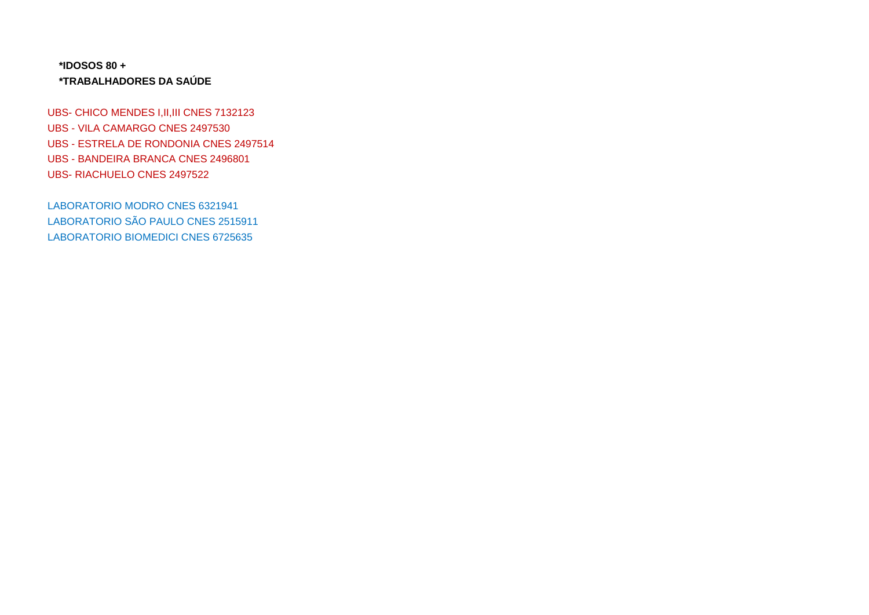## **\*IDOSOS 80 + \*TRABALHADORES DA SAÚDE**

UBS- CHICO MENDES I, II, III CNES 7132123 UBS - VILA CAMARGO CNES 2497530 UBS - ESTRELA DE RONDONIA CNES 2497514 UBS - BANDEIRA BRANCA CNES 2496801 UBS- RIACHUELO CNES 2497522

LABORATORIO MODRO CNES 6321941 LABORATORIO SÃO PAULO CNES 2515911 LABORATORIO BIOMEDICI CNES 6725635